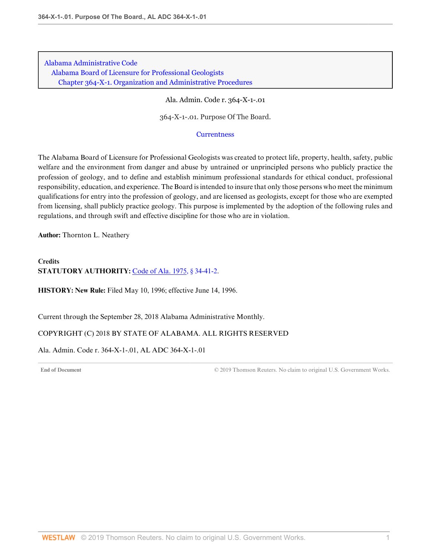Ala. Admin. Code r. 364-X-1-.01

364-X-1-.01. Purpose Of The Board.

#### **[Currentness](#page-0-0)**

The Alabama Board of Licensure for Professional Geologists was created to protect life, property, health, safety, public welfare and the environment from danger and abuse by untrained or unprincipled persons who publicly practice the profession of geology, and to define and establish minimum professional standards for ethical conduct, professional responsibility, education, and experience. The Board is intended to insure that only those persons who meet the minimum qualifications for entry into the profession of geology, and are licensed as geologists, except for those who are exempted from licensing, shall publicly practice geology. This purpose is implemented by the adoption of the following rules and regulations, and through swift and effective discipline for those who are in violation.

**Author:** Thornton L. Neathery

# **Credits STATUTORY AUTHORITY:** [Code of Ala. 1975, § 34-41-2.](http://www.westlaw.com/Link/Document/FullText?findType=L&pubNum=1000002&cite=ALSTS34-41-2&originatingDoc=I0EE6794F0CE34348B7A2CC3CC20328B9&refType=LQ&originationContext=document&vr=3.0&rs=cblt1.0&transitionType=DocumentItem&contextData=(sc.Default))

**HISTORY: New Rule:** Filed May 10, 1996; effective June 14, 1996.

<span id="page-0-0"></span>Current through the September 28, 2018 Alabama Administrative Monthly.

### COPYRIGHT (C) 2018 BY STATE OF ALABAMA. ALL RIGHTS RESERVED

# Ala. Admin. Code r. 364-X-1-.01, AL ADC 364-X-1-.01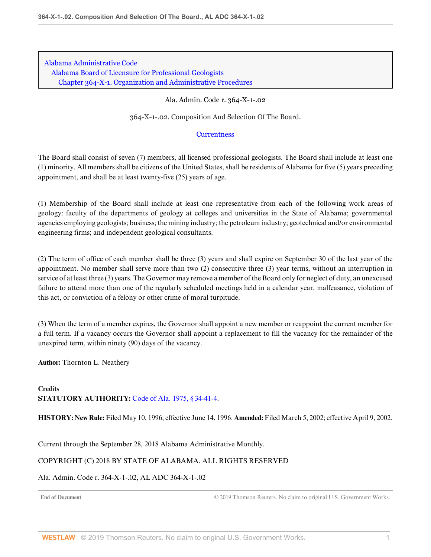### Ala. Admin. Code r. 364-X-1-.02

364-X-1-.02. Composition And Selection Of The Board.

#### **[Currentness](#page-1-0)**

The Board shall consist of seven (7) members, all licensed professional geologists. The Board shall include at least one (1) minority. All members shall be citizens of the United States, shall be residents of Alabama for five (5) years preceding appointment, and shall be at least twenty-five (25) years of age.

(1) Membership of the Board shall include at least one representative from each of the following work areas of geology: faculty of the departments of geology at colleges and universities in the State of Alabama; governmental agencies employing geologists; business; the mining industry; the petroleum industry; geotechnical and/or environmental engineering firms; and independent geological consultants.

(2) The term of office of each member shall be three (3) years and shall expire on September 30 of the last year of the appointment. No member shall serve more than two (2) consecutive three (3) year terms, without an interruption in service of at least three (3) years. The Governor may remove a member of the Board only for neglect of duty, an unexcused failure to attend more than one of the regularly scheduled meetings held in a calendar year, malfeasance, violation of this act, or conviction of a felony or other crime of moral turpitude.

(3) When the term of a member expires, the Governor shall appoint a new member or reappoint the current member for a full term. If a vacancy occurs the Governor shall appoint a replacement to fill the vacancy for the remainder of the unexpired term, within ninety (90) days of the vacancy.

**Author:** Thornton L. Neathery

**Credits STATUTORY AUTHORITY:** [Code of Ala. 1975, § 34-41-4.](http://www.westlaw.com/Link/Document/FullText?findType=L&pubNum=1000002&cite=ALSTS34-41-4&originatingDoc=ID49CD7C5BBC8471995667E4AA946D808&refType=LQ&originationContext=document&vr=3.0&rs=cblt1.0&transitionType=DocumentItem&contextData=(sc.Default))

**HISTORY: New Rule:** Filed May 10, 1996; effective June 14, 1996. **Amended:** Filed March 5, 2002; effective April 9, 2002.

<span id="page-1-0"></span>Current through the September 28, 2018 Alabama Administrative Monthly.

## COPYRIGHT (C) 2018 BY STATE OF ALABAMA. ALL RIGHTS RESERVED

### Ala. Admin. Code r. 364-X-1-.02, AL ADC 364-X-1-.02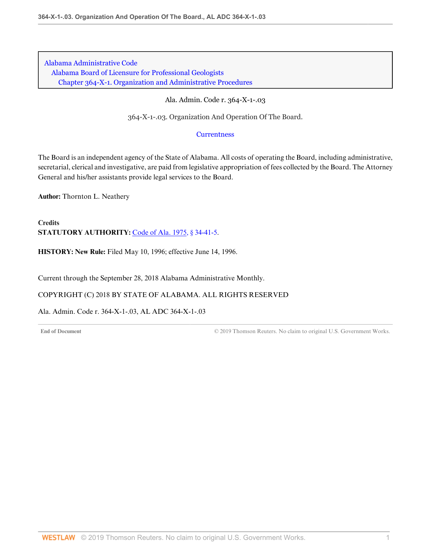# Ala. Admin. Code r. 364-X-1-.03

364-X-1-.03. Organization And Operation Of The Board.

## **[Currentness](#page-2-0)**

The Board is an independent agency of the State of Alabama. All costs of operating the Board, including administrative, secretarial, clerical and investigative, are paid from legislative appropriation of fees collected by the Board. The Attorney General and his/her assistants provide legal services to the Board.

**Author:** Thornton L. Neathery

**Credits STATUTORY AUTHORITY:** [Code of Ala. 1975, § 34-41-5.](http://www.westlaw.com/Link/Document/FullText?findType=L&pubNum=1000002&cite=ALSTS34-41-5&originatingDoc=IEBA0ED653D3A49ED8C2CC7F574D04724&refType=LQ&originationContext=document&vr=3.0&rs=cblt1.0&transitionType=DocumentItem&contextData=(sc.Default))

**HISTORY: New Rule:** Filed May 10, 1996; effective June 14, 1996.

<span id="page-2-0"></span>Current through the September 28, 2018 Alabama Administrative Monthly.

COPYRIGHT (C) 2018 BY STATE OF ALABAMA. ALL RIGHTS RESERVED

Ala. Admin. Code r. 364-X-1-.03, AL ADC 364-X-1-.03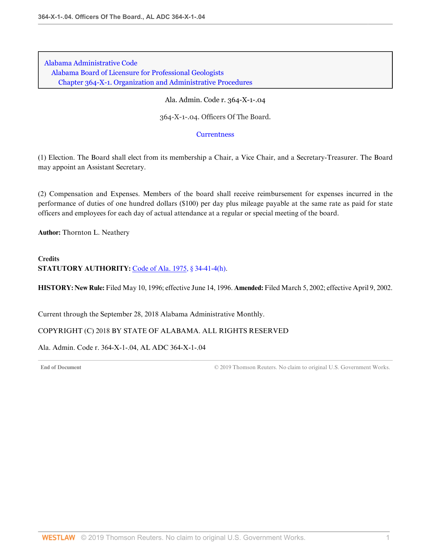Ala. Admin. Code r. 364-X-1-.04

364-X-1-.04. Officers Of The Board.

#### **[Currentness](#page-3-0)**

(1) Election. The Board shall elect from its membership a Chair, a Vice Chair, and a Secretary-Treasurer. The Board may appoint an Assistant Secretary.

(2) Compensation and Expenses. Members of the board shall receive reimbursement for expenses incurred in the performance of duties of one hundred dollars (\$100) per day plus mileage payable at the same rate as paid for state officers and employees for each day of actual attendance at a regular or special meeting of the board.

**Author:** Thornton L. Neathery

# **Credits STATUTORY AUTHORITY:** [Code of Ala. 1975, § 34-41-4\(h\).](http://www.westlaw.com/Link/Document/FullText?findType=L&pubNum=1000002&cite=ALSTS34-41-4&originatingDoc=I927ED5F0FBB34C3AB0D90EA182576B02&refType=SP&originationContext=document&vr=3.0&rs=cblt1.0&transitionType=DocumentItem&contextData=(sc.Default)#co_pp_f383000077b35)

**HISTORY: New Rule:** Filed May 10, 1996; effective June 14, 1996. **Amended:** Filed March 5, 2002; effective April 9, 2002.

<span id="page-3-0"></span>Current through the September 28, 2018 Alabama Administrative Monthly.

### COPYRIGHT (C) 2018 BY STATE OF ALABAMA. ALL RIGHTS RESERVED

## Ala. Admin. Code r. 364-X-1-.04, AL ADC 364-X-1-.04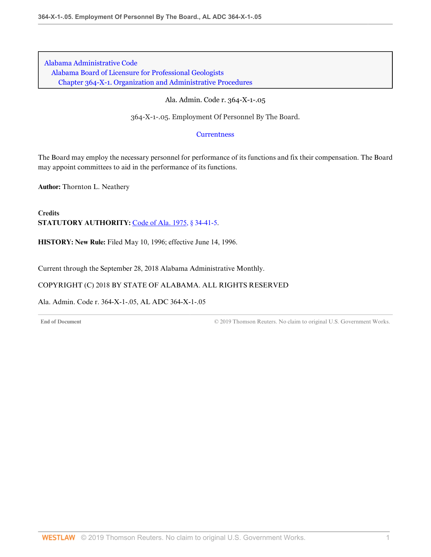# Ala. Admin. Code r. 364-X-1-.05

364-X-1-.05. Employment Of Personnel By The Board.

# **[Currentness](#page-4-0)**

The Board may employ the necessary personnel for performance of its functions and fix their compensation. The Board may appoint committees to aid in the performance of its functions.

**Author:** Thornton L. Neathery

**Credits STATUTORY AUTHORITY:** [Code of Ala. 1975, § 34-41-5.](http://www.westlaw.com/Link/Document/FullText?findType=L&pubNum=1000002&cite=ALSTS34-41-5&originatingDoc=I5468F3EC511C4C47B51FBE46A2969477&refType=LQ&originationContext=document&vr=3.0&rs=cblt1.0&transitionType=DocumentItem&contextData=(sc.Default))

**HISTORY: New Rule:** Filed May 10, 1996; effective June 14, 1996.

<span id="page-4-0"></span>Current through the September 28, 2018 Alabama Administrative Monthly.

# COPYRIGHT (C) 2018 BY STATE OF ALABAMA. ALL RIGHTS RESERVED

Ala. Admin. Code r. 364-X-1-.05, AL ADC 364-X-1-.05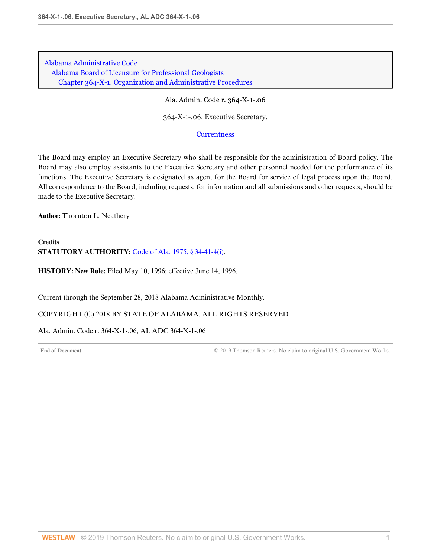Ala. Admin. Code r. 364-X-1-.06

364-X-1-.06. Executive Secretary.

### **[Currentness](#page-5-0)**

The Board may employ an Executive Secretary who shall be responsible for the administration of Board policy. The Board may also employ assistants to the Executive Secretary and other personnel needed for the performance of its functions. The Executive Secretary is designated as agent for the Board for service of legal process upon the Board. All correspondence to the Board, including requests, for information and all submissions and other requests, should be made to the Executive Secretary.

**Author:** Thornton L. Neathery

**Credits STATUTORY AUTHORITY:** [Code of Ala. 1975, § 34-41-4\(i\).](http://www.westlaw.com/Link/Document/FullText?findType=L&pubNum=1000002&cite=ALSTS34-41-4&originatingDoc=IE6805571D6C04162A4AD284A9A61651E&refType=SP&originationContext=document&vr=3.0&rs=cblt1.0&transitionType=DocumentItem&contextData=(sc.Default)#co_pp_17a3000024864)

**HISTORY: New Rule:** Filed May 10, 1996; effective June 14, 1996.

<span id="page-5-0"></span>Current through the September 28, 2018 Alabama Administrative Monthly.

COPYRIGHT (C) 2018 BY STATE OF ALABAMA. ALL RIGHTS RESERVED

Ala. Admin. Code r. 364-X-1-.06, AL ADC 364-X-1-.06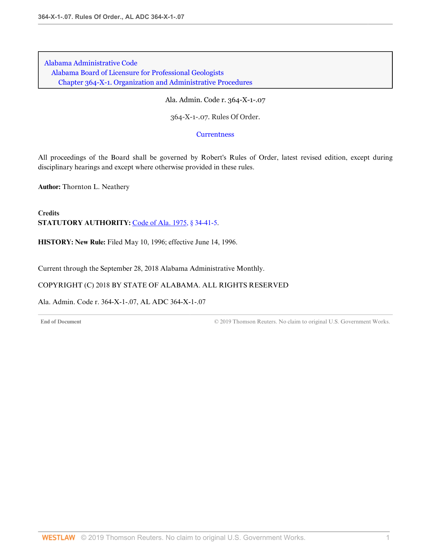Ala. Admin. Code r. 364-X-1-.07

364-X-1-.07. Rules Of Order.

**[Currentness](#page-6-0)** 

All proceedings of the Board shall be governed by Robert's Rules of Order, latest revised edition, except during disciplinary hearings and except where otherwise provided in these rules.

**Author:** Thornton L. Neathery

**Credits STATUTORY AUTHORITY:** [Code of Ala. 1975, § 34-41-5.](http://www.westlaw.com/Link/Document/FullText?findType=L&pubNum=1000002&cite=ALSTS34-41-5&originatingDoc=I429B931308014170888056002E814E96&refType=LQ&originationContext=document&vr=3.0&rs=cblt1.0&transitionType=DocumentItem&contextData=(sc.Default))

**HISTORY: New Rule:** Filed May 10, 1996; effective June 14, 1996.

<span id="page-6-0"></span>Current through the September 28, 2018 Alabama Administrative Monthly.

### COPYRIGHT (C) 2018 BY STATE OF ALABAMA. ALL RIGHTS RESERVED

Ala. Admin. Code r. 364-X-1-.07, AL ADC 364-X-1-.07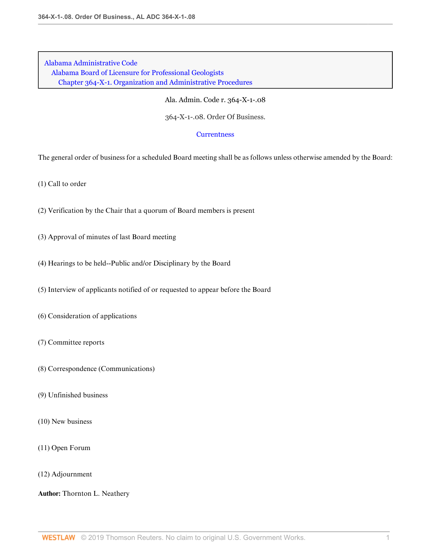Ala. Admin. Code r. 364-X-1-.08

364-X-1-.08. Order Of Business.

### **[Currentness](#page-8-0)**

The general order of business for a scheduled Board meeting shall be as follows unless otherwise amended by the Board:

(1) Call to order

- (2) Verification by the Chair that a quorum of Board members is present
- (3) Approval of minutes of last Board meeting
- (4) Hearings to be held--Public and/or Disciplinary by the Board
- (5) Interview of applicants notified of or requested to appear before the Board
- (6) Consideration of applications
- (7) Committee reports
- (8) Correspondence (Communications)
- (9) Unfinished business
- (10) New business
- (11) Open Forum
- (12) Adjournment

### **Author:** Thornton L. Neathery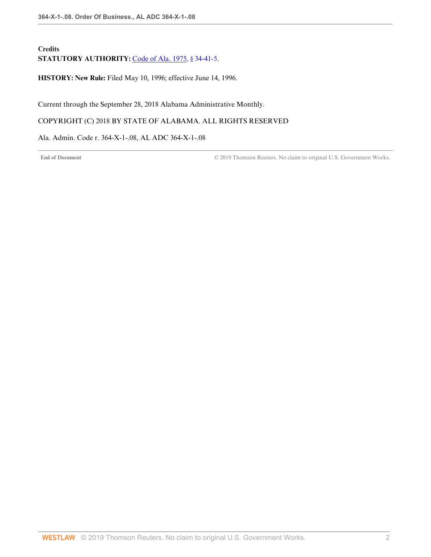# **Credits** STATUTORY AUTHORITY: [Code of Ala. 1975, § 34-41-5.](http://www.westlaw.com/Link/Document/FullText?findType=L&pubNum=1000002&cite=ALSTS34-41-5&originatingDoc=I2847C76F4D974D66B087FEA8E59F06F5&refType=LQ&originationContext=document&vr=3.0&rs=cblt1.0&transitionType=DocumentItem&contextData=(sc.Default))

**HISTORY: New Rule:** Filed May 10, 1996; effective June 14, 1996.

<span id="page-8-0"></span>Current through the September 28, 2018 Alabama Administrative Monthly.

# COPYRIGHT (C) 2018 BY STATE OF ALABAMA. ALL RIGHTS RESERVED

Ala. Admin. Code r. 364-X-1-.08, AL ADC 364-X-1-.08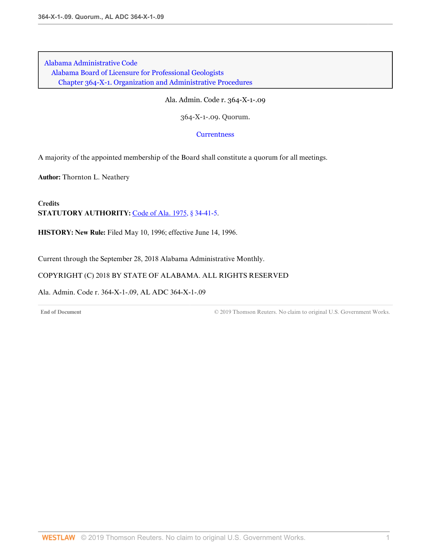Ala. Admin. Code r. 364-X-1-.09

364-X-1-.09. Quorum.

**[Currentness](#page-9-0)** 

A majority of the appointed membership of the Board shall constitute a quorum for all meetings.

**Author:** Thornton L. Neathery

**Credits STATUTORY AUTHORITY:** [Code of Ala. 1975, § 34-41-5.](http://www.westlaw.com/Link/Document/FullText?findType=L&pubNum=1000002&cite=ALSTS34-41-5&originatingDoc=I810265943624457790BEEB4948DB0246&refType=LQ&originationContext=document&vr=3.0&rs=cblt1.0&transitionType=DocumentItem&contextData=(sc.Default))

**HISTORY: New Rule:** Filed May 10, 1996; effective June 14, 1996.

<span id="page-9-0"></span>Current through the September 28, 2018 Alabama Administrative Monthly.

COPYRIGHT (C) 2018 BY STATE OF ALABAMA. ALL RIGHTS RESERVED

Ala. Admin. Code r. 364-X-1-.09, AL ADC 364-X-1-.09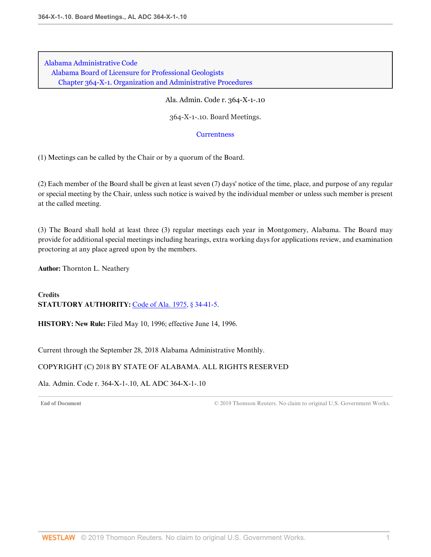Ala. Admin. Code r. 364-X-1-.10

364-X-1-.10. Board Meetings.

### **[Currentness](#page-10-0)**

(1) Meetings can be called by the Chair or by a quorum of the Board.

(2) Each member of the Board shall be given at least seven (7) days' notice of the time, place, and purpose of any regular or special meeting by the Chair, unless such notice is waived by the individual member or unless such member is present at the called meeting.

(3) The Board shall hold at least three (3) regular meetings each year in Montgomery, Alabama. The Board may provide for additional special meetings including hearings, extra working days for applications review, and examination proctoring at any place agreed upon by the members.

**Author:** Thornton L. Neathery

**Credits STATUTORY AUTHORITY:** [Code of Ala. 1975, § 34-41-5.](http://www.westlaw.com/Link/Document/FullText?findType=L&pubNum=1000002&cite=ALSTS34-41-5&originatingDoc=I6E5F4FDBF2824D289EE765DE9ED89AB7&refType=LQ&originationContext=document&vr=3.0&rs=cblt1.0&transitionType=DocumentItem&contextData=(sc.Default))

**HISTORY: New Rule:** Filed May 10, 1996; effective June 14, 1996.

<span id="page-10-0"></span>Current through the September 28, 2018 Alabama Administrative Monthly.

### COPYRIGHT (C) 2018 BY STATE OF ALABAMA. ALL RIGHTS RESERVED

Ala. Admin. Code r. 364-X-1-.10, AL ADC 364-X-1-.10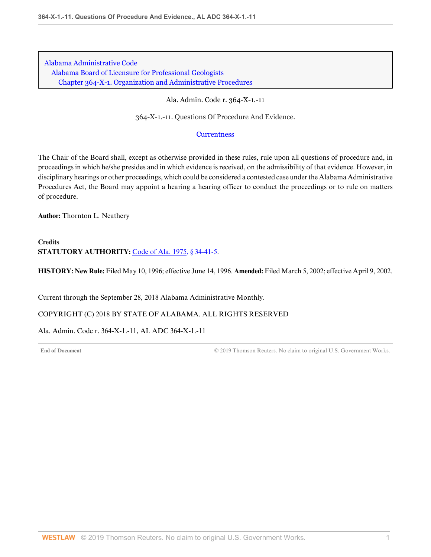Ala. Admin. Code r. 364-X-1.-11

364-X-1.-11. Questions Of Procedure And Evidence.

# **[Currentness](#page-11-0)**

The Chair of the Board shall, except as otherwise provided in these rules, rule upon all questions of procedure and, in proceedings in which he/she presides and in which evidence is received, on the admissibility of that evidence. However, in disciplinary hearings or other proceedings, which could be considered a contested case under the Alabama Administrative Procedures Act, the Board may appoint a hearing a hearing officer to conduct the proceedings or to rule on matters of procedure.

**Author:** Thornton L. Neathery

**Credits STATUTORY AUTHORITY:** [Code of Ala. 1975, § 34-41-5.](http://www.westlaw.com/Link/Document/FullText?findType=L&pubNum=1000002&cite=ALSTS34-41-5&originatingDoc=IB2D376E454CD48E0AA7ECDEEB3B23841&refType=LQ&originationContext=document&vr=3.0&rs=cblt1.0&transitionType=DocumentItem&contextData=(sc.Default))

**HISTORY: New Rule:** Filed May 10, 1996; effective June 14, 1996. **Amended:** Filed March 5, 2002; effective April 9, 2002.

<span id="page-11-0"></span>Current through the September 28, 2018 Alabama Administrative Monthly.

COPYRIGHT (C) 2018 BY STATE OF ALABAMA. ALL RIGHTS RESERVED

Ala. Admin. Code r. 364-X-1.-11, AL ADC 364-X-1.-11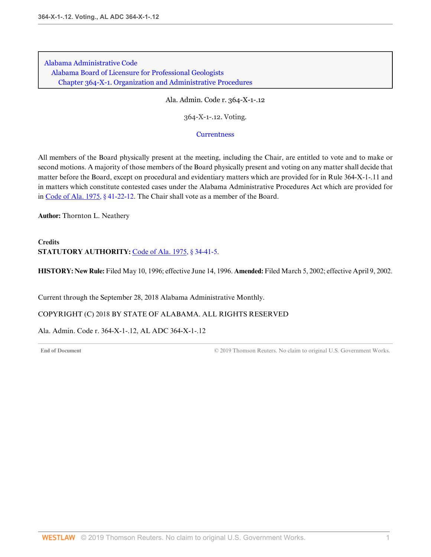Ala. Admin. Code r. 364-X-1-.12

364-X-1-.12. Voting.

### **[Currentness](#page-12-0)**

All members of the Board physically present at the meeting, including the Chair, are entitled to vote and to make or second motions. A majority of those members of the Board physically present and voting on any matter shall decide that matter before the Board, except on procedural and evidentiary matters which are provided for in Rule 364-X-1-.11 and in matters which constitute contested cases under the Alabama Administrative Procedures Act which are provided for in [Code of Ala. 1975, § 41-22-12](http://www.westlaw.com/Link/Document/FullText?findType=L&pubNum=1000002&cite=ALSTS41-22-12&originatingDoc=I400B514DF0184005AF4DCE18CF2CFE04&refType=LQ&originationContext=document&vr=3.0&rs=cblt1.0&transitionType=DocumentItem&contextData=(sc.Default)). The Chair shall vote as a member of the Board.

**Author:** Thornton L. Neathery

# **Credits STATUTORY AUTHORITY:** [Code of Ala. 1975, § 34-41-5.](http://www.westlaw.com/Link/Document/FullText?findType=L&pubNum=1000002&cite=ALSTS34-41-5&originatingDoc=I400B514DF0184005AF4DCE18CF2CFE04&refType=LQ&originationContext=document&vr=3.0&rs=cblt1.0&transitionType=DocumentItem&contextData=(sc.Default))

**HISTORY: New Rule:** Filed May 10, 1996; effective June 14, 1996. **Amended:** Filed March 5, 2002; effective April 9, 2002.

<span id="page-12-0"></span>Current through the September 28, 2018 Alabama Administrative Monthly.

COPYRIGHT (C) 2018 BY STATE OF ALABAMA. ALL RIGHTS RESERVED

Ala. Admin. Code r. 364-X-1-.12, AL ADC 364-X-1-.12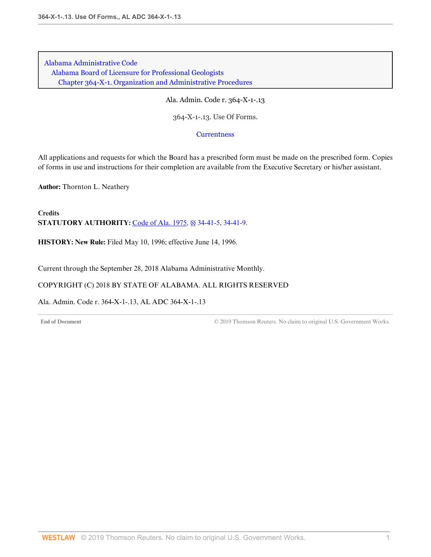Ala. Admin. Code r. 364-X-1-.13

364-X-1-.13. Use Of Forms.

**[Currentness](#page-13-0)** 

All applications and requests for which the Board has a prescribed form must be made on the prescribed form. Copies of forms in use and instructions for their completion are available from the Executive Secretary or his/her assistant.

**Author:** Thornton L. Neathery

**Credits STATUTORY AUTHORITY:** [Code of Ala. 1975, §§ 34-41-5](http://www.westlaw.com/Link/Document/FullText?findType=L&pubNum=1000002&cite=ALSTS34-41-5&originatingDoc=I09EA7D82D61949A58D2D85C4AD4EE36C&refType=LQ&originationContext=document&vr=3.0&rs=cblt1.0&transitionType=DocumentItem&contextData=(sc.Default)), [34-41-9](http://www.westlaw.com/Link/Document/FullText?findType=L&pubNum=1000002&cite=ALSTS34-41-9&originatingDoc=I09EA7D82D61949A58D2D85C4AD4EE36C&refType=LQ&originationContext=document&vr=3.0&rs=cblt1.0&transitionType=DocumentItem&contextData=(sc.Default)).

**HISTORY: New Rule:** Filed May 10, 1996; effective June 14, 1996.

<span id="page-13-0"></span>Current through the September 28, 2018 Alabama Administrative Monthly.

### COPYRIGHT (C) 2018 BY STATE OF ALABAMA. ALL RIGHTS RESERVED

Ala. Admin. Code r. 364-X-1-.13, AL ADC 364-X-1-.13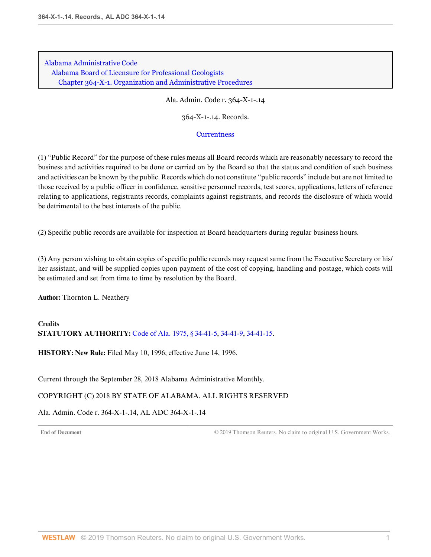Ala. Admin. Code r. 364-X-1-.14

364-X-1-.14. Records.

## **[Currentness](#page-14-0)**

(1) "Public Record" for the purpose of these rules means all Board records which are reasonably necessary to record the business and activities required to be done or carried on by the Board so that the status and condition of such business and activities can be known by the public. Records which do not constitute "public records" include but are not limited to those received by a public officer in confidence, sensitive personnel records, test scores, applications, letters of reference relating to applications, registrants records, complaints against registrants, and records the disclosure of which would be detrimental to the best interests of the public.

(2) Specific public records are available for inspection at Board headquarters during regular business hours.

(3) Any person wishing to obtain copies of specific public records may request same from the Executive Secretary or his/ her assistant, and will be supplied copies upon payment of the cost of copying, handling and postage, which costs will be estimated and set from time to time by resolution by the Board.

**Author:** Thornton L. Neathery

# **Credits STATUTORY AUTHORITY:** [Code of Ala. 1975, § 34-41-5,](http://www.westlaw.com/Link/Document/FullText?findType=L&pubNum=1000002&cite=ALSTS34-41-5&originatingDoc=I861FB4891102488BBBE4BB8D83833728&refType=LQ&originationContext=document&vr=3.0&rs=cblt1.0&transitionType=DocumentItem&contextData=(sc.Default)) [34-41-9](http://www.westlaw.com/Link/Document/FullText?findType=L&pubNum=1000002&cite=ALSTS34-41-9&originatingDoc=I861FB4891102488BBBE4BB8D83833728&refType=LQ&originationContext=document&vr=3.0&rs=cblt1.0&transitionType=DocumentItem&contextData=(sc.Default)), [34-41-15](http://www.westlaw.com/Link/Document/FullText?findType=L&pubNum=1000002&cite=ALSTS34-41-15&originatingDoc=I861FB4891102488BBBE4BB8D83833728&refType=LQ&originationContext=document&vr=3.0&rs=cblt1.0&transitionType=DocumentItem&contextData=(sc.Default)).

**HISTORY: New Rule:** Filed May 10, 1996; effective June 14, 1996.

<span id="page-14-0"></span>Current through the September 28, 2018 Alabama Administrative Monthly.

# COPYRIGHT (C) 2018 BY STATE OF ALABAMA. ALL RIGHTS RESERVED

Ala. Admin. Code r. 364-X-1-.14, AL ADC 364-X-1-.14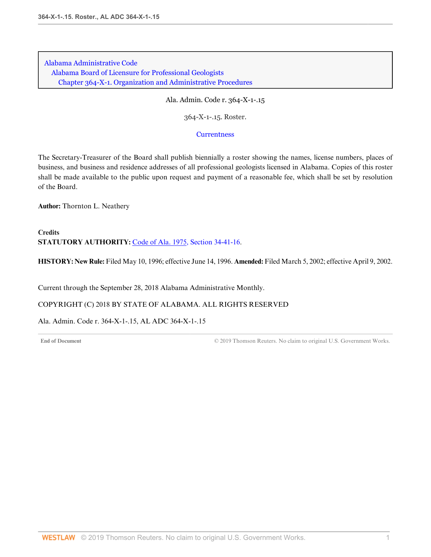Ala. Admin. Code r. 364-X-1-.15

364-X-1-.15. Roster.

**[Currentness](#page-15-0)** 

The Secretary-Treasurer of the Board shall publish biennially a roster showing the names, license numbers, places of business, and business and residence addresses of all professional geologists licensed in Alabama. Copies of this roster shall be made available to the public upon request and payment of a reasonable fee, which shall be set by resolution of the Board.

**Author:** Thornton L. Neathery

**Credits STATUTORY AUTHORITY:** [Code of Ala. 1975, Section 34-41-16](http://www.westlaw.com/Link/Document/FullText?findType=L&pubNum=1000002&cite=ALSTS34-41-16&originatingDoc=I9952BCB4A0C04DC5A5DA6EB06327D298&refType=LQ&originationContext=document&vr=3.0&rs=cblt1.0&transitionType=DocumentItem&contextData=(sc.Default)).

**HISTORY: New Rule:** Filed May 10, 1996; effective June 14, 1996. **Amended:** Filed March 5, 2002; effective April 9, 2002.

<span id="page-15-0"></span>Current through the September 28, 2018 Alabama Administrative Monthly.

COPYRIGHT (C) 2018 BY STATE OF ALABAMA. ALL RIGHTS RESERVED

Ala. Admin. Code r. 364-X-1-.15, AL ADC 364-X-1-.15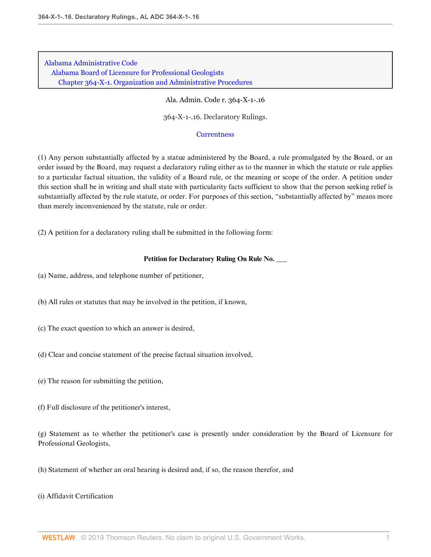Ala. Admin. Code r. 364-X-1-.16

364-X-1-.16. Declaratory Rulings.

### **[Currentness](#page-17-0)**

(1) Any person substantially affected by a statue administered by the Board, a rule promulgated by the Board, or an order issued by the Board, may request a declaratory ruling either as to the manner in which the statute or rule applies to a particular factual situation, the validity of a Board rule, or the meaning or scope of the order. A petition under this section shall be in writing and shall state with particularity facts sufficient to show that the person seeking relief is substantially affected by the rule statute, or order. For purposes of this section, "substantially affected by" means more than merely inconvenienced by the statute, rule or order.

(2) A petition for a declaratory ruling shall be submitted in the following form:

### **Petition for Declaratory Ruling On Rule No. \_\_\_**

- (a) Name, address, and telephone number of petitioner,
- (b) All rules or statutes that may be involved in the petition, if known,
- (c) The exact question to which an answer is desired,
- (d) Clear and concise statement of the precise factual situation involved,
- (e) The reason for submitting the petition,
- (f) Full disclosure of the petitioner's interest,

(g) Statement as to whether the petitioner's case is presently under consideration by the Board of Licensure for Professional Geologists,

(h) Statement of whether an oral hearing is desired and, if so, the reason therefor, and

(i) Affidavit Certification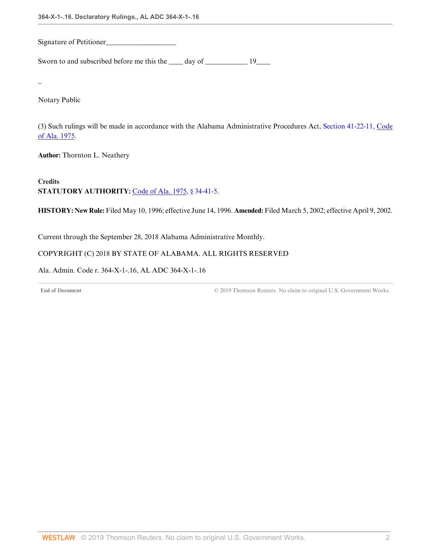Signature of Petitioner\_

Sworn to and subscribed before me this the <u>equal</u> day of <u>equal</u> 19 and 19 and 19 and 19 and 19 and 19 and 19 and 19 and 19 and 19 and 19 and 19 and 19 and 19 and 19 and 19 and 19 and 19 and 19 and 19 and 19 and 19 and 19

\_

Notary Public

(3) Such rulings will be made in accordance with the Alabama Administrative Procedures Act, [Section 41-22-11, Code](http://www.westlaw.com/Link/Document/FullText?findType=L&pubNum=1000002&cite=ALSTS41-22-11&originatingDoc=IE81A97B981D64EB1B265ADB308EB12C4&refType=LQ&originationContext=document&vr=3.0&rs=cblt1.0&transitionType=DocumentItem&contextData=(sc.Default)) [of Ala. 1975.](http://www.westlaw.com/Link/Document/FullText?findType=L&pubNum=1000002&cite=ALSTS41-22-11&originatingDoc=IE81A97B981D64EB1B265ADB308EB12C4&refType=LQ&originationContext=document&vr=3.0&rs=cblt1.0&transitionType=DocumentItem&contextData=(sc.Default))

**Author:** Thornton L. Neathery

**Credits STATUTORY AUTHORITY:** [Code of Ala. 1975, § 34-41-5.](http://www.westlaw.com/Link/Document/FullText?findType=L&pubNum=1000002&cite=ALSTS34-41-5&originatingDoc=IE81A97B981D64EB1B265ADB308EB12C4&refType=LQ&originationContext=document&vr=3.0&rs=cblt1.0&transitionType=DocumentItem&contextData=(sc.Default))

**HISTORY: New Rule:** Filed May 10, 1996; effective June 14, 1996. **Amended:** Filed March 5, 2002; effective April 9, 2002.

<span id="page-17-0"></span>Current through the September 28, 2018 Alabama Administrative Monthly.

# COPYRIGHT (C) 2018 BY STATE OF ALABAMA. ALL RIGHTS RESERVED

Ala. Admin. Code r. 364-X-1-.16, AL ADC 364-X-1-.16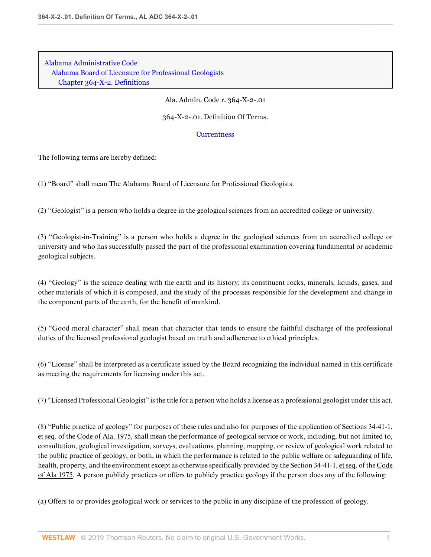[Alabama Administrative Code](http://www.westlaw.com/Browse/Home/Regulations/AlabamaRegulations?transitionType=DocumentItem&contextData=(sc.Default)&rs=clbt1.0&vr=3.0) [Alabama Board of Licensure for Professional Geologists](http://www.westlaw.com/Browse/Home/Regulations/AlabamaRegulations?guid=IB36CA5F191AA11E8899E005056B56C30&transitionType=DocumentItem&contextData=(sc.Default)&rs=clbt1.0&vr=3.0) [Chapter 364-X-2. Definitions](http://www.westlaw.com/Browse/Home/Regulations/AlabamaRegulations?guid=IB36CCD0B91AA11E8899E005056B56C30&transitionType=DocumentItem&contextData=(sc.Default)&rs=clbt1.0&vr=3.0)

Ala. Admin. Code r. 364-X-2-.01

364-X-2-.01. Definition Of Terms.

**[Currentness](#page-20-0)** 

The following terms are hereby defined:

(1) "Board" shall mean The Alabama Board of Licensure for Professional Geologists.

(2) "Geologist" is a person who holds a degree in the geological sciences from an accredited college or university.

(3) "Geologist-in-Training" is a person who holds a degree in the geological sciences from an accredited college or university and who has successfully passed the part of the professional examination covering fundamental or academic geological subjects.

(4) "Geology" is the science dealing with the earth and its history; its constituent rocks, minerals, liquids, gases, and other materials of which it is composed, and the study of the processes responsible for the development and change in the component parts of the earth, for the benefit of mankind.

(5) "Good moral character" shall mean that character that tends to ensure the faithful discharge of the professional duties of the licensed professional geologist based on truth and adherence to ethical principles.

(6) "License" shall be interpreted as a certificate issued by the Board recognizing the individual named in this certificate as meeting the requirements for licensing under this act.

(7) "Licensed Professional Geologist" is the title for a person who holds a license as a professional geologist under this act.

(8) "Public practice of geology" for purposes of these rules and also for purposes of the application of Sections 34-41-1, et seq. of the Code of Ala. 1975, shall mean the performance of geological service or work, including, but not limited to, consultation, geological investigation, surveys, evaluations, planning, mapping, or review of geological work related to the public practice of geology, or both, in which the performance is related to the public welfare or safeguarding of life, health, property, and the environment except as otherwise specifically provided by the Section 34-41-1, et seq. of the Code of Ala 1975. A person publicly practices or offers to publicly practice geology if the person does any of the following:

(a) Offers to or provides geological work or services to the public in any discipline of the profession of geology.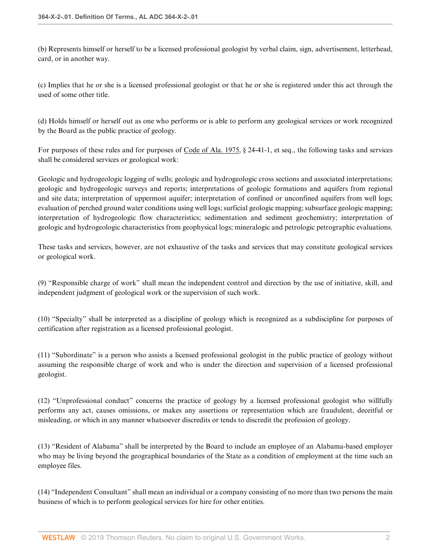(b) Represents himself or herself to be a licensed professional geologist by verbal claim, sign, advertisement, letterhead, card, or in another way.

(c) Implies that he or she is a licensed professional geologist or that he or she is registered under this act through the used of some other title.

(d) Holds himself or herself out as one who performs or is able to perform any geological services or work recognized by the Board as the public practice of geology.

For purposes of these rules and for purposes of Code of Ala. 1975, § 24-41-1, et seq., the following tasks and services shall be considered services or geological work:

Geologic and hydrogeologic logging of wells; geologic and hydrogeologic cross sections and associated interpretations; geologic and hydrogeologic surveys and reports; interpretations of geologic formations and aquifers from regional and site data; interpretation of uppermost aquifer; interpretation of confined or unconfined aquifers from well logs; evaluation of perched ground water conditions using well logs; surficial geologic mapping; subsurface geologic mapping; interpretation of hydrogeologic flow characteristics; sedimentation and sediment geochemistry; interpretation of geologic and hydrogeologic characteristics from geophysical logs; mineralogic and petrologic petrographic evaluations.

These tasks and services, however, are not exhaustive of the tasks and services that may constitute geological services or geological work.

(9) "Responsible charge of work" shall mean the independent control and direction by the use of initiative, skill, and independent judgment of geological work or the supervision of such work.

(10) "Specialty" shall be interpreted as a discipline of geology which is recognized as a subdiscipline for purposes of certification after registration as a licensed professional geologist.

(11) "Subordinate" is a person who assists a licensed professional geologist in the public practice of geology without assuming the responsible charge of work and who is under the direction and supervision of a licensed professional geologist.

(12) "Unprofessional conduct" concerns the practice of geology by a licensed professional geologist who willfully performs any act, causes omissions, or makes any assertions or representation which are fraudulent, deceitful or misleading, or which in any manner whatsoever discredits or tends to discredit the profession of geology.

(13) "Resident of Alabama" shall be interpreted by the Board to include an employee of an Alabama-based employer who may be living beyond the geographical boundaries of the State as a condition of employment at the time such an employee files.

(14) "Independent Consultant" shall mean an individual or a company consisting of no more than two persons the main business of which is to perform geological services for hire for other entities.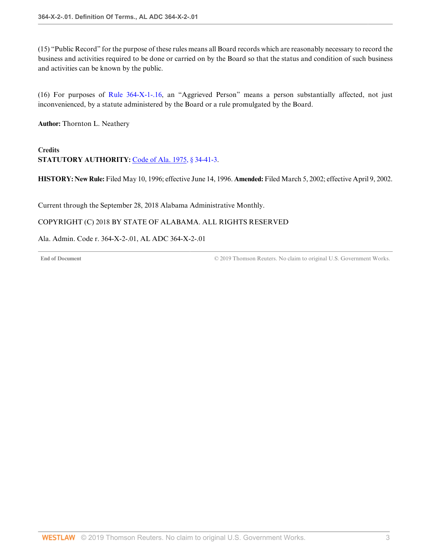(15) "Public Record" for the purpose of these rules means all Board records which are reasonably necessary to record the business and activities required to be done or carried on by the Board so that the status and condition of such business and activities can be known by the public.

(16) For purposes of [Rule 364-X-1-.16,](http://www.westlaw.com/Link/Document/FullText?findType=L&pubNum=1012843&cite=ALADC364-X-1-.16&originatingDoc=I48D5F77A3902450D8C15979067E9935C&refType=VP&originationContext=document&vr=3.0&rs=cblt1.0&transitionType=DocumentItem&contextData=(sc.Default)) an "Aggrieved Person" means a person substantially affected, not just inconvenienced, by a statute administered by the Board or a rule promulgated by the Board.

**Author:** Thornton L. Neathery

# **Credits STATUTORY AUTHORITY:** [Code of Ala. 1975, § 34-41-3.](http://www.westlaw.com/Link/Document/FullText?findType=L&pubNum=1000002&cite=ALSTS34-41-3&originatingDoc=I48D5F77A3902450D8C15979067E9935C&refType=LQ&originationContext=document&vr=3.0&rs=cblt1.0&transitionType=DocumentItem&contextData=(sc.Default))

**HISTORY: New Rule:** Filed May 10, 1996; effective June 14, 1996. **Amended:** Filed March 5, 2002; effective April 9, 2002.

<span id="page-20-0"></span>Current through the September 28, 2018 Alabama Administrative Monthly.

# COPYRIGHT (C) 2018 BY STATE OF ALABAMA. ALL RIGHTS RESERVED

# Ala. Admin. Code r. 364-X-2-.01, AL ADC 364-X-2-.01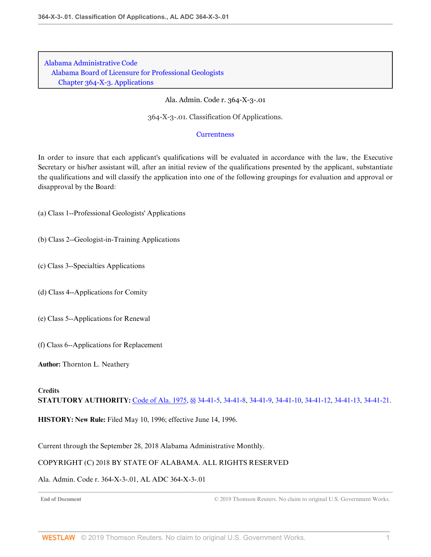[Alabama Administrative Code](http://www.westlaw.com/Browse/Home/Regulations/AlabamaRegulations?transitionType=DocumentItem&contextData=(sc.Default)&rs=clbt1.0&vr=3.0) [Alabama Board of Licensure for Professional Geologists](http://www.westlaw.com/Browse/Home/Regulations/AlabamaRegulations?guid=IB36CA5F191AA11E8899E005056B56C30&transitionType=DocumentItem&contextData=(sc.Default)&rs=clbt1.0&vr=3.0) [Chapter 364-X-3. Applications](http://www.westlaw.com/Browse/Home/Regulations/AlabamaRegulations?guid=IB36CCD0D91AA11E8899E005056B56C30&transitionType=DocumentItem&contextData=(sc.Default)&rs=clbt1.0&vr=3.0)

Ala. Admin. Code r. 364-X-3-.01

364-X-3-.01. Classification Of Applications.

#### **[Currentness](#page-21-0)**

In order to insure that each applicant's qualifications will be evaluated in accordance with the law, the Executive Secretary or his/her assistant will, after an initial review of the qualifications presented by the applicant, substantiate the qualifications and will classify the application into one of the following groupings for evaluation and approval or disapproval by the Board:

(a) Class 1--Professional Geologists' Applications

- (b) Class 2--Geologist-in-Training Applications
- (c) Class 3--Specialties Applications
- (d) Class 4--Applications for Comity
- (e) Class 5--Applications for Renewal
- (f) Class 6--Applications for Replacement

**Author:** Thornton L. Neathery

## **Credits**

**STATUTORY AUTHORITY:** [Code of Ala. 1975, §§ 34-41-5](http://www.westlaw.com/Link/Document/FullText?findType=L&pubNum=1000002&cite=ALSTS34-41-5&originatingDoc=I35C83383C4EB4FFBA1B50BD796C407AE&refType=LQ&originationContext=document&vr=3.0&rs=cblt1.0&transitionType=DocumentItem&contextData=(sc.Default)), [34-41-8](http://www.westlaw.com/Link/Document/FullText?findType=L&pubNum=1000002&cite=ALSTS34-41-8&originatingDoc=I35C83383C4EB4FFBA1B50BD796C407AE&refType=LQ&originationContext=document&vr=3.0&rs=cblt1.0&transitionType=DocumentItem&contextData=(sc.Default)), [34-41-9](http://www.westlaw.com/Link/Document/FullText?findType=L&pubNum=1000002&cite=ALSTS34-41-9&originatingDoc=I35C83383C4EB4FFBA1B50BD796C407AE&refType=LQ&originationContext=document&vr=3.0&rs=cblt1.0&transitionType=DocumentItem&contextData=(sc.Default)), [34-41-10,](http://www.westlaw.com/Link/Document/FullText?findType=L&pubNum=1000002&cite=ALSTS34-41-10&originatingDoc=I35C83383C4EB4FFBA1B50BD796C407AE&refType=LQ&originationContext=document&vr=3.0&rs=cblt1.0&transitionType=DocumentItem&contextData=(sc.Default)) [34-41-12,](http://www.westlaw.com/Link/Document/FullText?findType=L&pubNum=1000002&cite=ALSTS34-41-12&originatingDoc=I35C83383C4EB4FFBA1B50BD796C407AE&refType=LQ&originationContext=document&vr=3.0&rs=cblt1.0&transitionType=DocumentItem&contextData=(sc.Default)) [34-41-13,](http://www.westlaw.com/Link/Document/FullText?findType=L&pubNum=1000002&cite=ALSTS34-41-13&originatingDoc=I35C83383C4EB4FFBA1B50BD796C407AE&refType=LQ&originationContext=document&vr=3.0&rs=cblt1.0&transitionType=DocumentItem&contextData=(sc.Default)) [34-41-21.](http://www.westlaw.com/Link/Document/FullText?findType=L&pubNum=1000002&cite=ALSTS34-41-21&originatingDoc=I35C83383C4EB4FFBA1B50BD796C407AE&refType=LQ&originationContext=document&vr=3.0&rs=cblt1.0&transitionType=DocumentItem&contextData=(sc.Default))

**HISTORY: New Rule:** Filed May 10, 1996; effective June 14, 1996.

<span id="page-21-0"></span>Current through the September 28, 2018 Alabama Administrative Monthly.

#### COPYRIGHT (C) 2018 BY STATE OF ALABAMA. ALL RIGHTS RESERVED

### Ala. Admin. Code r. 364-X-3-.01, AL ADC 364-X-3-.01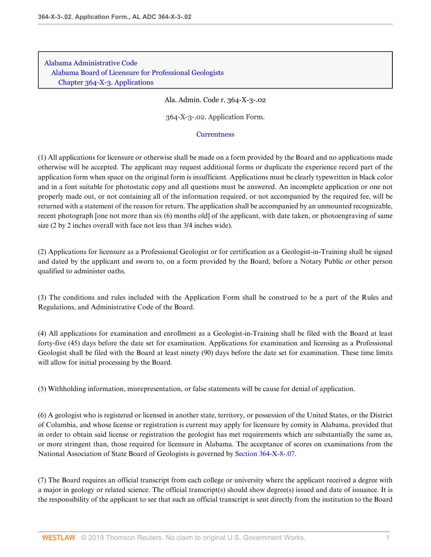[Alabama Administrative Code](http://www.westlaw.com/Browse/Home/Regulations/AlabamaRegulations?transitionType=DocumentItem&contextData=(sc.Default)&rs=clbt1.0&vr=3.0) [Alabama Board of Licensure for Professional Geologists](http://www.westlaw.com/Browse/Home/Regulations/AlabamaRegulations?guid=IB36CA5F191AA11E8899E005056B56C30&transitionType=DocumentItem&contextData=(sc.Default)&rs=clbt1.0&vr=3.0) [Chapter 364-X-3. Applications](http://www.westlaw.com/Browse/Home/Regulations/AlabamaRegulations?guid=IB36CCD0D91AA11E8899E005056B56C30&transitionType=DocumentItem&contextData=(sc.Default)&rs=clbt1.0&vr=3.0)

Ala. Admin. Code r. 364-X-3-.02

364-X-3-.02. Application Form.

### **[Currentness](#page-23-0)**

(1) All applications for licensure or otherwise shall be made on a form provided by the Board and no applications made otherwise will be accepted. The applicant may request additional forms or duplicate the experience record part of the application form when space on the original form is insufficient. Applications must be clearly typewritten in black color and in a font suitable for photostatic copy and all questions must be answered. An incomplete application or one not properly made out, or not containing all of the information required, or not accompanied by the required fee, will be returned with a statement of the reason for return. The application shall be accompanied by an unmounted recognizable, recent photograph [one not more than six (6) months old] of the applicant, with date taken, or photoengraving of same size (2 by 2 inches overall with face not less than 3/4 inches wide).

(2) Applications for licensure as a Professional Geologist or for certification as a Geologist-in-Training shall be signed and dated by the applicant and sworn to, on a form provided by the Board, before a Notary Public or other person qualified to administer oaths.

(3) The conditions and rules included with the Application Form shall be construed to be a part of the Rules and Regulations, and Administrative Code of the Board.

(4) All applications for examination and enrollment as a Geologist-in-Training shall be filed with the Board at least forty-five (45) days before the date set for examination. Applications for examination and licensing as a Professional Geologist shall be filed with the Board at least ninety (90) days before the date set for examination. These time limits will allow for initial processing by the Board.

(5) Withholding information, misrepresentation, or false statements will be cause for denial of application.

(6) A geologist who is registered or licensed in another state, territory, or possession of the United States, or the District of Columbia, and whose license or registration is current may apply for licensure by comity in Alabama, provided that in order to obtain said license or registration the geologist has met requirements which are substantially the same as, or more stringent than, those required for licensure in Alabama. The acceptance of scores on examinations from the National Association of State Board of Geologists is governed by [Section 364-X-8-.07.](http://www.westlaw.com/Link/Document/FullText?findType=L&pubNum=1012843&cite=ALADC364-X-8-.07&originatingDoc=I8B97D512E67C48D98D7BF132E7BB3C47&refType=VP&originationContext=document&vr=3.0&rs=cblt1.0&transitionType=DocumentItem&contextData=(sc.Default))

(7) The Board requires an official transcript from each college or university where the applicant received a degree with a major in geology or related science. The official transcript(s) should show degree(s) issued and date of issuance. It is the responsibility of the applicant to see that such an official transcript is sent directly from the institution to the Board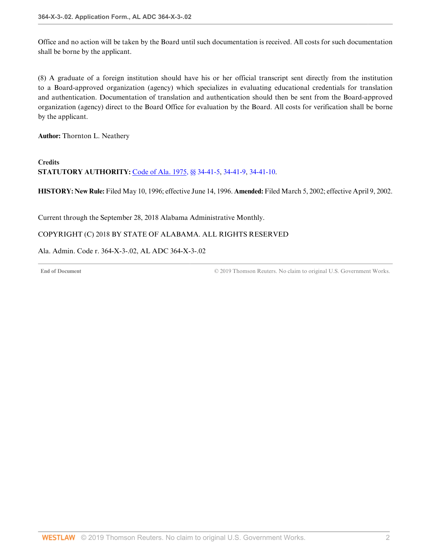Office and no action will be taken by the Board until such documentation is received. All costs for such documentation shall be borne by the applicant.

(8) A graduate of a foreign institution should have his or her official transcript sent directly from the institution to a Board-approved organization (agency) which specializes in evaluating educational credentials for translation and authentication. Documentation of translation and authentication should then be sent from the Board-approved organization (agency) direct to the Board Office for evaluation by the Board. All costs for verification shall be borne by the applicant.

**Author:** Thornton L. Neathery

**Credits STATUTORY AUTHORITY:** [Code of Ala. 1975, §§ 34-41-5](http://www.westlaw.com/Link/Document/FullText?findType=L&pubNum=1000002&cite=ALSTS34-41-5&originatingDoc=I8B97D512E67C48D98D7BF132E7BB3C47&refType=LQ&originationContext=document&vr=3.0&rs=cblt1.0&transitionType=DocumentItem&contextData=(sc.Default)), [34-41-9](http://www.westlaw.com/Link/Document/FullText?findType=L&pubNum=1000002&cite=ALSTS34-41-9&originatingDoc=I8B97D512E67C48D98D7BF132E7BB3C47&refType=LQ&originationContext=document&vr=3.0&rs=cblt1.0&transitionType=DocumentItem&contextData=(sc.Default)), [34-41-10](http://www.westlaw.com/Link/Document/FullText?findType=L&pubNum=1000002&cite=ALSTS34-41-10&originatingDoc=I8B97D512E67C48D98D7BF132E7BB3C47&refType=LQ&originationContext=document&vr=3.0&rs=cblt1.0&transitionType=DocumentItem&contextData=(sc.Default)).

**HISTORY: New Rule:** Filed May 10, 1996; effective June 14, 1996. **Amended:** Filed March 5, 2002; effective April 9, 2002.

<span id="page-23-0"></span>Current through the September 28, 2018 Alabama Administrative Monthly.

# COPYRIGHT (C) 2018 BY STATE OF ALABAMA. ALL RIGHTS RESERVED

Ala. Admin. Code r. 364-X-3-.02, AL ADC 364-X-3-.02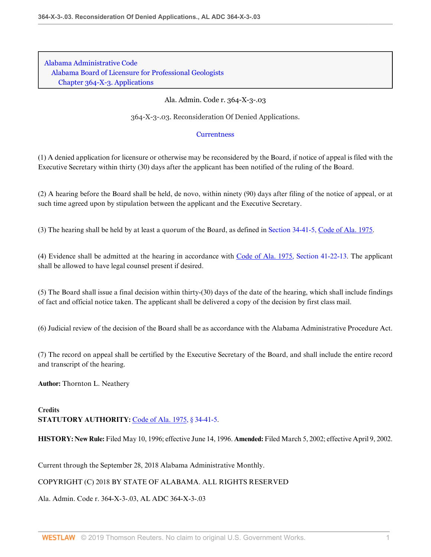[Alabama Administrative Code](http://www.westlaw.com/Browse/Home/Regulations/AlabamaRegulations?transitionType=DocumentItem&contextData=(sc.Default)&rs=clbt1.0&vr=3.0) [Alabama Board of Licensure for Professional Geologists](http://www.westlaw.com/Browse/Home/Regulations/AlabamaRegulations?guid=IB36CA5F191AA11E8899E005056B56C30&transitionType=DocumentItem&contextData=(sc.Default)&rs=clbt1.0&vr=3.0) [Chapter 364-X-3. Applications](http://www.westlaw.com/Browse/Home/Regulations/AlabamaRegulations?guid=IB36CCD0D91AA11E8899E005056B56C30&transitionType=DocumentItem&contextData=(sc.Default)&rs=clbt1.0&vr=3.0)

Ala. Admin. Code r. 364-X-3-.03

364-X-3-.03. Reconsideration Of Denied Applications.

# **[Currentness](#page-24-0)**

(1) A denied application for licensure or otherwise may be reconsidered by the Board, if notice of appeal is filed with the Executive Secretary within thirty (30) days after the applicant has been notified of the ruling of the Board.

(2) A hearing before the Board shall be held, de novo, within ninety (90) days after filing of the notice of appeal, or at such time agreed upon by stipulation between the applicant and the Executive Secretary.

(3) The hearing shall be held by at least a quorum of the Board, as defined in [Section 34-41-5, Code of Ala. 1975](http://www.westlaw.com/Link/Document/FullText?findType=L&pubNum=1000002&cite=ALSTS34-41-5&originatingDoc=I8A417F1B9060450A85CFA7C7E698D0E4&refType=LQ&originationContext=document&vr=3.0&rs=cblt1.0&transitionType=DocumentItem&contextData=(sc.Default)).

(4) Evidence shall be admitted at the hearing in accordance with [Code of Ala. 1975, Section 41-22-13.](http://www.westlaw.com/Link/Document/FullText?findType=L&pubNum=1000002&cite=ALSTS41-22-13&originatingDoc=I8A417F1B9060450A85CFA7C7E698D0E4&refType=LQ&originationContext=document&vr=3.0&rs=cblt1.0&transitionType=DocumentItem&contextData=(sc.Default)) The applicant shall be allowed to have legal counsel present if desired.

(5) The Board shall issue a final decision within thirty-(30) days of the date of the hearing, which shall include findings of fact and official notice taken. The applicant shall be delivered a copy of the decision by first class mail.

(6) Judicial review of the decision of the Board shall be as accordance with the Alabama Administrative Procedure Act.

(7) The record on appeal shall be certified by the Executive Secretary of the Board, and shall include the entire record and transcript of the hearing.

**Author:** Thornton L. Neathery

# **Credits STATUTORY AUTHORITY:** [Code of Ala. 1975, § 34-41-5.](http://www.westlaw.com/Link/Document/FullText?findType=L&pubNum=1000002&cite=ALSTS34-41-5&originatingDoc=I8A417F1B9060450A85CFA7C7E698D0E4&refType=LQ&originationContext=document&vr=3.0&rs=cblt1.0&transitionType=DocumentItem&contextData=(sc.Default))

**HISTORY: New Rule:** Filed May 10, 1996; effective June 14, 1996. **Amended:** Filed March 5, 2002; effective April 9, 2002.

<span id="page-24-0"></span>Current through the September 28, 2018 Alabama Administrative Monthly.

# COPYRIGHT (C) 2018 BY STATE OF ALABAMA. ALL RIGHTS RESERVED

Ala. Admin. Code r. 364-X-3-.03, AL ADC 364-X-3-.03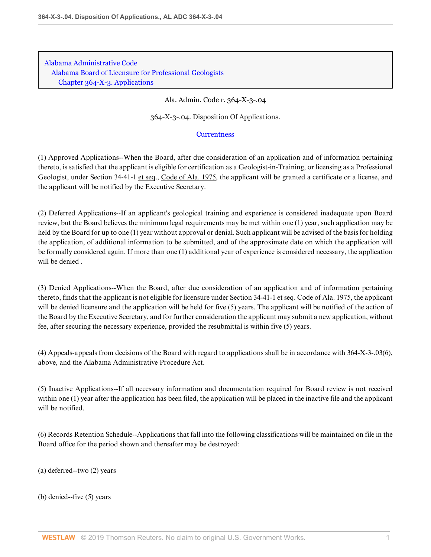[Alabama Administrative Code](http://www.westlaw.com/Browse/Home/Regulations/AlabamaRegulations?transitionType=DocumentItem&contextData=(sc.Default)&rs=clbt1.0&vr=3.0) [Alabama Board of Licensure for Professional Geologists](http://www.westlaw.com/Browse/Home/Regulations/AlabamaRegulations?guid=IB36CA5F191AA11E8899E005056B56C30&transitionType=DocumentItem&contextData=(sc.Default)&rs=clbt1.0&vr=3.0) [Chapter 364-X-3. Applications](http://www.westlaw.com/Browse/Home/Regulations/AlabamaRegulations?guid=IB36CCD0D91AA11E8899E005056B56C30&transitionType=DocumentItem&contextData=(sc.Default)&rs=clbt1.0&vr=3.0)

Ala. Admin. Code r. 364-X-3-.04

364-X-3-.04. Disposition Of Applications.

# **[Currentness](#page-27-0)**

(1) Approved Applications--When the Board, after due consideration of an application and of information pertaining thereto, is satisfied that the applicant is eligible for certification as a Geologist-in-Training, or licensing as a Professional Geologist, under Section 34-41-1 et seq., Code of Ala. 1975, the applicant will be granted a certificate or a license, and the applicant will be notified by the Executive Secretary.

(2) Deferred Applications--If an applicant's geological training and experience is considered inadequate upon Board review, but the Board believes the minimum legal requirements may be met within one (1) year, such application may be held by the Board for up to one (1) year without approval or denial. Such applicant will be advised of the basis for holding the application, of additional information to be submitted, and of the approximate date on which the application will be formally considered again. If more than one (1) additional year of experience is considered necessary, the application will be denied .

(3) Denied Applications--When the Board, after due consideration of an application and of information pertaining thereto, finds that the applicant is not eligible for licensure under Section 34-41-1 et seq. Code of Ala. 1975, the applicant will be denied licensure and the application will be held for five (5) years. The applicant will be notified of the action of the Board by the Executive Secretary, and for further consideration the applicant may submit a new application, without fee, after securing the necessary experience, provided the resubmittal is within five (5) years.

(4) Appeals-appeals from decisions of the Board with regard to applications shall be in accordance with 364-X-3-.03(6), above, and the Alabama Administrative Procedure Act.

(5) Inactive Applications--If all necessary information and documentation required for Board review is not received within one (1) year after the application has been filed, the application will be placed in the inactive file and the applicant will be notified.

(6) Records Retention Schedule--Applications that fall into the following classifications will be maintained on file in the Board office for the period shown and thereafter may be destroyed:

(a) deferred--two (2) years

(b) denied--five (5) years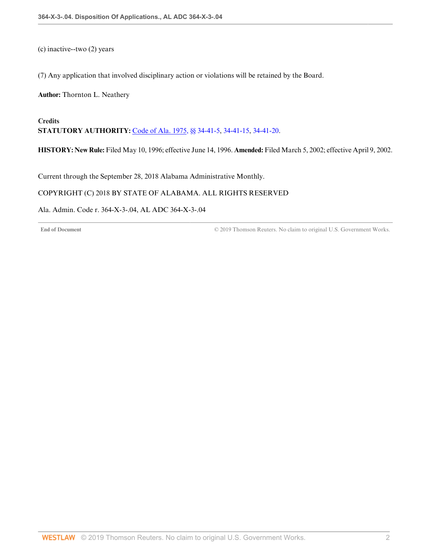(c) inactive--two (2) years

(7) Any application that involved disciplinary action or violations will be retained by the Board.

**Author:** Thornton L. Neathery

**Credits STATUTORY AUTHORITY:** [Code of Ala. 1975, §§ 34-41-5](http://www.westlaw.com/Link/Document/FullText?findType=L&pubNum=1000002&cite=ALSTS34-41-5&originatingDoc=I7F06D91185B9416E9D617298F2C28600&refType=LQ&originationContext=document&vr=3.0&rs=cblt1.0&transitionType=DocumentItem&contextData=(sc.Default)), [34-41-15](http://www.westlaw.com/Link/Document/FullText?findType=L&pubNum=1000002&cite=ALSTS34-41-15&originatingDoc=I7F06D91185B9416E9D617298F2C28600&refType=LQ&originationContext=document&vr=3.0&rs=cblt1.0&transitionType=DocumentItem&contextData=(sc.Default)), [34-41-20](http://www.westlaw.com/Link/Document/FullText?findType=L&pubNum=1000002&cite=ALSTS34-41-20&originatingDoc=I7F06D91185B9416E9D617298F2C28600&refType=LQ&originationContext=document&vr=3.0&rs=cblt1.0&transitionType=DocumentItem&contextData=(sc.Default)).

**HISTORY: New Rule:** Filed May 10, 1996; effective June 14, 1996. **Amended:** Filed March 5, 2002; effective April 9, 2002.

<span id="page-27-0"></span>Current through the September 28, 2018 Alabama Administrative Monthly.

# COPYRIGHT (C) 2018 BY STATE OF ALABAMA. ALL RIGHTS RESERVED

### Ala. Admin. Code r. 364-X-3-.04, AL ADC 364-X-3-.04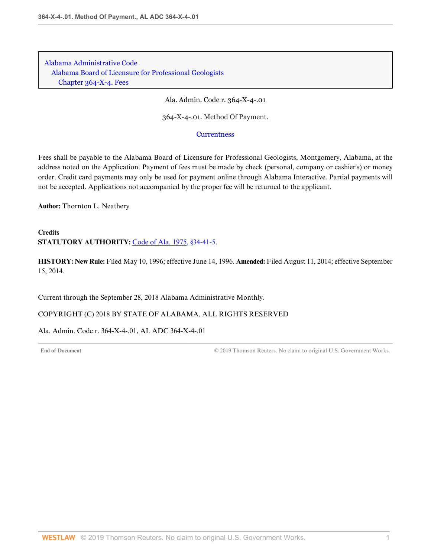[Alabama Administrative Code](http://www.westlaw.com/Browse/Home/Regulations/AlabamaRegulations?transitionType=DocumentItem&contextData=(sc.Default)&rs=clbt1.0&vr=3.0) [Alabama Board of Licensure for Professional Geologists](http://www.westlaw.com/Browse/Home/Regulations/AlabamaRegulations?guid=IB36CA5F191AA11E8899E005056B56C30&transitionType=DocumentItem&contextData=(sc.Default)&rs=clbt1.0&vr=3.0) [Chapter 364-X-4. Fees](http://www.westlaw.com/Browse/Home/Regulations/AlabamaRegulations?guid=IB36CCD1291AA11E8899E005056B56C30&transitionType=DocumentItem&contextData=(sc.Default)&rs=clbt1.0&vr=3.0)

Ala. Admin. Code r. 364-X-4-.01

364-X-4-.01. Method Of Payment.

**[Currentness](#page-28-0)** 

Fees shall be payable to the Alabama Board of Licensure for Professional Geologists, Montgomery, Alabama, at the address noted on the Application. Payment of fees must be made by check (personal, company or cashier's) or money order. Credit card payments may only be used for payment online through Alabama Interactive. Partial payments will not be accepted. Applications not accompanied by the proper fee will be returned to the applicant.

**Author:** Thornton L. Neathery

**Credits STATUTORY AUTHORITY:** [Code of Ala. 1975, §34-41-5](http://www.westlaw.com/Link/Document/FullText?findType=L&pubNum=1000002&cite=ALSTS34-41-5&originatingDoc=I039F90473F974740843AB656B8C89817&refType=LQ&originationContext=document&vr=3.0&rs=cblt1.0&transitionType=DocumentItem&contextData=(sc.Default)).

**HISTORY: New Rule:** Filed May 10, 1996; effective June 14, 1996. **Amended:** Filed August 11, 2014; effective September 15, 2014.

<span id="page-28-0"></span>Current through the September 28, 2018 Alabama Administrative Monthly.

COPYRIGHT (C) 2018 BY STATE OF ALABAMA. ALL RIGHTS RESERVED

Ala. Admin. Code r. 364-X-4-.01, AL ADC 364-X-4-.01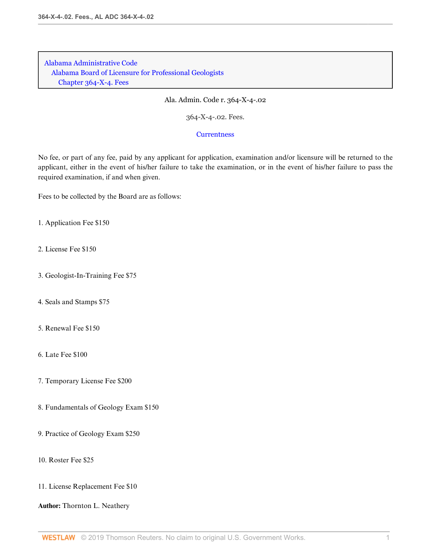[Alabama Administrative Code](http://www.westlaw.com/Browse/Home/Regulations/AlabamaRegulations?transitionType=DocumentItem&contextData=(sc.Default)&rs=clbt1.0&vr=3.0) [Alabama Board of Licensure for Professional Geologists](http://www.westlaw.com/Browse/Home/Regulations/AlabamaRegulations?guid=IB36CA5F191AA11E8899E005056B56C30&transitionType=DocumentItem&contextData=(sc.Default)&rs=clbt1.0&vr=3.0) [Chapter 364-X-4. Fees](http://www.westlaw.com/Browse/Home/Regulations/AlabamaRegulations?guid=IB36CCD1291AA11E8899E005056B56C30&transitionType=DocumentItem&contextData=(sc.Default)&rs=clbt1.0&vr=3.0)

Ala. Admin. Code r. 364-X-4-.02

364-X-4-.02. Fees.

**[Currentness](#page-30-0)** 

No fee, or part of any fee, paid by any applicant for application, examination and/or licensure will be returned to the applicant, either in the event of his/her failure to take the examination, or in the event of his/her failure to pass the required examination, if and when given.

Fees to be collected by the Board are as follows:

1. Application Fee \$150

2. License Fee \$150

- 3. Geologist-In-Training Fee \$75
- 4. Seals and Stamps \$75
- 5. Renewal Fee \$150
- 6. Late Fee \$100
- 7. Temporary License Fee \$200
- 8. Fundamentals of Geology Exam \$150
- 9. Practice of Geology Exam \$250
- 10. Roster Fee \$25
- 11. License Replacement Fee \$10

**Author:** Thornton L. Neathery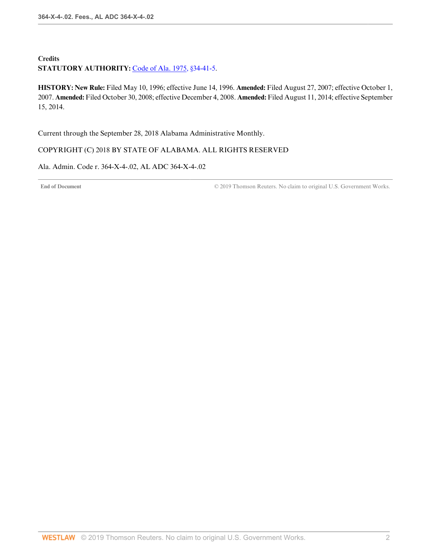# **Credits** STATUTORY AUTHORITY: [Code of Ala. 1975, §34-41-5](http://www.westlaw.com/Link/Document/FullText?findType=L&pubNum=1000002&cite=ALSTS34-41-5&originatingDoc=I062E4D1850DF45498733FE48E00D071E&refType=LQ&originationContext=document&vr=3.0&rs=cblt1.0&transitionType=DocumentItem&contextData=(sc.Default)).

**HISTORY: New Rule:** Filed May 10, 1996; effective June 14, 1996. **Amended:** Filed August 27, 2007; effective October 1, 2007. **Amended:** Filed October 30, 2008; effective December 4, 2008. **Amended:** Filed August 11, 2014; effective September 15, 2014.

<span id="page-30-0"></span>Current through the September 28, 2018 Alabama Administrative Monthly.

# COPYRIGHT (C) 2018 BY STATE OF ALABAMA. ALL RIGHTS RESERVED

Ala. Admin. Code r. 364-X-4-.02, AL ADC 364-X-4-.02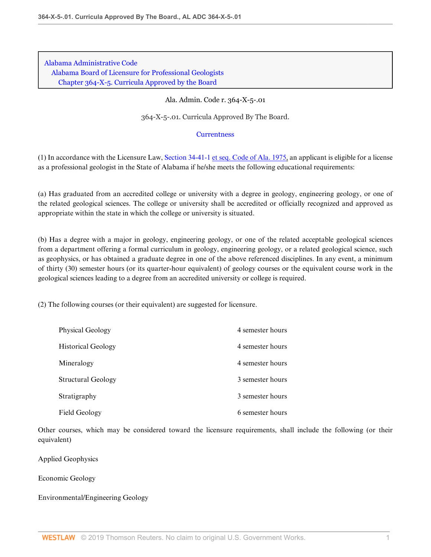[Alabama Administrative Code](http://www.westlaw.com/Browse/Home/Regulations/AlabamaRegulations?transitionType=DocumentItem&contextData=(sc.Default)&rs=clbt1.0&vr=3.0) [Alabama Board of Licensure for Professional Geologists](http://www.westlaw.com/Browse/Home/Regulations/AlabamaRegulations?guid=IB36CA5F191AA11E8899E005056B56C30&transitionType=DocumentItem&contextData=(sc.Default)&rs=clbt1.0&vr=3.0) [Chapter 364-X-5. Curricula Approved by the Board](http://www.westlaw.com/Browse/Home/Regulations/AlabamaRegulations?guid=IB36CCD1591AA11E8899E005056B56C30&transitionType=DocumentItem&contextData=(sc.Default)&rs=clbt1.0&vr=3.0)

# Ala. Admin. Code r. 364-X-5-.01

364-X-5-.01. Curricula Approved By The Board.

# **[Currentness](#page-32-0)**

(1) In accordance with the Licensure Law, [Section 34-41-1 et seq. Code of Ala. 1975,](http://www.westlaw.com/Link/Document/FullText?findType=L&pubNum=1000002&cite=ALSTS34-41-1&originatingDoc=I9DB33424688447779720A27877CF13B5&refType=LQ&originationContext=document&vr=3.0&rs=cblt1.0&transitionType=DocumentItem&contextData=(sc.Default)) an applicant is eligible for a license as a professional geologist in the State of Alabama if he/she meets the following educational requirements:

(a) Has graduated from an accredited college or university with a degree in geology, engineering geology, or one of the related geological sciences. The college or university shall be accredited or officially recognized and approved as appropriate within the state in which the college or university is situated.

(b) Has a degree with a major in geology, engineering geology, or one of the related acceptable geological sciences from a department offering a formal curriculum in geology, engineering geology, or a related geological science, such as geophysics, or has obtained a graduate degree in one of the above referenced disciplines. In any event, a minimum of thirty (30) semester hours (or its quarter-hour equivalent) of geology courses or the equivalent course work in the geological sciences leading to a degree from an accredited university or college is required.

(2) The following courses (or their equivalent) are suggested for licensure.

| Physical Geology          | 4 semester hours |
|---------------------------|------------------|
| <b>Historical Geology</b> | 4 semester hours |
| Mineralogy                | 4 semester hours |
| Structural Geology        | 3 semester hours |
| Stratigraphy              | 3 semester hours |
| Field Geology             | 6 semester hours |

Other courses, which may be considered toward the licensure requirements, shall include the following (or their equivalent)

Applied Geophysics

Economic Geology

Environmental/Engineering Geology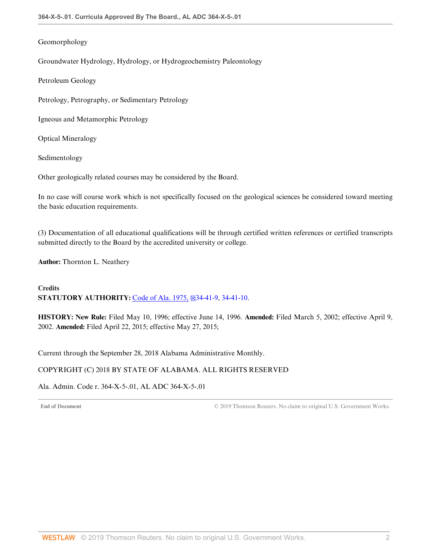# Geomorphology

Groundwater Hydrology, Hydrology, or Hydrogeochemistry Paleontology

Petroleum Geology

Petrology, Petrography, or Sedimentary Petrology

Igneous and Metamorphic Petrology

Optical Mineralogy

Sedimentology

Other geologically related courses may be considered by the Board.

In no case will course work which is not specifically focused on the geological sciences be considered toward meeting the basic education requirements.

(3) Documentation of all educational qualifications will be through certified written references or certified transcripts submitted directly to the Board by the accredited university or college.

**Author:** Thornton L. Neathery

# **Credits STATUTORY AUTHORITY:** [Code of Ala. 1975, §§34-41-9,](http://www.westlaw.com/Link/Document/FullText?findType=L&pubNum=1000002&cite=ALSTS34-41-9&originatingDoc=I9DB33424688447779720A27877CF13B5&refType=LQ&originationContext=document&vr=3.0&rs=cblt1.0&transitionType=DocumentItem&contextData=(sc.Default)) [34-41-10.](http://www.westlaw.com/Link/Document/FullText?findType=L&pubNum=1000002&cite=ALSTS34-41-10&originatingDoc=I9DB33424688447779720A27877CF13B5&refType=LQ&originationContext=document&vr=3.0&rs=cblt1.0&transitionType=DocumentItem&contextData=(sc.Default))

**HISTORY: New Rule:** Filed May 10, 1996; effective June 14, 1996. **Amended:** Filed March 5, 2002; effective April 9, 2002. **Amended:** Filed April 22, 2015; effective May 27, 2015;

<span id="page-32-0"></span>Current through the September 28, 2018 Alabama Administrative Monthly.

# COPYRIGHT (C) 2018 BY STATE OF ALABAMA. ALL RIGHTS RESERVED

Ala. Admin. Code r. 364-X-5-.01, AL ADC 364-X-5-.01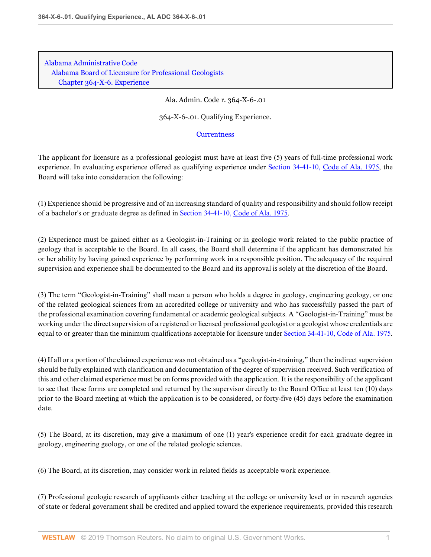[Alabama Administrative Code](http://www.westlaw.com/Browse/Home/Regulations/AlabamaRegulations?transitionType=DocumentItem&contextData=(sc.Default)&rs=clbt1.0&vr=3.0) [Alabama Board of Licensure for Professional Geologists](http://www.westlaw.com/Browse/Home/Regulations/AlabamaRegulations?guid=IB36CA5F191AA11E8899E005056B56C30&transitionType=DocumentItem&contextData=(sc.Default)&rs=clbt1.0&vr=3.0) [Chapter 364-X-6. Experience](http://www.westlaw.com/Browse/Home/Regulations/AlabamaRegulations?guid=IB36CCD1791AA11E8899E005056B56C30&transitionType=DocumentItem&contextData=(sc.Default)&rs=clbt1.0&vr=3.0)

Ala. Admin. Code r. 364-X-6-.01

364-X-6-.01. Qualifying Experience.

**[Currentness](#page-34-0)** 

The applicant for licensure as a professional geologist must have at least five (5) years of full-time professional work experience. In evaluating experience offered as qualifying experience under [Section 34-41-10, Code of Ala. 1975,](http://www.westlaw.com/Link/Document/FullText?findType=L&pubNum=1000002&cite=ALSTS34-41-10&originatingDoc=I4E659A4991E94F6885644BF4C3AEC730&refType=LQ&originationContext=document&vr=3.0&rs=cblt1.0&transitionType=DocumentItem&contextData=(sc.Default)) the Board will take into consideration the following:

(1) Experience should be progressive and of an increasing standard of quality and responsibility and should follow receipt of a bachelor's or graduate degree as defined in [Section 34-41-10, Code of Ala. 1975.](http://www.westlaw.com/Link/Document/FullText?findType=L&pubNum=1000002&cite=ALSTS34-41-10&originatingDoc=I4E659A4991E94F6885644BF4C3AEC730&refType=LQ&originationContext=document&vr=3.0&rs=cblt1.0&transitionType=DocumentItem&contextData=(sc.Default))

(2) Experience must be gained either as a Geologist-in-Training or in geologic work related to the public practice of geology that is acceptable to the Board. In all cases, the Board shall determine if the applicant has demonstrated his or her ability by having gained experience by performing work in a responsible position. The adequacy of the required supervision and experience shall be documented to the Board and its approval is solely at the discretion of the Board.

(3) The term "Geologist-in-Training" shall mean a person who holds a degree in geology, engineering geology, or one of the related geological sciences from an accredited college or university and who has successfully passed the part of the professional examination covering fundamental or academic geological subjects. A "Geologist-in-Training" must be working under the direct supervision of a registered or licensed professional geologist or a geologist whose credentials are equal to or greater than the minimum qualifications acceptable for licensure under [Section 34-41-10, Code of Ala. 1975](http://www.westlaw.com/Link/Document/FullText?findType=L&pubNum=1000002&cite=ALSTS34-41-10&originatingDoc=I4E659A4991E94F6885644BF4C3AEC730&refType=LQ&originationContext=document&vr=3.0&rs=cblt1.0&transitionType=DocumentItem&contextData=(sc.Default)).

(4) If all or a portion of the claimed experience was not obtained as a "geologist-in-training," then the indirect supervision should be fully explained with clarification and documentation of the degree of supervision received. Such verification of this and other claimed experience must be on forms provided with the application. It is the responsibility of the applicant to see that these forms are completed and returned by the supervisor directly to the Board Office at least ten (10) days prior to the Board meeting at which the application is to be considered, or forty-five (45) days before the examination date.

(5) The Board, at its discretion, may give a maximum of one (1) year's experience credit for each graduate degree in geology, engineering geology, or one of the related geologic sciences.

(6) The Board, at its discretion, may consider work in related fields as acceptable work experience.

(7) Professional geologic research of applicants either teaching at the college or university level or in research agencies of state or federal government shall be credited and applied toward the experience requirements, provided this research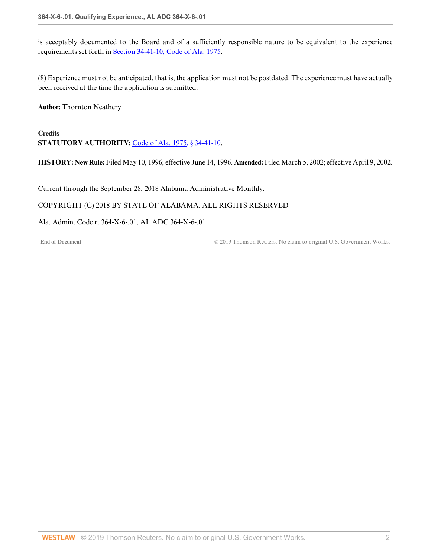is acceptably documented to the Board and of a sufficiently responsible nature to be equivalent to the experience requirements set forth in [Section 34-41-10, Code of Ala. 1975.](http://www.westlaw.com/Link/Document/FullText?findType=L&pubNum=1000002&cite=ALSTS34-41-10&originatingDoc=I4E659A4991E94F6885644BF4C3AEC730&refType=LQ&originationContext=document&vr=3.0&rs=cblt1.0&transitionType=DocumentItem&contextData=(sc.Default))

(8) Experience must not be anticipated, that is, the application must not be postdated. The experience must have actually been received at the time the application is submitted.

**Author:** Thornton Neathery

# **Credits STATUTORY AUTHORITY:** [Code of Ala. 1975, § 34-41-10.](http://www.westlaw.com/Link/Document/FullText?findType=L&pubNum=1000002&cite=ALSTS34-41-10&originatingDoc=I4E659A4991E94F6885644BF4C3AEC730&refType=LQ&originationContext=document&vr=3.0&rs=cblt1.0&transitionType=DocumentItem&contextData=(sc.Default))

**HISTORY: New Rule:** Filed May 10, 1996; effective June 14, 1996. **Amended:** Filed March 5, 2002; effective April 9, 2002.

<span id="page-34-0"></span>Current through the September 28, 2018 Alabama Administrative Monthly.

### COPYRIGHT (C) 2018 BY STATE OF ALABAMA. ALL RIGHTS RESERVED

### Ala. Admin. Code r. 364-X-6-.01, AL ADC 364-X-6-.01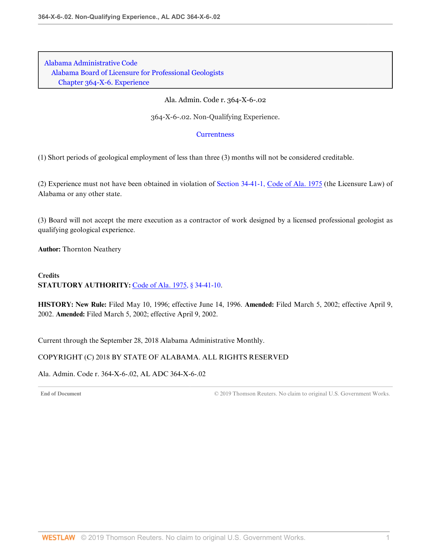[Alabama Administrative Code](http://www.westlaw.com/Browse/Home/Regulations/AlabamaRegulations?transitionType=DocumentItem&contextData=(sc.Default)&rs=clbt1.0&vr=3.0) [Alabama Board of Licensure for Professional Geologists](http://www.westlaw.com/Browse/Home/Regulations/AlabamaRegulations?guid=IB36CA5F191AA11E8899E005056B56C30&transitionType=DocumentItem&contextData=(sc.Default)&rs=clbt1.0&vr=3.0) [Chapter 364-X-6. Experience](http://www.westlaw.com/Browse/Home/Regulations/AlabamaRegulations?guid=IB36CCD1791AA11E8899E005056B56C30&transitionType=DocumentItem&contextData=(sc.Default)&rs=clbt1.0&vr=3.0)

### Ala. Admin. Code r. 364-X-6-.02

364-X-6-.02. Non-Qualifying Experience.

#### **[Currentness](#page-35-0)**

(1) Short periods of geological employment of less than three (3) months will not be considered creditable.

(2) Experience must not have been obtained in violation of [Section 34-41-1, Code of Ala. 1975](http://www.westlaw.com/Link/Document/FullText?findType=L&pubNum=1000002&cite=ALSTS34-41-1&originatingDoc=IA70647DC711A4BDB8E3B824CFBA71A15&refType=LQ&originationContext=document&vr=3.0&rs=cblt1.0&transitionType=DocumentItem&contextData=(sc.Default)) (the Licensure Law) of Alabama or any other state.

(3) Board will not accept the mere execution as a contractor of work designed by a licensed professional geologist as qualifying geological experience.

**Author:** Thornton Neathery

# **Credits STATUTORY AUTHORITY:** [Code of Ala. 1975, § 34-41-10.](http://www.westlaw.com/Link/Document/FullText?findType=L&pubNum=1000002&cite=ALSTS34-41-10&originatingDoc=IA70647DC711A4BDB8E3B824CFBA71A15&refType=LQ&originationContext=document&vr=3.0&rs=cblt1.0&transitionType=DocumentItem&contextData=(sc.Default))

**HISTORY: New Rule:** Filed May 10, 1996; effective June 14, 1996. **Amended:** Filed March 5, 2002; effective April 9, 2002. **Amended:** Filed March 5, 2002; effective April 9, 2002.

<span id="page-35-0"></span>Current through the September 28, 2018 Alabama Administrative Monthly.

### COPYRIGHT (C) 2018 BY STATE OF ALABAMA. ALL RIGHTS RESERVED

Ala. Admin. Code r. 364-X-6-.02, AL ADC 364-X-6-.02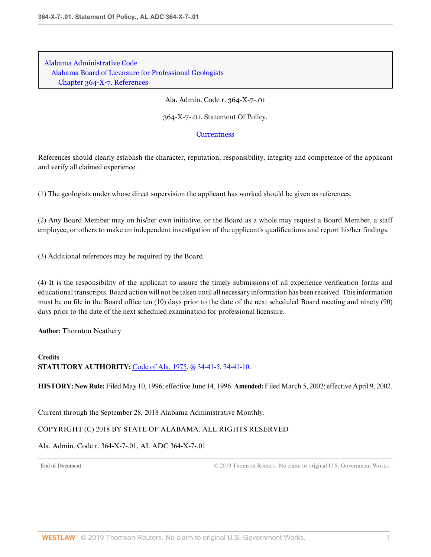Ala. Admin. Code r. 364-X-7-.01

364-X-7-.01. Statement Of Policy.

### **[Currentness](#page-36-0)**

References should clearly establish the character, reputation, responsibility, integrity and competence of the applicant and verify all claimed experience.

(1) The geologists under whose direct supervision the applicant has worked should be given as references.

(2) Any Board Member may on his/her own initiative, or the Board as a whole may request a Board Member, a staff employee, or others to make an independent investigation of the applicant's qualifications and report his/her findings.

(3) Additional references may be required by the Board.

(4) It is the responsibility of the applicant to assure the timely submissions of all experience verification forms and educational transcripts. Board action will not be taken until all necessary information has been received. This information must be on file in the Board office ten (10) days prior to the date of the next scheduled Board meeting and ninety (90) days prior to the date of the next scheduled examination for professional licensure.

**Author:** Thornton Neathery

## **Credits STATUTORY AUTHORITY:** [Code of Ala. 1975, §§ 34-41-5](http://www.westlaw.com/Link/Document/FullText?findType=L&pubNum=1000002&cite=ALSTS34-41-5&originatingDoc=I6A94F276149543E785F04E7B710B73C9&refType=LQ&originationContext=document&vr=3.0&rs=cblt1.0&transitionType=DocumentItem&contextData=(sc.Default)), [34-41-10](http://www.westlaw.com/Link/Document/FullText?findType=L&pubNum=1000002&cite=ALSTS34-41-10&originatingDoc=I6A94F276149543E785F04E7B710B73C9&refType=LQ&originationContext=document&vr=3.0&rs=cblt1.0&transitionType=DocumentItem&contextData=(sc.Default)).

**HISTORY: New Rule:** Filed May 10, 1996; effective June 14, 1996. **Amended:** Filed March 5, 2002; effective April 9, 2002.

<span id="page-36-0"></span>Current through the September 28, 2018 Alabama Administrative Monthly.

### COPYRIGHT (C) 2018 BY STATE OF ALABAMA. ALL RIGHTS RESERVED

Ala. Admin. Code r. 364-X-7-.01, AL ADC 364-X-7-.01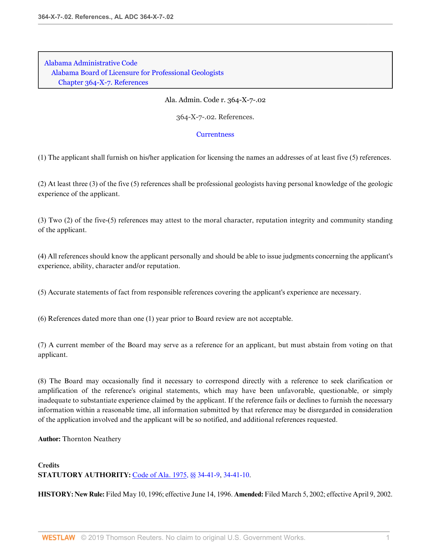Ala. Admin. Code r. 364-X-7-.02

364-X-7-.02. References.

#### **[Currentness](#page-38-0)**

(1) The applicant shall furnish on his/her application for licensing the names an addresses of at least five (5) references.

(2) At least three (3) of the five (5) references shall be professional geologists having personal knowledge of the geologic experience of the applicant.

(3) Two (2) of the five-(5) references may attest to the moral character, reputation integrity and community standing of the applicant.

(4) All references should know the applicant personally and should be able to issue judgments concerning the applicant's experience, ability, character and/or reputation.

(5) Accurate statements of fact from responsible references covering the applicant's experience are necessary.

(6) References dated more than one (1) year prior to Board review are not acceptable.

(7) A current member of the Board may serve as a reference for an applicant, but must abstain from voting on that applicant.

(8) The Board may occasionally find it necessary to correspond directly with a reference to seek clarification or amplification of the reference's original statements, which may have been unfavorable, questionable, or simply inadequate to substantiate experience claimed by the applicant. If the reference fails or declines to furnish the necessary information within a reasonable time, all information submitted by that reference may be disregarded in consideration of the application involved and the applicant will be so notified, and additional references requested.

**Author:** Thornton Neathery

### **Credits STATUTORY AUTHORITY:** [Code of Ala. 1975, §§ 34-41-9](http://www.westlaw.com/Link/Document/FullText?findType=L&pubNum=1000002&cite=ALSTS34-41-9&originatingDoc=I595CDC2915A1411586F9871404600550&refType=LQ&originationContext=document&vr=3.0&rs=cblt1.0&transitionType=DocumentItem&contextData=(sc.Default)), [34-41-10](http://www.westlaw.com/Link/Document/FullText?findType=L&pubNum=1000002&cite=ALSTS34-41-10&originatingDoc=I595CDC2915A1411586F9871404600550&refType=LQ&originationContext=document&vr=3.0&rs=cblt1.0&transitionType=DocumentItem&contextData=(sc.Default)).

**HISTORY: New Rule:** Filed May 10, 1996; effective June 14, 1996. **Amended:** Filed March 5, 2002; effective April 9, 2002.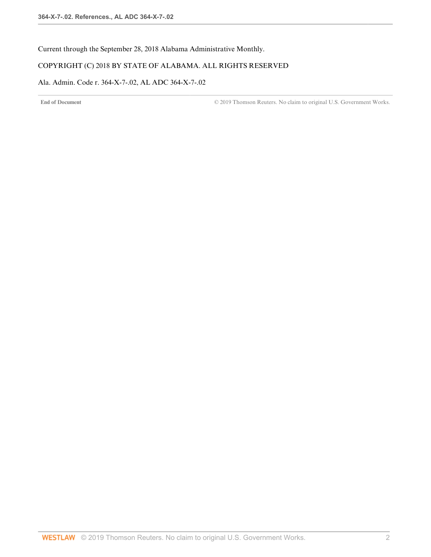<span id="page-38-0"></span>Current through the September 28, 2018 Alabama Administrative Monthly.

### COPYRIGHT (C) 2018 BY STATE OF ALABAMA. ALL RIGHTS RESERVED

### Ala. Admin. Code r. 364-X-7-.02, AL ADC 364-X-7-.02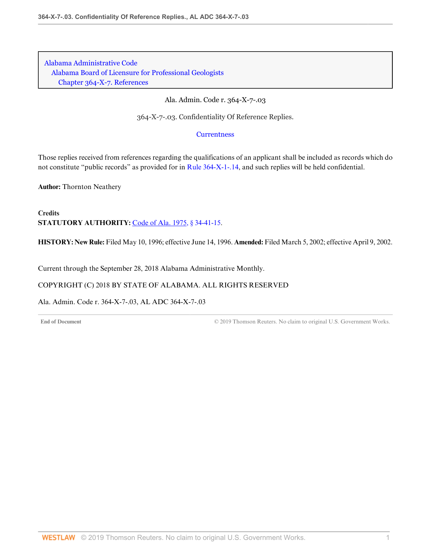Ala. Admin. Code r. 364-X-7-.03

364-X-7-.03. Confidentiality Of Reference Replies.

**[Currentness](#page-39-0)** 

Those replies received from references regarding the qualifications of an applicant shall be included as records which do not constitute "public records" as provided for in [Rule 364-X-1-.14,](http://www.westlaw.com/Link/Document/FullText?findType=L&pubNum=1012843&cite=ALADC364-X-1-.14&originatingDoc=I0E1628DDA2434D1D8964693F17BADCFC&refType=VP&originationContext=document&vr=3.0&rs=cblt1.0&transitionType=DocumentItem&contextData=(sc.Default)) and such replies will be held confidential.

**Author:** Thornton Neathery

**Credits STATUTORY AUTHORITY:** [Code of Ala. 1975, § 34-41-15.](http://www.westlaw.com/Link/Document/FullText?findType=L&pubNum=1000002&cite=ALSTS34-41-15&originatingDoc=I0E1628DDA2434D1D8964693F17BADCFC&refType=LQ&originationContext=document&vr=3.0&rs=cblt1.0&transitionType=DocumentItem&contextData=(sc.Default))

**HISTORY: New Rule:** Filed May 10, 1996; effective June 14, 1996. **Amended:** Filed March 5, 2002; effective April 9, 2002.

<span id="page-39-0"></span>Current through the September 28, 2018 Alabama Administrative Monthly.

### COPYRIGHT (C) 2018 BY STATE OF ALABAMA. ALL RIGHTS RESERVED

Ala. Admin. Code r. 364-X-7-.03, AL ADC 364-X-7-.03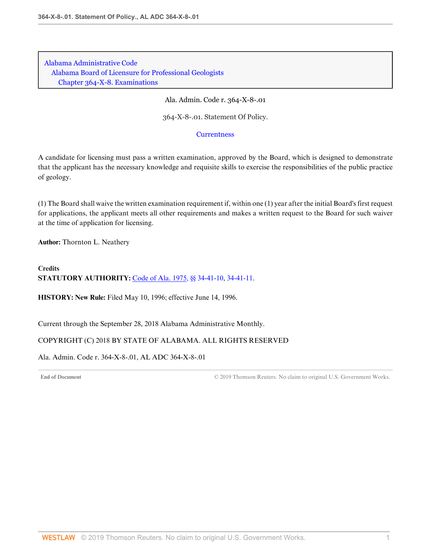Ala. Admin. Code r. 364-X-8-.01

364-X-8-.01. Statement Of Policy.

**[Currentness](#page-40-0)** 

A candidate for licensing must pass a written examination, approved by the Board, which is designed to demonstrate that the applicant has the necessary knowledge and requisite skills to exercise the responsibilities of the public practice of geology.

(1) The Board shall waive the written examination requirement if, within one (1) year after the initial Board's first request for applications, the applicant meets all other requirements and makes a written request to the Board for such waiver at the time of application for licensing.

**Author:** Thornton L. Neathery

**Credits STATUTORY AUTHORITY:** [Code of Ala. 1975, §§ 34-41-10](http://www.westlaw.com/Link/Document/FullText?findType=L&pubNum=1000002&cite=ALSTS34-41-10&originatingDoc=IB2DE63A9F0C04BD4B40A0457F31D4D29&refType=LQ&originationContext=document&vr=3.0&rs=cblt1.0&transitionType=DocumentItem&contextData=(sc.Default)), [34-41-11](http://www.westlaw.com/Link/Document/FullText?findType=L&pubNum=1000002&cite=ALSTS34-41-11&originatingDoc=IB2DE63A9F0C04BD4B40A0457F31D4D29&refType=LQ&originationContext=document&vr=3.0&rs=cblt1.0&transitionType=DocumentItem&contextData=(sc.Default)).

**HISTORY: New Rule:** Filed May 10, 1996; effective June 14, 1996.

<span id="page-40-0"></span>Current through the September 28, 2018 Alabama Administrative Monthly.

### COPYRIGHT (C) 2018 BY STATE OF ALABAMA. ALL RIGHTS RESERVED

Ala. Admin. Code r. 364-X-8-.01, AL ADC 364-X-8-.01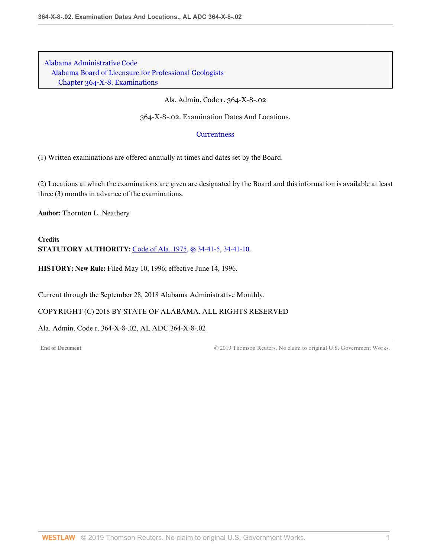Ala. Admin. Code r. 364-X-8-.02

364-X-8-.02. Examination Dates And Locations.

#### **[Currentness](#page-41-0)**

(1) Written examinations are offered annually at times and dates set by the Board.

(2) Locations at which the examinations are given are designated by the Board and this information is available at least three (3) months in advance of the examinations.

**Author:** Thornton L. Neathery

**Credits STATUTORY AUTHORITY:** [Code of Ala. 1975, §§ 34-41-5](http://www.westlaw.com/Link/Document/FullText?findType=L&pubNum=1000002&cite=ALSTS34-41-5&originatingDoc=I19D3A1B70B1E4F168C01B1A7995B45E6&refType=LQ&originationContext=document&vr=3.0&rs=cblt1.0&transitionType=DocumentItem&contextData=(sc.Default)), [34-41-10](http://www.westlaw.com/Link/Document/FullText?findType=L&pubNum=1000002&cite=ALSTS34-41-10&originatingDoc=I19D3A1B70B1E4F168C01B1A7995B45E6&refType=LQ&originationContext=document&vr=3.0&rs=cblt1.0&transitionType=DocumentItem&contextData=(sc.Default)).

**HISTORY: New Rule:** Filed May 10, 1996; effective June 14, 1996.

<span id="page-41-0"></span>Current through the September 28, 2018 Alabama Administrative Monthly.

COPYRIGHT (C) 2018 BY STATE OF ALABAMA. ALL RIGHTS RESERVED

Ala. Admin. Code r. 364-X-8-.02, AL ADC 364-X-8-.02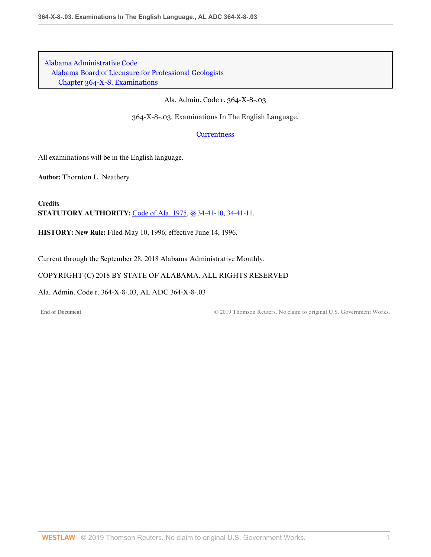Ala. Admin. Code r. 364-X-8-.03

364-X-8-.03. Examinations In The English Language.

**[Currentness](#page-42-0)** 

All examinations will be in the English language.

**Author:** Thornton L. Neathery

**Credits STATUTORY AUTHORITY:** [Code of Ala. 1975, §§ 34-41-10](http://www.westlaw.com/Link/Document/FullText?findType=L&pubNum=1000002&cite=ALSTS34-41-10&originatingDoc=I3645CCF9E4F545EA8A557064DA368C31&refType=LQ&originationContext=document&vr=3.0&rs=cblt1.0&transitionType=DocumentItem&contextData=(sc.Default)), [34-41-11](http://www.westlaw.com/Link/Document/FullText?findType=L&pubNum=1000002&cite=ALSTS34-41-11&originatingDoc=I3645CCF9E4F545EA8A557064DA368C31&refType=LQ&originationContext=document&vr=3.0&rs=cblt1.0&transitionType=DocumentItem&contextData=(sc.Default)).

**HISTORY: New Rule:** Filed May 10, 1996; effective June 14, 1996.

<span id="page-42-0"></span>Current through the September 28, 2018 Alabama Administrative Monthly.

COPYRIGHT (C) 2018 BY STATE OF ALABAMA. ALL RIGHTS RESERVED

Ala. Admin. Code r. 364-X-8-.03, AL ADC 364-X-8-.03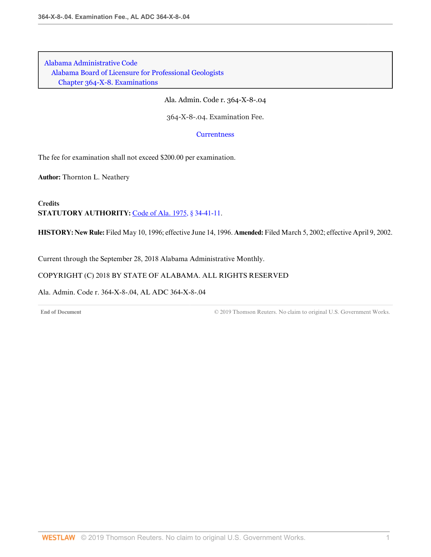Ala. Admin. Code r. 364-X-8-.04

364-X-8-.04. Examination Fee.

**[Currentness](#page-43-0)** 

The fee for examination shall not exceed \$200.00 per examination.

**Author:** Thornton L. Neathery

**Credits STATUTORY AUTHORITY:** [Code of Ala. 1975, § 34-41-11.](http://www.westlaw.com/Link/Document/FullText?findType=L&pubNum=1000002&cite=ALSTS34-41-11&originatingDoc=IA3C6736D477E4D3DBA9D93C87F84B15E&refType=LQ&originationContext=document&vr=3.0&rs=cblt1.0&transitionType=DocumentItem&contextData=(sc.Default))

**HISTORY: New Rule:** Filed May 10, 1996; effective June 14, 1996. **Amended:** Filed March 5, 2002; effective April 9, 2002.

<span id="page-43-0"></span>Current through the September 28, 2018 Alabama Administrative Monthly.

COPYRIGHT (C) 2018 BY STATE OF ALABAMA. ALL RIGHTS RESERVED

Ala. Admin. Code r. 364-X-8-.04, AL ADC 364-X-8-.04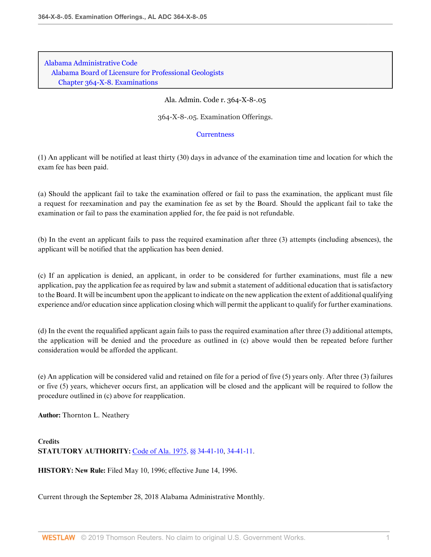Ala. Admin. Code r. 364-X-8-.05

364-X-8-.05. Examination Offerings.

#### **[Currentness](#page-44-0)**

(1) An applicant will be notified at least thirty (30) days in advance of the examination time and location for which the exam fee has been paid.

(a) Should the applicant fail to take the examination offered or fail to pass the examination, the applicant must file a request for reexamination and pay the examination fee as set by the Board. Should the applicant fail to take the examination or fail to pass the examination applied for, the fee paid is not refundable.

(b) In the event an applicant fails to pass the required examination after three (3) attempts (including absences), the applicant will be notified that the application has been denied.

(c) If an application is denied, an applicant, in order to be considered for further examinations, must file a new application, pay the application fee as required by law and submit a statement of additional education that is satisfactory to the Board. It will be incumbent upon the applicant to indicate on the new application the extent of additional qualifying experience and/or education since application closing which will permit the applicant to qualify for further examinations.

(d) In the event the requalified applicant again fails to pass the required examination after three (3) additional attempts, the application will be denied and the procedure as outlined in (c) above would then be repeated before further consideration would be afforded the applicant.

(e) An application will be considered valid and retained on file for a period of five (5) years only. After three (3) failures or five (5) years, whichever occurs first, an application will be closed and the applicant will be required to follow the procedure outlined in (c) above for reapplication.

**Author:** Thornton L. Neathery

**Credits STATUTORY AUTHORITY:** [Code of Ala. 1975, §§ 34-41-10](http://www.westlaw.com/Link/Document/FullText?findType=L&pubNum=1000002&cite=ALSTS34-41-10&originatingDoc=IEAB54BD5C283476B830E5963C908C276&refType=LQ&originationContext=document&vr=3.0&rs=cblt1.0&transitionType=DocumentItem&contextData=(sc.Default)), [34-41-11](http://www.westlaw.com/Link/Document/FullText?findType=L&pubNum=1000002&cite=ALSTS34-41-11&originatingDoc=IEAB54BD5C283476B830E5963C908C276&refType=LQ&originationContext=document&vr=3.0&rs=cblt1.0&transitionType=DocumentItem&contextData=(sc.Default)).

**HISTORY: New Rule:** Filed May 10, 1996; effective June 14, 1996.

<span id="page-44-0"></span>Current through the September 28, 2018 Alabama Administrative Monthly.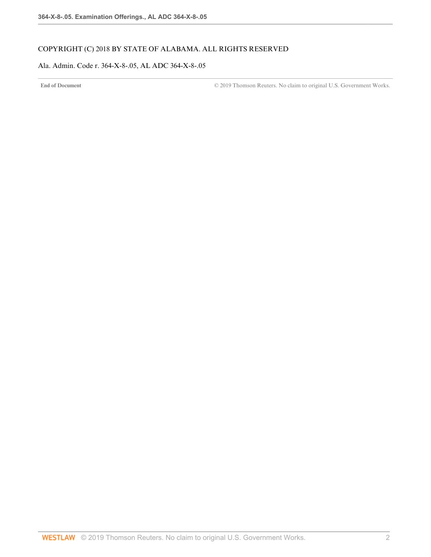## COPYRIGHT (C) 2018 BY STATE OF ALABAMA. ALL RIGHTS RESERVED

### Ala. Admin. Code r. 364-X-8-.05, AL ADC 364-X-8-.05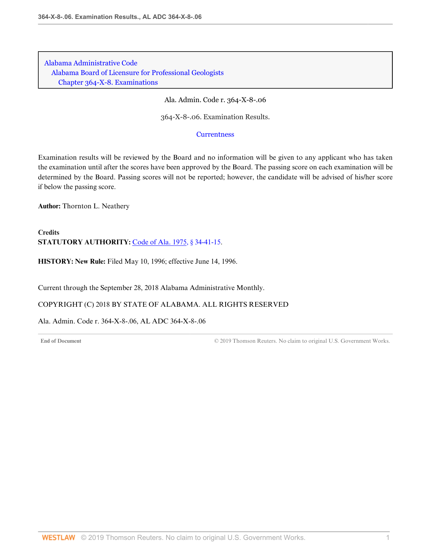Ala. Admin. Code r. 364-X-8-.06

364-X-8-.06. Examination Results.

**[Currentness](#page-46-0)** 

Examination results will be reviewed by the Board and no information will be given to any applicant who has taken the examination until after the scores have been approved by the Board. The passing score on each examination will be determined by the Board. Passing scores will not be reported; however, the candidate will be advised of his/her score if below the passing score.

**Author:** Thornton L. Neathery

**Credits STATUTORY AUTHORITY:** [Code of Ala. 1975, § 34-41-15.](http://www.westlaw.com/Link/Document/FullText?findType=L&pubNum=1000002&cite=ALSTS34-41-15&originatingDoc=I6CAA6031A5F049A7928B0E1EBE185720&refType=LQ&originationContext=document&vr=3.0&rs=cblt1.0&transitionType=DocumentItem&contextData=(sc.Default))

**HISTORY: New Rule:** Filed May 10, 1996; effective June 14, 1996.

<span id="page-46-0"></span>Current through the September 28, 2018 Alabama Administrative Monthly.

COPYRIGHT (C) 2018 BY STATE OF ALABAMA. ALL RIGHTS RESERVED

Ala. Admin. Code r. 364-X-8-.06, AL ADC 364-X-8-.06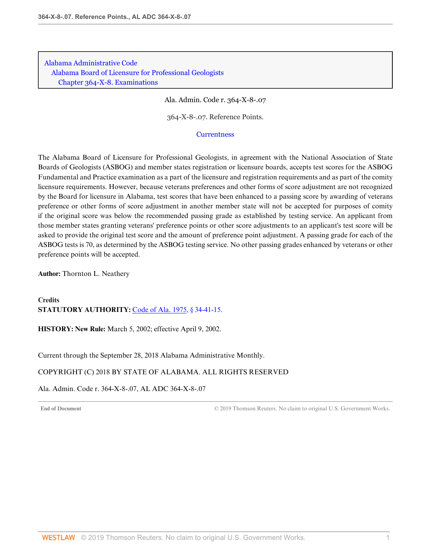Ala. Admin. Code r. 364-X-8-.07

364-X-8-.07. Reference Points.

#### **[Currentness](#page-47-0)**

The Alabama Board of Licensure for Professional Geologists, in agreement with the National Association of State Boards of Geologists (ASBOG) and member states registration or licensure boards, accepts test scores for the ASBOG Fundamental and Practice examination as a part of the licensure and registration requirements and as part of the comity licensure requirements. However, because veterans preferences and other forms of score adjustment are not recognized by the Board for licensure in Alabama, test scores that have been enhanced to a passing score by awarding of veterans preference or other forms of score adjustment in another member state will not be accepted for purposes of comity if the original score was below the recommended passing grade as established by testing service. An applicant from those member states granting veterans' preference points or other score adjustments to an applicant's test score will be asked to provide the original test score and the amount of preference point adjustment. A passing grade for each of the ASBOG tests is 70, as determined by the ASBOG testing service. No other passing grades enhanced by veterans or other preference points will be accepted.

**Author:** Thornton L. Neathery

**Credits STATUTORY AUTHORITY:** [Code of Ala. 1975, § 34-41-15.](http://www.westlaw.com/Link/Document/FullText?findType=L&pubNum=1000002&cite=ALSTS34-41-15&originatingDoc=I5D0665DB4E8B482CB017552D56424252&refType=LQ&originationContext=document&vr=3.0&rs=cblt1.0&transitionType=DocumentItem&contextData=(sc.Default))

**HISTORY: New Rule:** March 5, 2002; effective April 9, 2002.

<span id="page-47-0"></span>Current through the September 28, 2018 Alabama Administrative Monthly.

### COPYRIGHT (C) 2018 BY STATE OF ALABAMA. ALL RIGHTS RESERVED

Ala. Admin. Code r. 364-X-8-.07, AL ADC 364-X-8-.07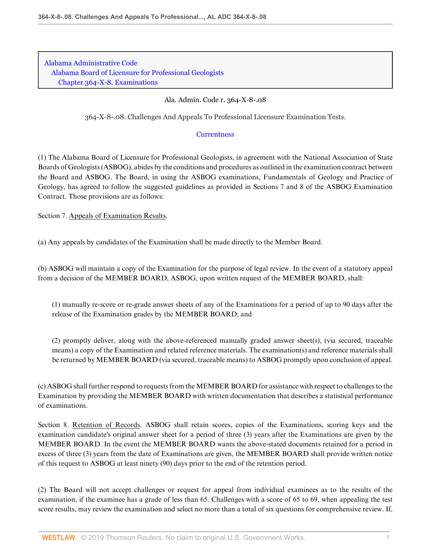Ala. Admin. Code r. 364-X-8-.08

364-X-8-.08. Challenges And Appeals To Professional Licensure Examination Tests.

### **[Currentness](#page-49-0)**

(1) The Alabama Board of Licensure for Professional Geologists, in agreement with the National Association of State Boards of Geologists (ASBOG), abides by the conditions and procedures as outlined in the examination contract between the Board and ASBOG. The Board, in using the ASBOG examinations, Fundamentals of Geology and Practice of Geology, has agreed to follow the suggested guidelines as provided in Sections 7 and 8 of the ASBOG Examination Contract. Those provisions are as follows:

Section 7. Appeals of Examination Results.

(a) Any appeals by candidates of the Examination shall be made directly to the Member Board.

(b) ASBOG will maintain a copy of the Examination for the purpose of legal review. In the event of a statutory appeal from a decision of the MEMBER BOARD, ASBOG, upon written request of the MEMBER BOARD, shall:

(1) manually re-score or re-grade answer sheets of any of the Examinations for a period of up to 90 days after the release of the Examination grades by the MEMBER BOARD; and

(2) promptly deliver, along with the above-referenced manually graded answer sheet(s), (via secured, traceable means) a copy of the Examination and related reference materials. The examination(s) and reference materials shall be returned by MEMBER BOARD (via secured, traceable means) to ASBOG promptly upon conclusion of appeal.

(c) ASBOG shall further respond to requests from the MEMBER BOARD for assistance with respect to challenges to the Examination by providing the MEMBER BOARD with written documentation that describes a statistical performance of examinations.

Section 8. Retention of Records. ASBOG shall retain scores, copies of the Examinations, scoring keys and the examination candidate's original answer sheet for a period of three (3) years after the Examinations are given by the MEMBER BOARD. In the event the MEMBER BOARD wants the above-stated documents retained for a period in excess of three (3) years from the date of Examinations are given, the MEMBER BOARD shall provide written notice of this request to ASBOG at least ninety (90) days prior to the end of the retention period.

(2) The Board will not accept challenges or request for appeal from individual examinees as to the results of the examination, if the examinee has a grade of less than 65. Challenges with a score of 65 to 69, when appealing the test score results, may review the examination and select no more than a total of six questions for comprehensive review. If,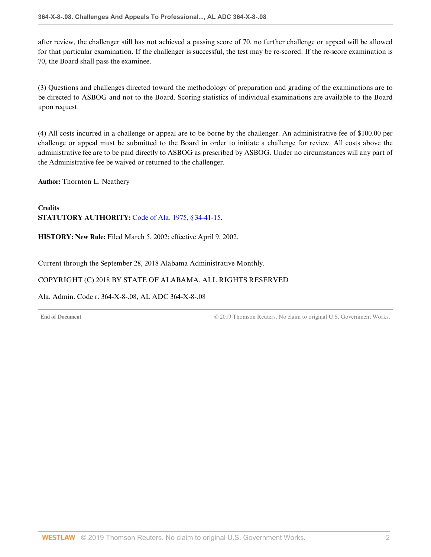after review, the challenger still has not achieved a passing score of 70, no further challenge or appeal will be allowed for that particular examination. If the challenger is successful, the test may be re-scored. If the re-score examination is 70, the Board shall pass the examinee.

(3) Questions and challenges directed toward the methodology of preparation and grading of the examinations are to be directed to ASBOG and not to the Board. Scoring statistics of individual examinations are available to the Board upon request.

(4) All costs incurred in a challenge or appeal are to be borne by the challenger. An administrative fee of \$100.00 per challenge or appeal must be submitted to the Board in order to initiate a challenge for review. All costs above the administrative fee are to be paid directly to ASBOG as prescribed by ASBOG. Under no circumstances will any part of the Administrative fee be waived or returned to the challenger.

**Author:** Thornton L. Neathery

**Credits STATUTORY AUTHORITY:** [Code of Ala. 1975, § 34-41-15.](http://www.westlaw.com/Link/Document/FullText?findType=L&pubNum=1000002&cite=ALSTS34-41-15&originatingDoc=I83CBCAE819124DF4BD8E0928AFA1379A&refType=LQ&originationContext=document&vr=3.0&rs=cblt1.0&transitionType=DocumentItem&contextData=(sc.Default))

**HISTORY: New Rule:** Filed March 5, 2002; effective April 9, 2002.

<span id="page-49-0"></span>Current through the September 28, 2018 Alabama Administrative Monthly.

## COPYRIGHT (C) 2018 BY STATE OF ALABAMA. ALL RIGHTS RESERVED

Ala. Admin. Code r. 364-X-8-.08, AL ADC 364-X-8-.08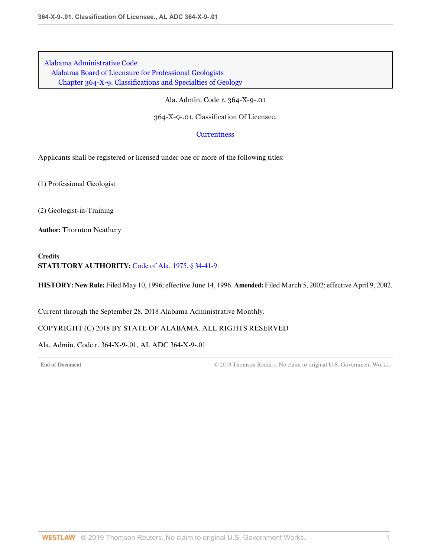[Alabama Administrative Code](http://www.westlaw.com/Browse/Home/Regulations/AlabamaRegulations?transitionType=DocumentItem&contextData=(sc.Default)&rs=clbt1.0&vr=3.0) [Alabama Board of Licensure for Professional Geologists](http://www.westlaw.com/Browse/Home/Regulations/AlabamaRegulations?guid=IB36CA5F191AA11E8899E005056B56C30&transitionType=DocumentItem&contextData=(sc.Default)&rs=clbt1.0&vr=3.0) [Chapter 364-X-9. Classifications and Specialties of Geology](http://www.westlaw.com/Browse/Home/Regulations/AlabamaRegulations?guid=IB36CCD2791AA11E8899E005056B56C30&transitionType=DocumentItem&contextData=(sc.Default)&rs=clbt1.0&vr=3.0)

Ala. Admin. Code r. 364-X-9-.01

364-X-9-.01. Classification Of Licensee.

#### **[Currentness](#page-50-0)**

Applicants shall be registered or licensed under one or more of the following titles:

(1) Professional Geologist

(2) Geologist-in-Training

**Author:** Thornton Neathery

### **Credits STATUTORY AUTHORITY:** [Code of Ala. 1975, § 34-41-9.](http://www.westlaw.com/Link/Document/FullText?findType=L&pubNum=1000002&cite=ALSTS34-41-9&originatingDoc=I92453452253D422FB4B7BFF4FFE340AC&refType=LQ&originationContext=document&vr=3.0&rs=cblt1.0&transitionType=DocumentItem&contextData=(sc.Default))

**HISTORY: New Rule:** Filed May 10, 1996; effective June 14, 1996. **Amended:** Filed March 5, 2002; effective April 9, 2002.

<span id="page-50-0"></span>Current through the September 28, 2018 Alabama Administrative Monthly.

### COPYRIGHT (C) 2018 BY STATE OF ALABAMA. ALL RIGHTS RESERVED

Ala. Admin. Code r. 364-X-9-.01, AL ADC 364-X-9-.01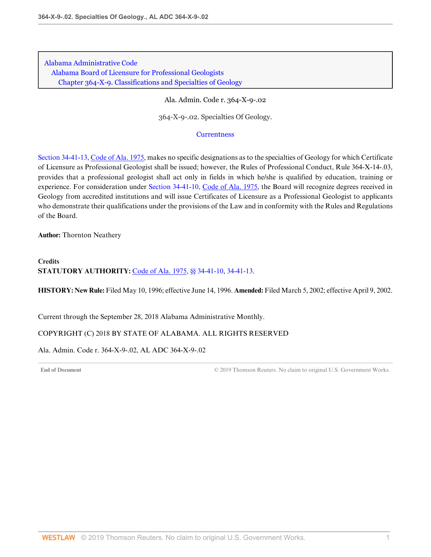[Alabama Administrative Code](http://www.westlaw.com/Browse/Home/Regulations/AlabamaRegulations?transitionType=DocumentItem&contextData=(sc.Default)&rs=clbt1.0&vr=3.0) [Alabama Board of Licensure for Professional Geologists](http://www.westlaw.com/Browse/Home/Regulations/AlabamaRegulations?guid=IB36CA5F191AA11E8899E005056B56C30&transitionType=DocumentItem&contextData=(sc.Default)&rs=clbt1.0&vr=3.0) [Chapter 364-X-9. Classifications and Specialties of Geology](http://www.westlaw.com/Browse/Home/Regulations/AlabamaRegulations?guid=IB36CCD2791AA11E8899E005056B56C30&transitionType=DocumentItem&contextData=(sc.Default)&rs=clbt1.0&vr=3.0)

Ala. Admin. Code r. 364-X-9-.02

364-X-9-.02. Specialties Of Geology.

#### **[Currentness](#page-51-0)**

[Section 34-41-13, Code of Ala. 1975,](http://www.westlaw.com/Link/Document/FullText?findType=L&pubNum=1000002&cite=ALSTS34-41-13&originatingDoc=I3EAF5E38BB4644CCB66E16622DEEB0D3&refType=LQ&originationContext=document&vr=3.0&rs=cblt1.0&transitionType=DocumentItem&contextData=(sc.Default)) makes no specific designations as to the specialties of Geology for which Certificate of Licensure as Professional Geologist shall be issued; however, the Rules of Professional Conduct, Rule 364-X-14-.03, provides that a professional geologist shall act only in fields in which he/she is qualified by education, training or experience. For consideration under [Section 34-41-10, Code of Ala. 1975,](http://www.westlaw.com/Link/Document/FullText?findType=L&pubNum=1000002&cite=ALSTS34-41-10&originatingDoc=I3EAF5E38BB4644CCB66E16622DEEB0D3&refType=LQ&originationContext=document&vr=3.0&rs=cblt1.0&transitionType=DocumentItem&contextData=(sc.Default)) the Board will recognize degrees received in Geology from accredited institutions and will issue Certificates of Licensure as a Professional Geologist to applicants who demonstrate their qualifications under the provisions of the Law and in conformity with the Rules and Regulations of the Board.

**Author:** Thornton Neathery

## **Credits STATUTORY AUTHORITY:** [Code of Ala. 1975, §§ 34-41-10](http://www.westlaw.com/Link/Document/FullText?findType=L&pubNum=1000002&cite=ALSTS34-41-10&originatingDoc=I3EAF5E38BB4644CCB66E16622DEEB0D3&refType=LQ&originationContext=document&vr=3.0&rs=cblt1.0&transitionType=DocumentItem&contextData=(sc.Default)), [34-41-13](http://www.westlaw.com/Link/Document/FullText?findType=L&pubNum=1000002&cite=ALSTS34-41-13&originatingDoc=I3EAF5E38BB4644CCB66E16622DEEB0D3&refType=LQ&originationContext=document&vr=3.0&rs=cblt1.0&transitionType=DocumentItem&contextData=(sc.Default)).

**HISTORY: New Rule:** Filed May 10, 1996; effective June 14, 1996. **Amended:** Filed March 5, 2002; effective April 9, 2002.

<span id="page-51-0"></span>Current through the September 28, 2018 Alabama Administrative Monthly.

### COPYRIGHT (C) 2018 BY STATE OF ALABAMA. ALL RIGHTS RESERVED

Ala. Admin. Code r. 364-X-9-.02, AL ADC 364-X-9-.02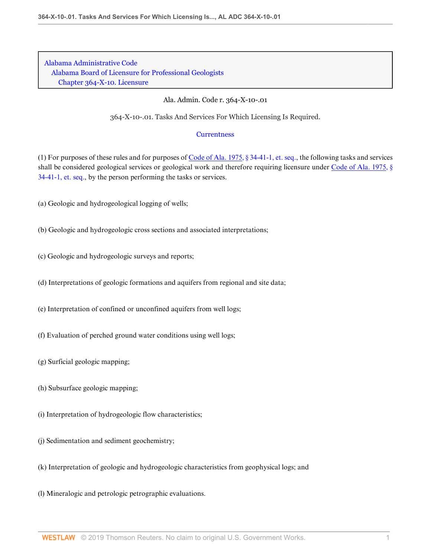Ala. Admin. Code r. 364-X-10-.01

364-X-10-.01. Tasks And Services For Which Licensing Is Required.

### **[Currentness](#page-53-0)**

(1) For purposes of these rules and for purposes of [Code of Ala. 1975, § 34-41-1, et. seq.,](http://www.westlaw.com/Link/Document/FullText?findType=L&pubNum=1000002&cite=ALSTS34-41-1&originatingDoc=IDB30032B83544B3A9297114841D7CFC0&refType=LQ&originationContext=document&vr=3.0&rs=cblt1.0&transitionType=DocumentItem&contextData=(sc.Default)) the following tasks and services shall be considered geological services or geological work and therefore requiring licensure under [Code of Ala. 1975, §](http://www.westlaw.com/Link/Document/FullText?findType=L&pubNum=1000002&cite=ALSTS34-41-1&originatingDoc=IDB30032B83544B3A9297114841D7CFC0&refType=LQ&originationContext=document&vr=3.0&rs=cblt1.0&transitionType=DocumentItem&contextData=(sc.Default)) [34-41-1, et. seq.](http://www.westlaw.com/Link/Document/FullText?findType=L&pubNum=1000002&cite=ALSTS34-41-1&originatingDoc=IDB30032B83544B3A9297114841D7CFC0&refType=LQ&originationContext=document&vr=3.0&rs=cblt1.0&transitionType=DocumentItem&contextData=(sc.Default)), by the person performing the tasks or services.

- (a) Geologic and hydrogeological logging of wells;
- (b) Geologic and hydrogeologic cross sections and associated interpretations;
- (c) Geologic and hydrogeologic surveys and reports;
- (d) Interpretations of geologic formations and aquifers from regional and site data;
- (e) Interpretation of confined or unconfined aquifers from well logs;
- (f) Evaluation of perched ground water conditions using well logs;
- (g) Surficial geologic mapping;
- (h) Subsurface geologic mapping;
- (i) Interpretation of hydrogeologic flow characteristics;
- (j) Sedimentation and sediment geochemistry;
- (k) Interpretation of geologic and hydrogeologic characteristics from geophysical logs; and
- (l) Mineralogic and petrologic petrographic evaluations.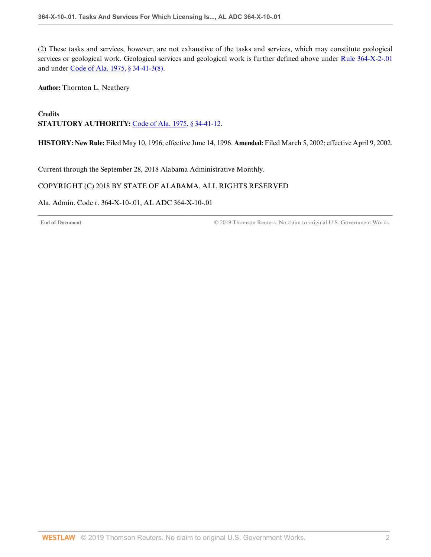(2) These tasks and services, however, are not exhaustive of the tasks and services, which may constitute geological services or geological work. Geological services and geological work is further defined above under [Rule 364-X-2-.01](http://www.westlaw.com/Link/Document/FullText?findType=L&pubNum=1012843&cite=ALADC364-X-2-.01&originatingDoc=IDB30032B83544B3A9297114841D7CFC0&refType=VP&originationContext=document&vr=3.0&rs=cblt1.0&transitionType=DocumentItem&contextData=(sc.Default)) and under [Code of Ala. 1975, § 34-41-3\(8\).](http://www.westlaw.com/Link/Document/FullText?findType=L&pubNum=1000002&cite=ALSTS34-41-3&originatingDoc=IDB30032B83544B3A9297114841D7CFC0&refType=SP&originationContext=document&vr=3.0&rs=cblt1.0&transitionType=DocumentItem&contextData=(sc.Default)#co_pp_23450000ab4d2)

**Author:** Thornton L. Neathery

**Credits** STATUTORY AUTHORITY: [Code of Ala. 1975, § 34-41-12.](http://www.westlaw.com/Link/Document/FullText?findType=L&pubNum=1000002&cite=ALSTS34-41-12&originatingDoc=IDB30032B83544B3A9297114841D7CFC0&refType=LQ&originationContext=document&vr=3.0&rs=cblt1.0&transitionType=DocumentItem&contextData=(sc.Default))

**HISTORY: New Rule:** Filed May 10, 1996; effective June 14, 1996. **Amended:** Filed March 5, 2002; effective April 9, 2002.

<span id="page-53-0"></span>Current through the September 28, 2018 Alabama Administrative Monthly.

### COPYRIGHT (C) 2018 BY STATE OF ALABAMA. ALL RIGHTS RESERVED

Ala. Admin. Code r. 364-X-10-.01, AL ADC 364-X-10-.01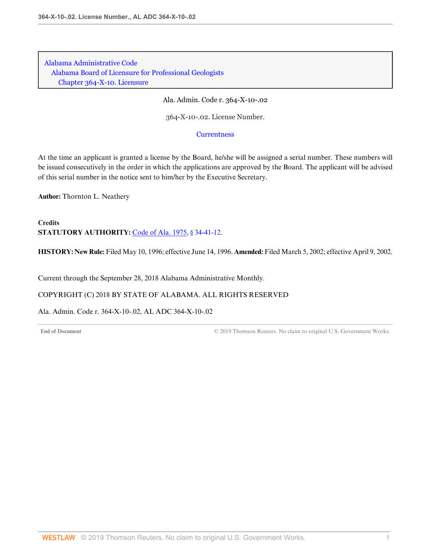Ala. Admin. Code r. 364-X-10-.02

364-X-10-.02. License Number.

**[Currentness](#page-54-0)** 

At the time an applicant is granted a license by the Board, he/she will be assigned a serial number. These numbers will be issued consecutively in the order in which the applications are approved by the Board. The applicant will be advised of this serial number in the notice sent to him/her by the Executive Secretary.

**Author:** Thornton L. Neathery

**Credits STATUTORY AUTHORITY:** [Code of Ala. 1975, § 34-41-12.](http://www.westlaw.com/Link/Document/FullText?findType=L&pubNum=1000002&cite=ALSTS34-41-12&originatingDoc=IF0C0DB105A1F41A8AF320790BE7DA1F0&refType=LQ&originationContext=document&vr=3.0&rs=cblt1.0&transitionType=DocumentItem&contextData=(sc.Default))

**HISTORY: New Rule:** Filed May 10, 1996; effective June 14, 1996. **Amended:** Filed March 5, 2002; effective April 9, 2002.

<span id="page-54-0"></span>Current through the September 28, 2018 Alabama Administrative Monthly.

COPYRIGHT (C) 2018 BY STATE OF ALABAMA. ALL RIGHTS RESERVED

Ala. Admin. Code r. 364-X-10-.02, AL ADC 364-X-10-.02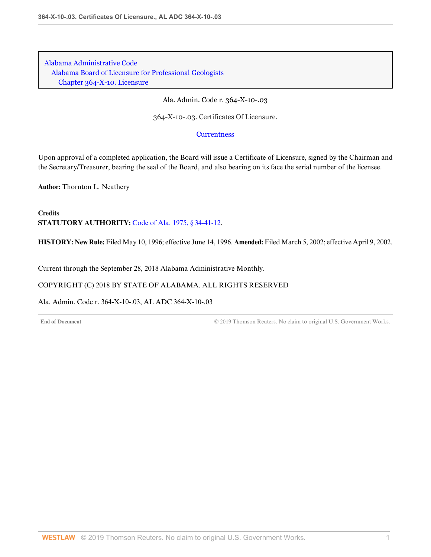Ala. Admin. Code r. 364-X-10-.03

364-X-10-.03. Certificates Of Licensure.

**[Currentness](#page-55-0)** 

Upon approval of a completed application, the Board will issue a Certificate of Licensure, signed by the Chairman and the Secretary/Treasurer, bearing the seal of the Board, and also bearing on its face the serial number of the licensee.

**Author:** Thornton L. Neathery

**Credits STATUTORY AUTHORITY:** [Code of Ala. 1975, § 34-41-12.](http://www.westlaw.com/Link/Document/FullText?findType=L&pubNum=1000002&cite=ALSTS34-41-12&originatingDoc=I28055D452BBF4BDDBE879A899DEF23EC&refType=LQ&originationContext=document&vr=3.0&rs=cblt1.0&transitionType=DocumentItem&contextData=(sc.Default))

**HISTORY: New Rule:** Filed May 10, 1996; effective June 14, 1996. **Amended:** Filed March 5, 2002; effective April 9, 2002.

<span id="page-55-0"></span>Current through the September 28, 2018 Alabama Administrative Monthly.

### COPYRIGHT (C) 2018 BY STATE OF ALABAMA. ALL RIGHTS RESERVED

Ala. Admin. Code r. 364-X-10-.03, AL ADC 364-X-10-.03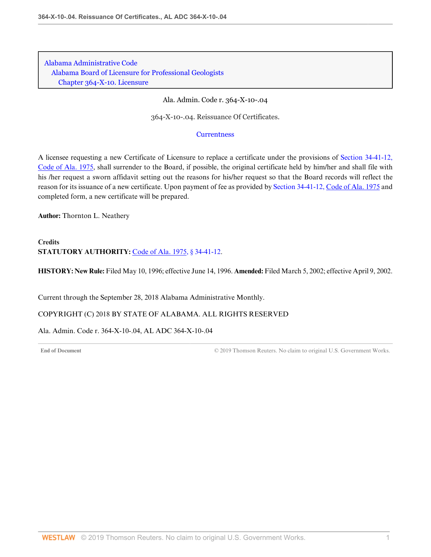Ala. Admin. Code r. 364-X-10-.04

364-X-10-.04. Reissuance Of Certificates.

#### **[Currentness](#page-56-0)**

A licensee requesting a new Certificate of Licensure to replace a certificate under the provisions of [Section 34-41-12,](http://www.westlaw.com/Link/Document/FullText?findType=L&pubNum=1000002&cite=ALSTS34-41-12&originatingDoc=I9930499E46BB438BBB58D34CDE1478FF&refType=LQ&originationContext=document&vr=3.0&rs=cblt1.0&transitionType=DocumentItem&contextData=(sc.Default)) [Code of Ala. 1975,](http://www.westlaw.com/Link/Document/FullText?findType=L&pubNum=1000002&cite=ALSTS34-41-12&originatingDoc=I9930499E46BB438BBB58D34CDE1478FF&refType=LQ&originationContext=document&vr=3.0&rs=cblt1.0&transitionType=DocumentItem&contextData=(sc.Default)) shall surrender to the Board, if possible, the original certificate held by him/her and shall file with his /her request a sworn affidavit setting out the reasons for his/her request so that the Board records will reflect the reason for its issuance of a new certificate. Upon payment of fee as provided by [Section 34-41-12, Code of Ala. 1975](http://www.westlaw.com/Link/Document/FullText?findType=L&pubNum=1000002&cite=ALSTS34-41-12&originatingDoc=I9930499E46BB438BBB58D34CDE1478FF&refType=LQ&originationContext=document&vr=3.0&rs=cblt1.0&transitionType=DocumentItem&contextData=(sc.Default)) and completed form, a new certificate will be prepared.

**Author:** Thornton L. Neathery

# **Credits STATUTORY AUTHORITY:** [Code of Ala. 1975, § 34-41-12.](http://www.westlaw.com/Link/Document/FullText?findType=L&pubNum=1000002&cite=ALSTS34-41-12&originatingDoc=I9930499E46BB438BBB58D34CDE1478FF&refType=LQ&originationContext=document&vr=3.0&rs=cblt1.0&transitionType=DocumentItem&contextData=(sc.Default))

**HISTORY: New Rule:** Filed May 10, 1996; effective June 14, 1996. **Amended:** Filed March 5, 2002; effective April 9, 2002.

<span id="page-56-0"></span>Current through the September 28, 2018 Alabama Administrative Monthly.

COPYRIGHT (C) 2018 BY STATE OF ALABAMA. ALL RIGHTS RESERVED

Ala. Admin. Code r. 364-X-10-.04, AL ADC 364-X-10-.04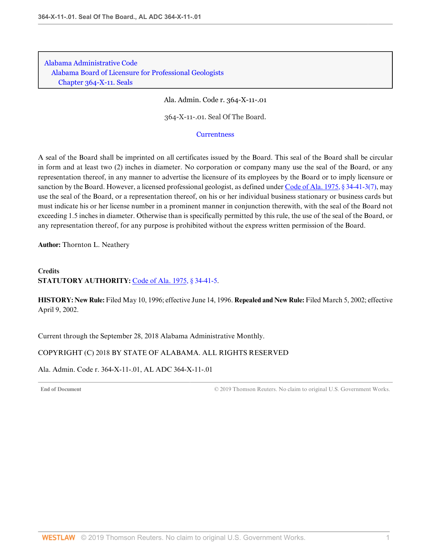Ala. Admin. Code r. 364-X-11-.01

364-X-11-.01. Seal Of The Board.

#### **[Currentness](#page-57-0)**

A seal of the Board shall be imprinted on all certificates issued by the Board. This seal of the Board shall be circular in form and at least two (2) inches in diameter. No corporation or company many use the seal of the Board, or any representation thereof, in any manner to advertise the licensure of its employees by the Board or to imply licensure or sanction by the Board. However, a licensed professional geologist, as defined under [Code of Ala. 1975, § 34-41-3\(7\),](http://www.westlaw.com/Link/Document/FullText?findType=L&pubNum=1000002&cite=ALSTS34-41-3&originatingDoc=IC54D029498294B0AA4B26A9626A9E44C&refType=SP&originationContext=document&vr=3.0&rs=cblt1.0&transitionType=DocumentItem&contextData=(sc.Default)#co_pp_794b00004e3d1) may use the seal of the Board, or a representation thereof, on his or her individual business stationary or business cards but must indicate his or her license number in a prominent manner in conjunction therewith, with the seal of the Board not exceeding 1.5 inches in diameter. Otherwise than is specifically permitted by this rule, the use of the seal of the Board, or any representation thereof, for any purpose is prohibited without the express written permission of the Board.

**Author:** Thornton L. Neathery

## **Credits STATUTORY AUTHORITY:** [Code of Ala. 1975, § 34-41-5.](http://www.westlaw.com/Link/Document/FullText?findType=L&pubNum=1000002&cite=ALSTS34-41-5&originatingDoc=IC54D029498294B0AA4B26A9626A9E44C&refType=LQ&originationContext=document&vr=3.0&rs=cblt1.0&transitionType=DocumentItem&contextData=(sc.Default))

**HISTORY: New Rule:** Filed May 10, 1996; effective June 14, 1996. **Repealed and New Rule:** Filed March 5, 2002; effective April 9, 2002.

<span id="page-57-0"></span>Current through the September 28, 2018 Alabama Administrative Monthly.

### COPYRIGHT (C) 2018 BY STATE OF ALABAMA. ALL RIGHTS RESERVED

Ala. Admin. Code r. 364-X-11-.01, AL ADC 364-X-11-.01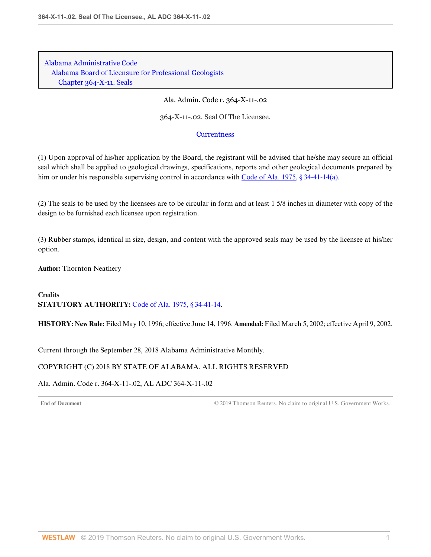Ala. Admin. Code r. 364-X-11-.02

364-X-11-.02. Seal Of The Licensee.

### **[Currentness](#page-58-0)**

(1) Upon approval of his/her application by the Board, the registrant will be advised that he/she may secure an official seal which shall be applied to geological drawings, specifications, reports and other geological documents prepared by him or under his responsible supervising control in accordance with [Code of Ala. 1975, § 34-41-14\(a\)](http://www.westlaw.com/Link/Document/FullText?findType=L&pubNum=1000002&cite=ALSTS34-41-14&originatingDoc=I760E3ABC222B4492B7EC8CA2F16E1877&refType=SP&originationContext=document&vr=3.0&rs=cblt1.0&transitionType=DocumentItem&contextData=(sc.Default)#co_pp_8b3b0000958a4).

(2) The seals to be used by the licensees are to be circular in form and at least 1 5/8 inches in diameter with copy of the design to be furnished each licensee upon registration.

(3) Rubber stamps, identical in size, design, and content with the approved seals may be used by the licensee at his/her option.

**Author:** Thornton Neathery

**Credits STATUTORY AUTHORITY:** [Code of Ala. 1975, § 34-41-14.](http://www.westlaw.com/Link/Document/FullText?findType=L&pubNum=1000002&cite=ALSTS34-41-14&originatingDoc=I760E3ABC222B4492B7EC8CA2F16E1877&refType=LQ&originationContext=document&vr=3.0&rs=cblt1.0&transitionType=DocumentItem&contextData=(sc.Default))

**HISTORY: New Rule:** Filed May 10, 1996; effective June 14, 1996. **Amended:** Filed March 5, 2002; effective April 9, 2002.

<span id="page-58-0"></span>Current through the September 28, 2018 Alabama Administrative Monthly.

### COPYRIGHT (C) 2018 BY STATE OF ALABAMA. ALL RIGHTS RESERVED

Ala. Admin. Code r. 364-X-11-.02, AL ADC 364-X-11-.02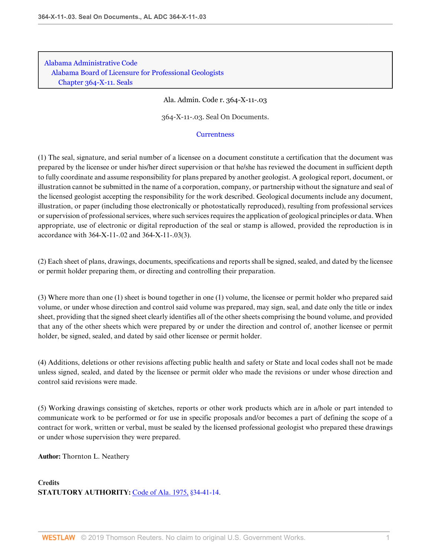Ala. Admin. Code r. 364-X-11-.03

364-X-11-.03. Seal On Documents.

#### **[Currentness](#page-60-0)**

(1) The seal, signature, and serial number of a licensee on a document constitute a certification that the document was prepared by the licensee or under his/her direct supervision or that he/she has reviewed the document in sufficient depth to fully coordinate and assume responsibility for plans prepared by another geologist. A geological report, document, or illustration cannot be submitted in the name of a corporation, company, or partnership without the signature and seal of the licensed geologist accepting the responsibility for the work described. Geological documents include any document, illustration, or paper (including those electronically or photostatically reproduced), resulting from professional services or supervision of professional services, where such services requires the application of geological principles or data. When appropriate, use of electronic or digital reproduction of the seal or stamp is allowed, provided the reproduction is in accordance with 364-X-11-.02 and 364-X-11-.03(3).

(2) Each sheet of plans, drawings, documents, specifications and reports shall be signed, sealed, and dated by the licensee or permit holder preparing them, or directing and controlling their preparation.

(3) Where more than one (1) sheet is bound together in one (1) volume, the licensee or permit holder who prepared said volume, or under whose direction and control said volume was prepared, may sign, seal, and date only the title or index sheet, providing that the signed sheet clearly identifies all of the other sheets comprising the bound volume, and provided that any of the other sheets which were prepared by or under the direction and control of, another licensee or permit holder, be signed, sealed, and dated by said other licensee or permit holder.

(4) Additions, deletions or other revisions affecting public health and safety or State and local codes shall not be made unless signed, sealed, and dated by the licensee or permit older who made the revisions or under whose direction and control said revisions were made.

(5) Working drawings consisting of sketches, reports or other work products which are in a/hole or part intended to communicate work to be performed or for use in specific proposals and/or becomes a part of defining the scope of a contract for work, written or verbal, must be sealed by the licensed professional geologist who prepared these drawings or under whose supervision they were prepared.

**Author:** Thornton L. Neathery

**Credits STATUTORY AUTHORITY:** [Code of Ala. 1975, §34-41-14](http://www.westlaw.com/Link/Document/FullText?findType=L&pubNum=1000002&cite=ALSTS34-41-14&originatingDoc=IA544F439D59A4607BA16A60667AA1F43&refType=LQ&originationContext=document&vr=3.0&rs=cblt1.0&transitionType=DocumentItem&contextData=(sc.Default)).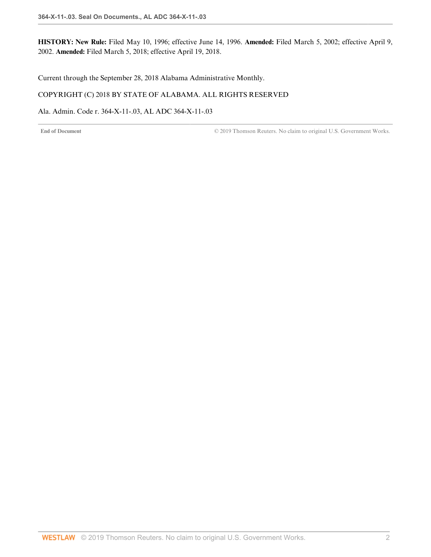**HISTORY: New Rule:** Filed May 10, 1996; effective June 14, 1996. **Amended:** Filed March 5, 2002; effective April 9, 2002. **Amended:** Filed March 5, 2018; effective April 19, 2018.

<span id="page-60-0"></span>Current through the September 28, 2018 Alabama Administrative Monthly.

### COPYRIGHT (C) 2018 BY STATE OF ALABAMA. ALL RIGHTS RESERVED

Ala. Admin. Code r. 364-X-11-.03, AL ADC 364-X-11-.03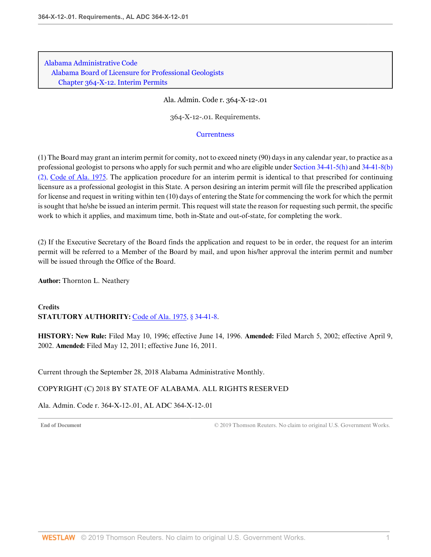Ala. Admin. Code r. 364-X-12-.01

364-X-12-.01. Requirements.

#### **[Currentness](#page-61-0)**

(1) The Board may grant an interim permit for comity, not to exceed ninety (90) days in any calendar year, to practice as a professional geologist to persons who apply for such permit and who are eligible under [Section 34-41-5\(h\)](http://www.westlaw.com/Link/Document/FullText?findType=L&pubNum=1000002&cite=ALSTS34-41-5&originatingDoc=IDBFCB65C78D84DF6A9AD7E80170CAE3C&refType=SP&originationContext=document&vr=3.0&rs=cblt1.0&transitionType=DocumentItem&contextData=(sc.Default)#co_pp_f383000077b35) and [34-41-8\(b\)](http://www.westlaw.com/Link/Document/FullText?findType=L&pubNum=1000002&cite=ALSTS34-41-8&originatingDoc=IDBFCB65C78D84DF6A9AD7E80170CAE3C&refType=SP&originationContext=document&vr=3.0&rs=cblt1.0&transitionType=DocumentItem&contextData=(sc.Default)#co_pp_c0ae00006c482) [\(2\), Code of Ala. 1975.](http://www.westlaw.com/Link/Document/FullText?findType=L&pubNum=1000002&cite=ALSTS34-41-8&originatingDoc=IDBFCB65C78D84DF6A9AD7E80170CAE3C&refType=SP&originationContext=document&vr=3.0&rs=cblt1.0&transitionType=DocumentItem&contextData=(sc.Default)#co_pp_c0ae00006c482) The application procedure for an interim permit is identical to that prescribed for continuing licensure as a professional geologist in this State. A person desiring an interim permit will file the prescribed application for license and request in writing within ten (10) days of entering the State for commencing the work for which the permit is sought that he/she be issued an interim permit. This request will state the reason for requesting such permit, the specific work to which it applies, and maximum time, both in-State and out-of-state, for completing the work.

(2) If the Executive Secretary of the Board finds the application and request to be in order, the request for an interim permit will be referred to a Member of the Board by mail, and upon his/her approval the interim permit and number will be issued through the Office of the Board.

**Author:** Thornton L. Neathery

**Credits STATUTORY AUTHORITY:** [Code of Ala. 1975, § 34-41-8.](http://www.westlaw.com/Link/Document/FullText?findType=L&pubNum=1000002&cite=ALSTS34-41-8&originatingDoc=IDBFCB65C78D84DF6A9AD7E80170CAE3C&refType=LQ&originationContext=document&vr=3.0&rs=cblt1.0&transitionType=DocumentItem&contextData=(sc.Default))

**HISTORY: New Rule:** Filed May 10, 1996; effective June 14, 1996. **Amended:** Filed March 5, 2002; effective April 9, 2002. **Amended:** Filed May 12, 2011; effective June 16, 2011.

<span id="page-61-0"></span>Current through the September 28, 2018 Alabama Administrative Monthly.

### COPYRIGHT (C) 2018 BY STATE OF ALABAMA. ALL RIGHTS RESERVED

Ala. Admin. Code r. 364-X-12-.01, AL ADC 364-X-12-.01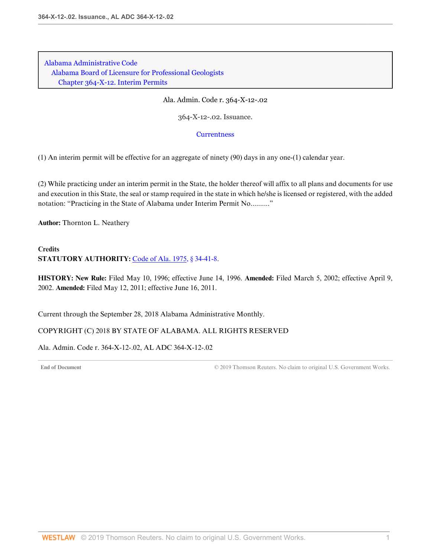Ala. Admin. Code r. 364-X-12-.02

364-X-12-.02. Issuance.

#### **[Currentness](#page-62-0)**

(1) An interim permit will be effective for an aggregate of ninety (90) days in any one-(1) calendar year.

(2) While practicing under an interim permit in the State, the holder thereof will affix to all plans and documents for use and execution in this State, the seal or stamp required in the state in which he/she is licensed or registered, with the added notation: "Practicing in the State of Alabama under Interim Permit No.........."

**Author:** Thornton L. Neathery

### **Credits STATUTORY AUTHORITY:** [Code of Ala. 1975, § 34-41-8.](http://www.westlaw.com/Link/Document/FullText?findType=L&pubNum=1000002&cite=ALSTS34-41-8&originatingDoc=IE3163B185AA24C519C52A9379DF0BD00&refType=LQ&originationContext=document&vr=3.0&rs=cblt1.0&transitionType=DocumentItem&contextData=(sc.Default))

**HISTORY: New Rule:** Filed May 10, 1996; effective June 14, 1996. **Amended:** Filed March 5, 2002; effective April 9, 2002. **Amended:** Filed May 12, 2011; effective June 16, 2011.

<span id="page-62-0"></span>Current through the September 28, 2018 Alabama Administrative Monthly.

### COPYRIGHT (C) 2018 BY STATE OF ALABAMA. ALL RIGHTS RESERVED

Ala. Admin. Code r. 364-X-12-.02, AL ADC 364-X-12-.02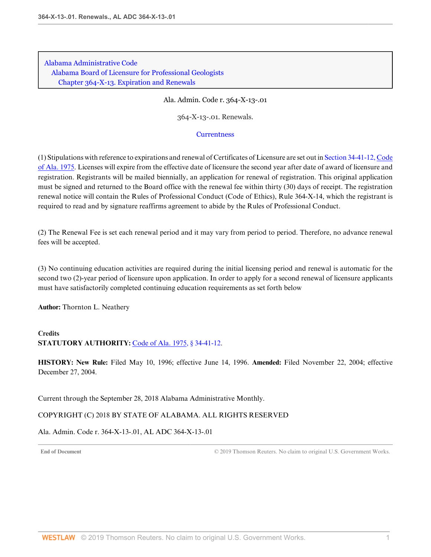Ala. Admin. Code r. 364-X-13-.01

364-X-13-.01. Renewals.

#### **[Currentness](#page-63-0)**

(1) Stipulations with reference to expirations and renewal of Certificates of Licensure are set out in [Section 34-41-12, Code](http://www.westlaw.com/Link/Document/FullText?findType=L&pubNum=1000002&cite=ALSTS34-41-12&originatingDoc=I7C4E86C42A2544ECB05FB3D751B6E8D6&refType=LQ&originationContext=document&vr=3.0&rs=cblt1.0&transitionType=DocumentItem&contextData=(sc.Default)) [of Ala. 1975](http://www.westlaw.com/Link/Document/FullText?findType=L&pubNum=1000002&cite=ALSTS34-41-12&originatingDoc=I7C4E86C42A2544ECB05FB3D751B6E8D6&refType=LQ&originationContext=document&vr=3.0&rs=cblt1.0&transitionType=DocumentItem&contextData=(sc.Default)). Licenses will expire from the effective date of licensure the second year after date of award of licensure and registration. Registrants will be mailed biennially, an application for renewal of registration. This original application must be signed and returned to the Board office with the renewal fee within thirty (30) days of receipt. The registration renewal notice will contain the Rules of Professional Conduct (Code of Ethics), Rule 364-X-14, which the registrant is required to read and by signature reaffirms agreement to abide by the Rules of Professional Conduct.

(2) The Renewal Fee is set each renewal period and it may vary from period to period. Therefore, no advance renewal fees will be accepted.

(3) No continuing education activities are required during the initial licensing period and renewal is automatic for the second two (2)-year period of licensure upon application. In order to apply for a second renewal of licensure applicants must have satisfactorily completed continuing education requirements as set forth below

**Author:** Thornton L. Neathery

# **Credits STATUTORY AUTHORITY:** [Code of Ala. 1975, § 34-41-12.](http://www.westlaw.com/Link/Document/FullText?findType=L&pubNum=1000002&cite=ALSTS34-41-12&originatingDoc=I7C4E86C42A2544ECB05FB3D751B6E8D6&refType=LQ&originationContext=document&vr=3.0&rs=cblt1.0&transitionType=DocumentItem&contextData=(sc.Default))

**HISTORY: New Rule:** Filed May 10, 1996; effective June 14, 1996. **Amended:** Filed November 22, 2004; effective December 27, 2004.

<span id="page-63-0"></span>Current through the September 28, 2018 Alabama Administrative Monthly.

### COPYRIGHT (C) 2018 BY STATE OF ALABAMA. ALL RIGHTS RESERVED

Ala. Admin. Code r. 364-X-13-.01, AL ADC 364-X-13-.01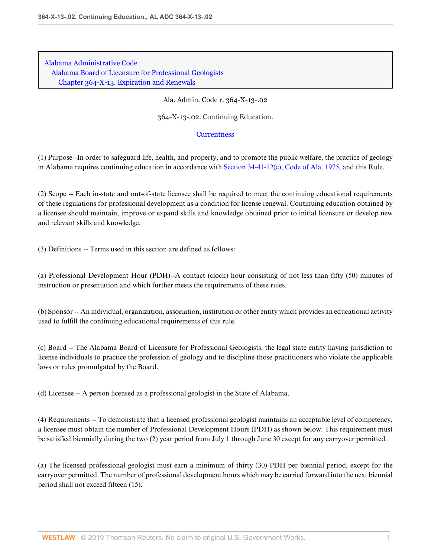Ala. Admin. Code r. 364-X-13-.02

364-X-13-.02. Continuing Education.

### **[Currentness](#page-67-0)**

(1) Purpose--In order to safeguard life, health, and property, and to promote the public welfare, the practice of geology in Alabama requires continuing education in accordance with [Section 34-41-12\(c\), Code of Ala. 1975,](http://www.westlaw.com/Link/Document/FullText?findType=L&pubNum=1000002&cite=ALSTS34-41-12&originatingDoc=ID42310289A90440D87661BC2C64BCDF2&refType=SP&originationContext=document&vr=3.0&rs=cblt1.0&transitionType=DocumentItem&contextData=(sc.Default)#co_pp_4b24000003ba5) and this Rule.

(2) Scope -- Each in-state and out-of-state licensee shall be required to meet the continuing educational requirements of these regulations for professional development as a condition for license renewal. Continuing education obtained by a licensee should maintain, improve or expand skills and knowledge obtained prior to initial licensure or develop new and relevant skills and knowledge.

(3) Definitions -- Terms used in this section are defined as follows:

(a) Professional Development Hour (PDH)--A contact (clock) hour consisting of not less than fifty (50) minutes of instruction or presentation and which further meets the requirements of these rules.

(b) Sponsor -- An individual, organization, association, institution or other entity which provides an educational activity used to fulfill the continuing educational requirements of this rule.

(c) Board -- The Alabama Board of Licensure for Professional Geologists, the legal state entity having jurisdiction to license individuals to practice the profession of geology and to discipline those practitioners who violate the applicable laws or rules promulgated by the Board.

(d) Licensee -- A person licensed as a professional geologist in the State of Alabama.

(4) Requirements -- To demonstrate that a licensed professional geologist maintains an acceptable level of competency, a licensee must obtain the number of Professional Development Hours (PDH) as shown below. This requirement must be satisfied biennially during the two (2) year period from July 1 through June 30 except for any carryover permitted.

(a) The licensed professional geologist must earn a minimum of thirty (30) PDH per biennial period, except for the carryover permitted. The number of professional development hours which may be carried forward into the next biennial period shall not exceed fifteen (15).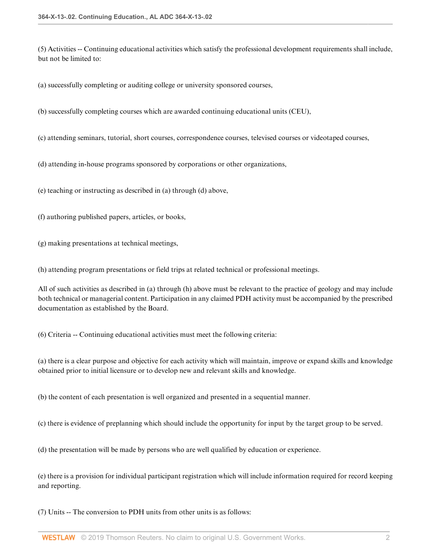(5) Activities -- Continuing educational activities which satisfy the professional development requirements shall include, but not be limited to:

(a) successfully completing or auditing college or university sponsored courses,

(b) successfully completing courses which are awarded continuing educational units (CEU),

(c) attending seminars, tutorial, short courses, correspondence courses, televised courses or videotaped courses,

(d) attending in-house programs sponsored by corporations or other organizations,

(e) teaching or instructing as described in (a) through (d) above,

(f) authoring published papers, articles, or books,

(g) making presentations at technical meetings,

(h) attending program presentations or field trips at related technical or professional meetings.

All of such activities as described in (a) through (h) above must be relevant to the practice of geology and may include both technical or managerial content. Participation in any claimed PDH activity must be accompanied by the prescribed documentation as established by the Board.

(6) Criteria -- Continuing educational activities must meet the following criteria:

(a) there is a clear purpose and objective for each activity which will maintain, improve or expand skills and knowledge obtained prior to initial licensure or to develop new and relevant skills and knowledge.

(b) the content of each presentation is well organized and presented in a sequential manner.

(c) there is evidence of preplanning which should include the opportunity for input by the target group to be served.

(d) the presentation will be made by persons who are well qualified by education or experience.

(e) there is a provision for individual participant registration which will include information required for record keeping and reporting.

(7) Units -- The conversion to PDH units from other units is as follows: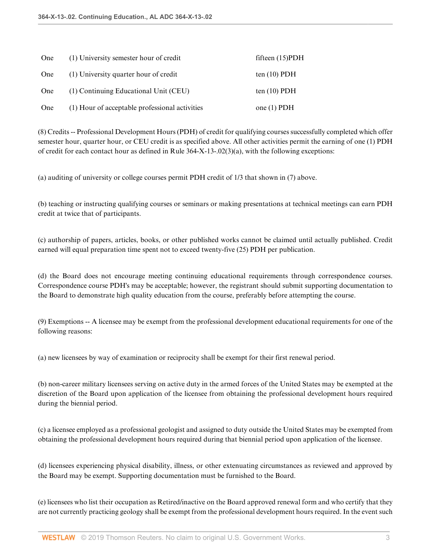| One | (1) University semester hour of credit         | fifteen $(15)$ PDH |
|-----|------------------------------------------------|--------------------|
| One | (1) University quarter hour of credit          | ten $(10)$ PDH     |
| One | (1) Continuing Educational Unit (CEU)          | ten $(10)$ PDH     |
| One | (1) Hour of acceptable professional activities | one $(1)$ PDH      |

(8) Credits -- Professional Development Hours (PDH) of credit for qualifying courses successfully completed which offer semester hour, quarter hour, or CEU credit is as specified above. All other activities permit the earning of one (1) PDH of credit for each contact hour as defined in Rule 364-X-13-.02(3)(a), with the following exceptions:

(a) auditing of university or college courses permit PDH credit of 1/3 that shown in (7) above.

(b) teaching or instructing qualifying courses or seminars or making presentations at technical meetings can earn PDH credit at twice that of participants.

(c) authorship of papers, articles, books, or other published works cannot be claimed until actually published. Credit earned will equal preparation time spent not to exceed twenty-five (25) PDH per publication.

(d) the Board does not encourage meeting continuing educational requirements through correspondence courses. Correspondence course PDH's may be acceptable; however, the registrant should submit supporting documentation to the Board to demonstrate high quality education from the course, preferably before attempting the course.

(9) Exemptions -- A licensee may be exempt from the professional development educational requirements for one of the following reasons:

(a) new licensees by way of examination or reciprocity shall be exempt for their first renewal period.

(b) non-career military licensees serving on active duty in the armed forces of the United States may be exempted at the discretion of the Board upon application of the licensee from obtaining the professional development hours required during the biennial period.

(c) a licensee employed as a professional geologist and assigned to duty outside the United States may be exempted from obtaining the professional development hours required during that biennial period upon application of the licensee.

(d) licensees experiencing physical disability, illness, or other extenuating circumstances as reviewed and approved by the Board may be exempt. Supporting documentation must be furnished to the Board.

(e) licensees who list their occupation as Retired/inactive on the Board approved renewal form and who certify that they are not currently practicing geology shall be exempt from the professional development hours required. In the event such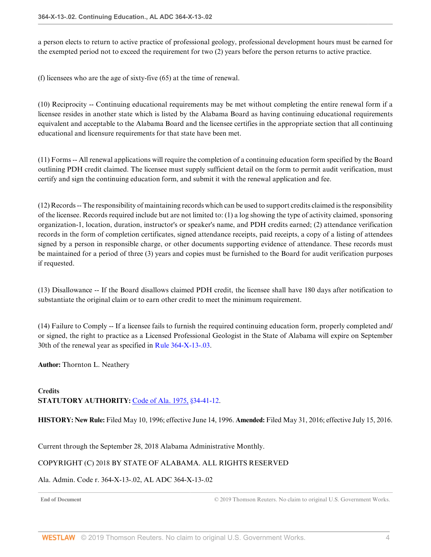a person elects to return to active practice of professional geology, professional development hours must be earned for the exempted period not to exceed the requirement for two (2) years before the person returns to active practice.

(f) licensees who are the age of sixty-five (65) at the time of renewal.

(10) Reciprocity -- Continuing educational requirements may be met without completing the entire renewal form if a licensee resides in another state which is listed by the Alabama Board as having continuing educational requirements equivalent and acceptable to the Alabama Board and the licensee certifies in the appropriate section that all continuing educational and licensure requirements for that state have been met.

(11) Forms -- All renewal applications will require the completion of a continuing education form specified by the Board outlining PDH credit claimed. The licensee must supply sufficient detail on the form to permit audit verification, must certify and sign the continuing education form, and submit it with the renewal application and fee.

(12) Records -- The responsibility of maintaining records which can be used to support credits claimed is the responsibility of the licensee. Records required include but are not limited to: (1) a log showing the type of activity claimed, sponsoring organization-1, location, duration, instructor's or speaker's name, and PDH credits earned; (2) attendance verification records in the form of completion certificates, signed attendance receipts, paid receipts, a copy of a listing of attendees signed by a person in responsible charge, or other documents supporting evidence of attendance. These records must be maintained for a period of three (3) years and copies must be furnished to the Board for audit verification purposes if requested.

(13) Disallowance -- If the Board disallows claimed PDH credit, the licensee shall have 180 days after notification to substantiate the original claim or to earn other credit to meet the minimum requirement.

(14) Failure to Comply -- If a licensee fails to furnish the required continuing education form, properly completed and/ or signed, the right to practice as a Licensed Professional Geologist in the State of Alabama will expire on September 30th of the renewal year as specified in [Rule 364-X-13-.03](http://www.westlaw.com/Link/Document/FullText?findType=L&pubNum=1012843&cite=ALADC364-X-13-.03&originatingDoc=ID42310289A90440D87661BC2C64BCDF2&refType=VP&originationContext=document&vr=3.0&rs=cblt1.0&transitionType=DocumentItem&contextData=(sc.Default)).

**Author:** Thornton L. Neathery

## **Credits STATUTORY AUTHORITY:** [Code of Ala. 1975, §34-41-12](http://www.westlaw.com/Link/Document/FullText?findType=L&pubNum=1000002&cite=ALSTS34-41-12&originatingDoc=ID42310289A90440D87661BC2C64BCDF2&refType=LQ&originationContext=document&vr=3.0&rs=cblt1.0&transitionType=DocumentItem&contextData=(sc.Default)).

**HISTORY: New Rule:** Filed May 10, 1996; effective June 14, 1996. **Amended:** Filed May 31, 2016; effective July 15, 2016.

<span id="page-67-0"></span>Current through the September 28, 2018 Alabama Administrative Monthly.

### COPYRIGHT (C) 2018 BY STATE OF ALABAMA. ALL RIGHTS RESERVED

### Ala. Admin. Code r. 364-X-13-.02, AL ADC 364-X-13-.02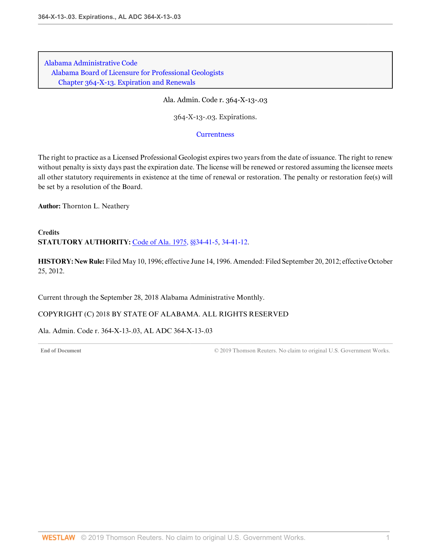Ala. Admin. Code r. 364-X-13-.03

364-X-13-.03. Expirations.

#### **[Currentness](#page-68-0)**

The right to practice as a Licensed Professional Geologist expires two years from the date of issuance. The right to renew without penalty is sixty days past the expiration date. The license will be renewed or restored assuming the licensee meets all other statutory requirements in existence at the time of renewal or restoration. The penalty or restoration fee(s) will be set by a resolution of the Board.

**Author:** Thornton L. Neathery

**Credits STATUTORY AUTHORITY:** [Code of Ala. 1975, §§34-41-5,](http://www.westlaw.com/Link/Document/FullText?findType=L&pubNum=1000002&cite=ALSTS34-41-5&originatingDoc=I70A46AFBC8254EDFA2F1DC8F979A7363&refType=LQ&originationContext=document&vr=3.0&rs=cblt1.0&transitionType=DocumentItem&contextData=(sc.Default)) [34-41-12.](http://www.westlaw.com/Link/Document/FullText?findType=L&pubNum=1000002&cite=ALSTS34-41-12&originatingDoc=I70A46AFBC8254EDFA2F1DC8F979A7363&refType=LQ&originationContext=document&vr=3.0&rs=cblt1.0&transitionType=DocumentItem&contextData=(sc.Default))

**HISTORY: New Rule:** Filed May 10, 1996; effective June 14, 1996. Amended: Filed September 20, 2012; effective October 25, 2012.

<span id="page-68-0"></span>Current through the September 28, 2018 Alabama Administrative Monthly.

COPYRIGHT (C) 2018 BY STATE OF ALABAMA. ALL RIGHTS RESERVED

Ala. Admin. Code r. 364-X-13-.03, AL ADC 364-X-13-.03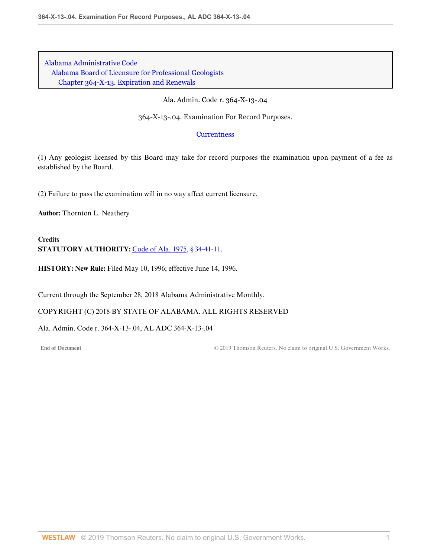Ala. Admin. Code r. 364-X-13-.04

364-X-13-.04. Examination For Record Purposes.

### **[Currentness](#page-69-0)**

(1) Any geologist licensed by this Board may take for record purposes the examination upon payment of a fee as established by the Board.

(2) Failure to pass the examination will in no way affect current licensure.

**Author:** Thornton L. Neathery

**Credits STATUTORY AUTHORITY:** [Code of Ala. 1975, § 34-41-11.](http://www.westlaw.com/Link/Document/FullText?findType=L&pubNum=1000002&cite=ALSTS34-41-11&originatingDoc=I95D72A983C6D41318FFB5B8BA20F0F8E&refType=LQ&originationContext=document&vr=3.0&rs=cblt1.0&transitionType=DocumentItem&contextData=(sc.Default))

**HISTORY: New Rule:** Filed May 10, 1996; effective June 14, 1996.

<span id="page-69-0"></span>Current through the September 28, 2018 Alabama Administrative Monthly.

### COPYRIGHT (C) 2018 BY STATE OF ALABAMA. ALL RIGHTS RESERVED

Ala. Admin. Code r. 364-X-13-.04, AL ADC 364-X-13-.04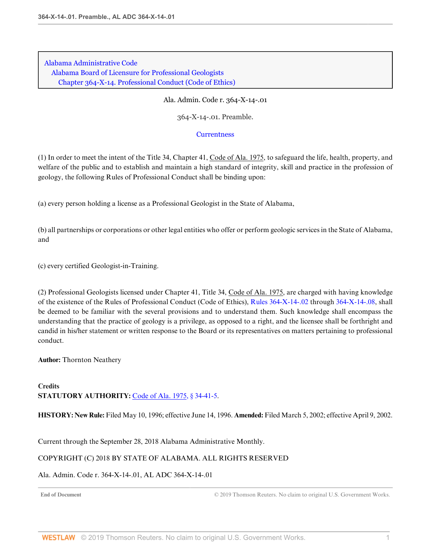[Alabama Administrative Code](http://www.westlaw.com/Browse/Home/Regulations/AlabamaRegulations?transitionType=DocumentItem&contextData=(sc.Default)&rs=clbt1.0&vr=3.0) [Alabama Board of Licensure for Professional Geologists](http://www.westlaw.com/Browse/Home/Regulations/AlabamaRegulations?guid=IB36CA5F191AA11E8899E005056B56C30&transitionType=DocumentItem&contextData=(sc.Default)&rs=clbt1.0&vr=3.0) [Chapter 364-X-14. Professional Conduct \(Code of Ethics\)](http://www.westlaw.com/Browse/Home/Regulations/AlabamaRegulations?guid=IB36CF41191AA11E8899E005056B56C30&transitionType=DocumentItem&contextData=(sc.Default)&rs=clbt1.0&vr=3.0)

Ala. Admin. Code r. 364-X-14-.01

364-X-14-.01. Preamble.

#### **[Currentness](#page-70-0)**

(1) In order to meet the intent of the Title 34, Chapter 41, Code of Ala. 1975, to safeguard the life, health, property, and welfare of the public and to establish and maintain a high standard of integrity, skill and practice in the profession of geology, the following Rules of Professional Conduct shall be binding upon:

(a) every person holding a license as a Professional Geologist in the State of Alabama,

(b) all partnerships or corporations or other legal entities who offer or perform geologic services in the State of Alabama, and

(c) every certified Geologist-in-Training.

(2) Professional Geologists licensed under Chapter 41, Title 34, Code of Ala. 1975, are charged with having knowledge of the existence of the Rules of Professional Conduct (Code of Ethics), [Rules 364-X-14-.02](http://www.westlaw.com/Link/Document/FullText?findType=L&pubNum=1012843&cite=ALADC364-X-14-.02&originatingDoc=I2A8D93E1702F4347B27E4DC8C19E7838&refType=VP&originationContext=document&vr=3.0&rs=cblt1.0&transitionType=DocumentItem&contextData=(sc.Default)) through [364-X-14-.08,](http://www.westlaw.com/Link/Document/FullText?findType=L&pubNum=1012843&cite=ALADC364-X-14-.08&originatingDoc=I2A8D93E1702F4347B27E4DC8C19E7838&refType=VP&originationContext=document&vr=3.0&rs=cblt1.0&transitionType=DocumentItem&contextData=(sc.Default)) shall be deemed to be familiar with the several provisions and to understand them. Such knowledge shall encompass the understanding that the practice of geology is a privilege, as opposed to a right, and the licensee shall be forthright and candid in his/her statement or written response to the Board or its representatives on matters pertaining to professional conduct.

**Author:** Thornton Neathery

### **Credits STATUTORY AUTHORITY:** [Code of Ala. 1975, § 34-41-5.](http://www.westlaw.com/Link/Document/FullText?findType=L&pubNum=1000002&cite=ALSTS34-41-5&originatingDoc=I2A8D93E1702F4347B27E4DC8C19E7838&refType=LQ&originationContext=document&vr=3.0&rs=cblt1.0&transitionType=DocumentItem&contextData=(sc.Default))

**HISTORY: New Rule:** Filed May 10, 1996; effective June 14, 1996. **Amended:** Filed March 5, 2002; effective April 9, 2002.

<span id="page-70-0"></span>Current through the September 28, 2018 Alabama Administrative Monthly.

### COPYRIGHT (C) 2018 BY STATE OF ALABAMA. ALL RIGHTS RESERVED

### Ala. Admin. Code r. 364-X-14-.01, AL ADC 364-X-14-.01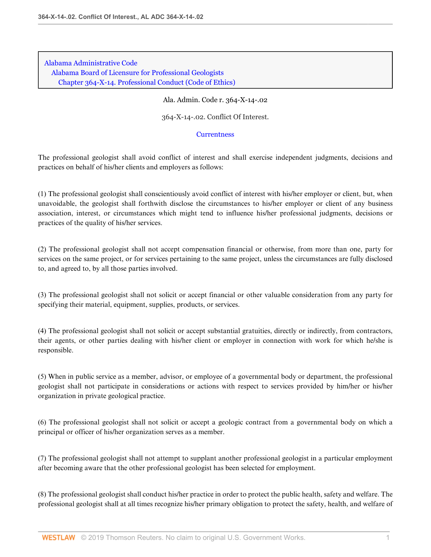[Alabama Administrative Code](http://www.westlaw.com/Browse/Home/Regulations/AlabamaRegulations?transitionType=DocumentItem&contextData=(sc.Default)&rs=clbt1.0&vr=3.0) [Alabama Board of Licensure for Professional Geologists](http://www.westlaw.com/Browse/Home/Regulations/AlabamaRegulations?guid=IB36CA5F191AA11E8899E005056B56C30&transitionType=DocumentItem&contextData=(sc.Default)&rs=clbt1.0&vr=3.0) [Chapter 364-X-14. Professional Conduct \(Code of Ethics\)](http://www.westlaw.com/Browse/Home/Regulations/AlabamaRegulations?guid=IB36CF41191AA11E8899E005056B56C30&transitionType=DocumentItem&contextData=(sc.Default)&rs=clbt1.0&vr=3.0)

#### Ala. Admin. Code r. 364-X-14-.02

364-X-14-.02. Conflict Of Interest.

#### **[Currentness](#page-72-0)**

The professional geologist shall avoid conflict of interest and shall exercise independent judgments, decisions and practices on behalf of his/her clients and employers as follows:

(1) The professional geologist shall conscientiously avoid conflict of interest with his/her employer or client, but, when unavoidable, the geologist shall forthwith disclose the circumstances to his/her employer or client of any business association, interest, or circumstances which might tend to influence his/her professional judgments, decisions or practices of the quality of his/her services.

(2) The professional geologist shall not accept compensation financial or otherwise, from more than one, party for services on the same project, or for services pertaining to the same project, unless the circumstances are fully disclosed to, and agreed to, by all those parties involved.

(3) The professional geologist shall not solicit or accept financial or other valuable consideration from any party for specifying their material, equipment, supplies, products, or services.

(4) The professional geologist shall not solicit or accept substantial gratuities, directly or indirectly, from contractors, their agents, or other parties dealing with his/her client or employer in connection with work for which he/she is responsible.

(5) When in public service as a member, advisor, or employee of a governmental body or department, the professional geologist shall not participate in considerations or actions with respect to services provided by him/her or his/her organization in private geological practice.

(6) The professional geologist shall not solicit or accept a geologic contract from a governmental body on which a principal or officer of his/her organization serves as a member.

(7) The professional geologist shall not attempt to supplant another professional geologist in a particular employment after becoming aware that the other professional geologist has been selected for employment.

(8) The professional geologist shall conduct his/her practice in order to protect the public health, safety and welfare. The professional geologist shall at all times recognize his/her primary obligation to protect the safety, health, and welfare of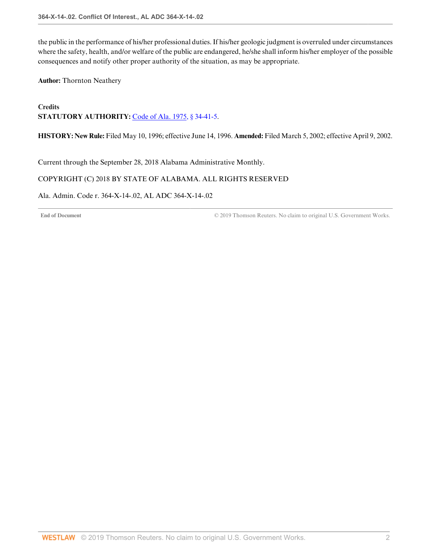the public in the performance of his/her professional duties. If his/her geologic judgment is overruled under circumstances where the safety, health, and/or welfare of the public are endangered, he/she shall inform his/her employer of the possible consequences and notify other proper authority of the situation, as may be appropriate.

**Author:** Thornton Neathery

# **Credits STATUTORY AUTHORITY:** [Code of Ala. 1975, § 34-41-5.](http://www.westlaw.com/Link/Document/FullText?findType=L&pubNum=1000002&cite=ALSTS34-41-5&originatingDoc=IA07DDF94B2D845C19E5DC705E1FE7FA2&refType=LQ&originationContext=document&vr=3.0&rs=cblt1.0&transitionType=DocumentItem&contextData=(sc.Default))

**HISTORY: New Rule:** Filed May 10, 1996; effective June 14, 1996. **Amended:** Filed March 5, 2002; effective April 9, 2002.

Current through the September 28, 2018 Alabama Administrative Monthly.

## COPYRIGHT (C) 2018 BY STATE OF ALABAMA. ALL RIGHTS RESERVED

Ala. Admin. Code r. 364-X-14-.02, AL ADC 364-X-14-.02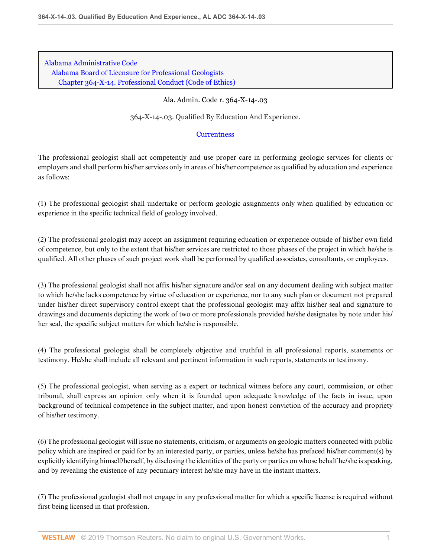[Alabama Administrative Code](http://www.westlaw.com/Browse/Home/Regulations/AlabamaRegulations?transitionType=DocumentItem&contextData=(sc.Default)&rs=clbt1.0&vr=3.0) [Alabama Board of Licensure for Professional Geologists](http://www.westlaw.com/Browse/Home/Regulations/AlabamaRegulations?guid=IB36CA5F191AA11E8899E005056B56C30&transitionType=DocumentItem&contextData=(sc.Default)&rs=clbt1.0&vr=3.0) [Chapter 364-X-14. Professional Conduct \(Code of Ethics\)](http://www.westlaw.com/Browse/Home/Regulations/AlabamaRegulations?guid=IB36CF41191AA11E8899E005056B56C30&transitionType=DocumentItem&contextData=(sc.Default)&rs=clbt1.0&vr=3.0)

## Ala. Admin. Code r. 364-X-14-.03

364-X-14-.03. Qualified By Education And Experience.

## **[Currentness](#page-74-0)**

The professional geologist shall act competently and use proper care in performing geologic services for clients or employers and shall perform his/her services only in areas of his/her competence as qualified by education and experience as follows:

(1) The professional geologist shall undertake or perform geologic assignments only when qualified by education or experience in the specific technical field of geology involved.

(2) The professional geologist may accept an assignment requiring education or experience outside of his/her own field of competence, but only to the extent that his/her services are restricted to those phases of the project in which he/she is qualified. All other phases of such project work shall be performed by qualified associates, consultants, or employees.

(3) The professional geologist shall not affix his/her signature and/or seal on any document dealing with subject matter to which he/she lacks competence by virtue of education or experience, nor to any such plan or document not prepared under his/her direct supervisory control except that the professional geologist may affix his/her seal and signature to drawings and documents depicting the work of two or more professionals provided he/she designates by note under his/ her seal, the specific subject matters for which he/she is responsible.

(4) The professional geologist shall be completely objective and truthful in all professional reports, statements or testimony. He/she shall include all relevant and pertinent information in such reports, statements or testimony.

(5) The professional geologist, when serving as a expert or technical witness before any court, commission, or other tribunal, shall express an opinion only when it is founded upon adequate knowledge of the facts in issue, upon background of technical competence in the subject matter, and upon honest conviction of the accuracy and propriety of his/her testimony.

(6) The professional geologist will issue no statements, criticism, or arguments on geologic matters connected with public policy which are inspired or paid for by an interested party, or parties, unless he/she has prefaced his/her comment(s) by explicitly identifying himself/herself, by disclosing the identities of the party or parties on whose behalf he/she is speaking, and by revealing the existence of any pecuniary interest he/she may have in the instant matters.

(7) The professional geologist shall not engage in any professional matter for which a specific license is required without first being licensed in that profession.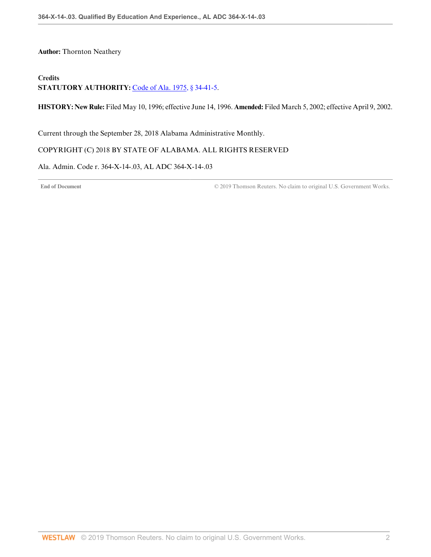**Author:** Thornton Neathery

# **Credits**

**STATUTORY AUTHORITY:** [Code of Ala. 1975, § 34-41-5.](http://www.westlaw.com/Link/Document/FullText?findType=L&pubNum=1000002&cite=ALSTS34-41-5&originatingDoc=ID0BE1563C882401EBBAA54381B71DF26&refType=LQ&originationContext=document&vr=3.0&rs=cblt1.0&transitionType=DocumentItem&contextData=(sc.Default))

**HISTORY: New Rule:** Filed May 10, 1996; effective June 14, 1996. **Amended:** Filed March 5, 2002; effective April 9, 2002.

<span id="page-74-0"></span>Current through the September 28, 2018 Alabama Administrative Monthly.

#### COPYRIGHT (C) 2018 BY STATE OF ALABAMA. ALL RIGHTS RESERVED

Ala. Admin. Code r. 364-X-14-.03, AL ADC 364-X-14-.03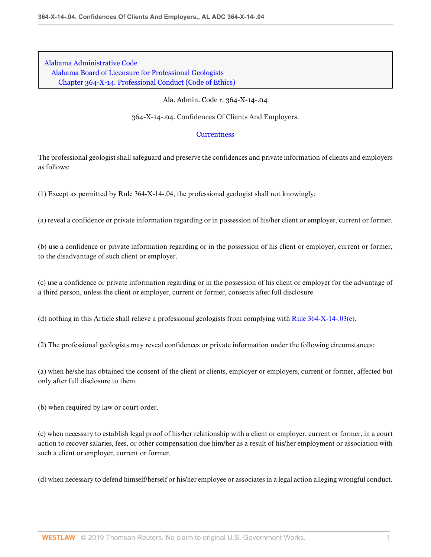[Alabama Administrative Code](http://www.westlaw.com/Browse/Home/Regulations/AlabamaRegulations?transitionType=DocumentItem&contextData=(sc.Default)&rs=clbt1.0&vr=3.0) [Alabama Board of Licensure for Professional Geologists](http://www.westlaw.com/Browse/Home/Regulations/AlabamaRegulations?guid=IB36CA5F191AA11E8899E005056B56C30&transitionType=DocumentItem&contextData=(sc.Default)&rs=clbt1.0&vr=3.0) [Chapter 364-X-14. Professional Conduct \(Code of Ethics\)](http://www.westlaw.com/Browse/Home/Regulations/AlabamaRegulations?guid=IB36CF41191AA11E8899E005056B56C30&transitionType=DocumentItem&contextData=(sc.Default)&rs=clbt1.0&vr=3.0)

#### Ala. Admin. Code r. 364-X-14-.04

364-X-14-.04. Confidences Of Clients And Employers.

#### **[Currentness](#page-76-0)**

The professional geologist shall safeguard and preserve the confidences and private information of clients and employers as follows:

(1) Except as permitted by Rule 364-X-14-.04, the professional geologist shall not knowingly:

(a) reveal a confidence or private information regarding or in possession of his/her client or employer, current or former.

(b) use a confidence or private information regarding or in the possession of his client or employer, current or former, to the disadvantage of such client or employer.

(c) use a confidence or private information regarding or in the possession of his client or employer for the advantage of a third person, unless the client or employer, current or former, consents after full disclosure.

(d) nothing in this Article shall relieve a professional geologists from complying with [Rule 364-X-14-.03\(e\).](http://www.westlaw.com/Link/Document/FullText?findType=L&pubNum=1012843&cite=ALADC364-X-14-.03&originatingDoc=I1EFC232227E8490EB01191DA6BD512FB&refType=VP&originationContext=document&vr=3.0&rs=cblt1.0&transitionType=DocumentItem&contextData=(sc.Default))

(2) The professional geologists may reveal confidences or private information under the following circumstances:

(a) when he/she has obtained the consent of the client or clients, employer or employers, current or former, affected but only after full disclosure to them.

(b) when required by law or court order.

(c) when necessary to establish legal proof of his/her relationship with a client or employer, current or former, in a court action to recover salaries, fees, or other compensation due him/her as a result of his/her employment or association with such a client or employer, current or former.

(d) when necessary to defend himself/herself or his/her employee or associates in a legal action alleging wrongful conduct.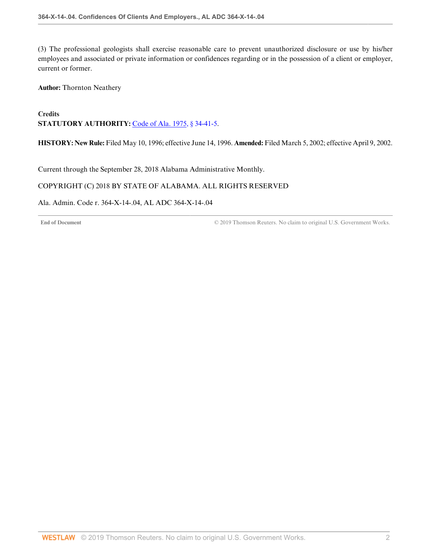(3) The professional geologists shall exercise reasonable care to prevent unauthorized disclosure or use by his/her employees and associated or private information or confidences regarding or in the possession of a client or employer, current or former.

**Author:** Thornton Neathery

# **Credits STATUTORY AUTHORITY:** [Code of Ala. 1975, § 34-41-5.](http://www.westlaw.com/Link/Document/FullText?findType=L&pubNum=1000002&cite=ALSTS34-41-5&originatingDoc=I1EFC232227E8490EB01191DA6BD512FB&refType=LQ&originationContext=document&vr=3.0&rs=cblt1.0&transitionType=DocumentItem&contextData=(sc.Default))

**HISTORY: New Rule:** Filed May 10, 1996; effective June 14, 1996. **Amended:** Filed March 5, 2002; effective April 9, 2002.

<span id="page-76-0"></span>Current through the September 28, 2018 Alabama Administrative Monthly.

## COPYRIGHT (C) 2018 BY STATE OF ALABAMA. ALL RIGHTS RESERVED

Ala. Admin. Code r. 364-X-14-.04, AL ADC 364-X-14-.04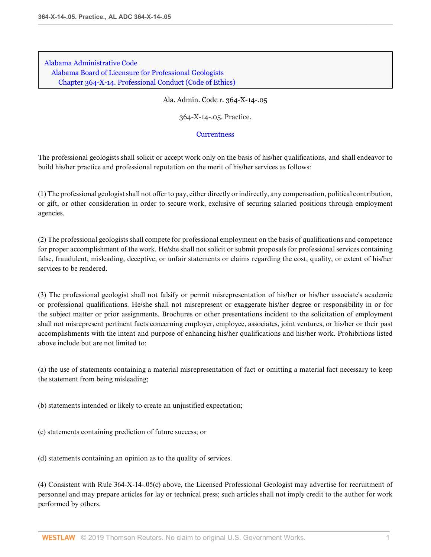[Alabama Administrative Code](http://www.westlaw.com/Browse/Home/Regulations/AlabamaRegulations?transitionType=DocumentItem&contextData=(sc.Default)&rs=clbt1.0&vr=3.0) [Alabama Board of Licensure for Professional Geologists](http://www.westlaw.com/Browse/Home/Regulations/AlabamaRegulations?guid=IB36CA5F191AA11E8899E005056B56C30&transitionType=DocumentItem&contextData=(sc.Default)&rs=clbt1.0&vr=3.0) [Chapter 364-X-14. Professional Conduct \(Code of Ethics\)](http://www.westlaw.com/Browse/Home/Regulations/AlabamaRegulations?guid=IB36CF41191AA11E8899E005056B56C30&transitionType=DocumentItem&contextData=(sc.Default)&rs=clbt1.0&vr=3.0)

Ala. Admin. Code r. 364-X-14-.05

364-X-14-.05. Practice.

#### **[Currentness](#page-78-0)**

The professional geologists shall solicit or accept work only on the basis of his/her qualifications, and shall endeavor to build his/her practice and professional reputation on the merit of his/her services as follows:

(1) The professional geologist shall not offer to pay, either directly or indirectly, any compensation, political contribution, or gift, or other consideration in order to secure work, exclusive of securing salaried positions through employment agencies.

(2) The professional geologists shall compete for professional employment on the basis of qualifications and competence for proper accomplishment of the work. He/she shall not solicit or submit proposals for professional services containing false, fraudulent, misleading, deceptive, or unfair statements or claims regarding the cost, quality, or extent of his/her services to be rendered.

(3) The professional geologist shall not falsify or permit misrepresentation of his/her or his/her associate's academic or professional qualifications. He/she shall not misrepresent or exaggerate his/her degree or responsibility in or for the subject matter or prior assignments. Brochures or other presentations incident to the solicitation of employment shall not misrepresent pertinent facts concerning employer, employee, associates, joint ventures, or his/her or their past accomplishments with the intent and purpose of enhancing his/her qualifications and his/her work. Prohibitions listed above include but are not limited to:

(a) the use of statements containing a material misrepresentation of fact or omitting a material fact necessary to keep the statement from being misleading;

(b) statements intended or likely to create an unjustified expectation;

(c) statements containing prediction of future success; or

(d) statements containing an opinion as to the quality of services.

(4) Consistent with Rule 364-X-14-.05(c) above, the Licensed Professional Geologist may advertise for recruitment of personnel and may prepare articles for lay or technical press; such articles shall not imply credit to the author for work performed by others.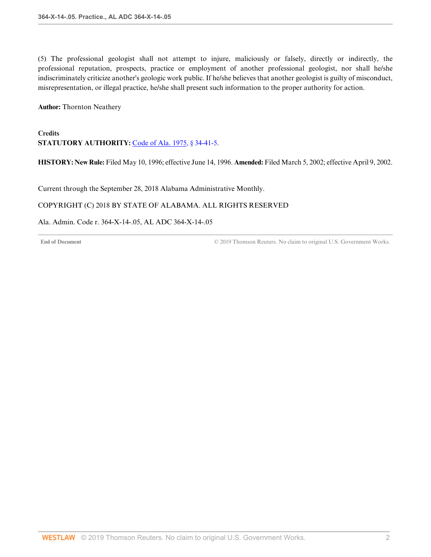(5) The professional geologist shall not attempt to injure, maliciously or falsely, directly or indirectly, the professional reputation, prospects, practice or employment of another professional geologist, nor shall he/she indiscriminately criticize another's geologic work public. If he/she believes that another geologist is guilty of misconduct, misrepresentation, or illegal practice, he/she shall present such information to the proper authority for action.

**Author:** Thornton Neathery

# **Credits STATUTORY AUTHORITY:** [Code of Ala. 1975, § 34-41-5.](http://www.westlaw.com/Link/Document/FullText?findType=L&pubNum=1000002&cite=ALSTS34-41-5&originatingDoc=ID5A9820BB892459C97AAA6F2F169EB26&refType=LQ&originationContext=document&vr=3.0&rs=cblt1.0&transitionType=DocumentItem&contextData=(sc.Default))

**HISTORY: New Rule:** Filed May 10, 1996; effective June 14, 1996. **Amended:** Filed March 5, 2002; effective April 9, 2002.

<span id="page-78-0"></span>Current through the September 28, 2018 Alabama Administrative Monthly.

## COPYRIGHT (C) 2018 BY STATE OF ALABAMA. ALL RIGHTS RESERVED

## Ala. Admin. Code r. 364-X-14-.05, AL ADC 364-X-14-.05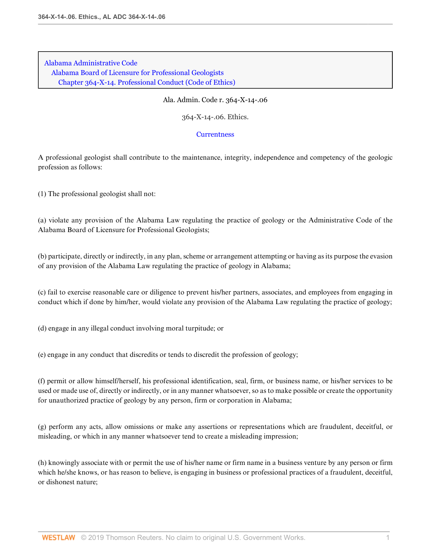[Alabama Administrative Code](http://www.westlaw.com/Browse/Home/Regulations/AlabamaRegulations?transitionType=DocumentItem&contextData=(sc.Default)&rs=clbt1.0&vr=3.0) [Alabama Board of Licensure for Professional Geologists](http://www.westlaw.com/Browse/Home/Regulations/AlabamaRegulations?guid=IB36CA5F191AA11E8899E005056B56C30&transitionType=DocumentItem&contextData=(sc.Default)&rs=clbt1.0&vr=3.0) [Chapter 364-X-14. Professional Conduct \(Code of Ethics\)](http://www.westlaw.com/Browse/Home/Regulations/AlabamaRegulations?guid=IB36CF41191AA11E8899E005056B56C30&transitionType=DocumentItem&contextData=(sc.Default)&rs=clbt1.0&vr=3.0)

#### Ala. Admin. Code r. 364-X-14-.06

364-X-14-.06. Ethics.

#### **[Currentness](#page-81-0)**

A professional geologist shall contribute to the maintenance, integrity, independence and competency of the geologic profession as follows:

(1) The professional geologist shall not:

(a) violate any provision of the Alabama Law regulating the practice of geology or the Administrative Code of the Alabama Board of Licensure for Professional Geologists;

(b) participate, directly or indirectly, in any plan, scheme or arrangement attempting or having as its purpose the evasion of any provision of the Alabama Law regulating the practice of geology in Alabama;

(c) fail to exercise reasonable care or diligence to prevent his/her partners, associates, and employees from engaging in conduct which if done by him/her, would violate any provision of the Alabama Law regulating the practice of geology;

(d) engage in any illegal conduct involving moral turpitude; or

(e) engage in any conduct that discredits or tends to discredit the profession of geology;

(f) permit or allow himself/herself, his professional identification, seal, firm, or business name, or his/her services to be used or made use of, directly or indirectly, or in any manner whatsoever, so as to make possible or create the opportunity for unauthorized practice of geology by any person, firm or corporation in Alabama;

(g) perform any acts, allow omissions or make any assertions or representations which are fraudulent, deceitful, or misleading, or which in any manner whatsoever tend to create a misleading impression;

(h) knowingly associate with or permit the use of his/her name or firm name in a business venture by any person or firm which he/she knows, or has reason to believe, is engaging in business or professional practices of a fraudulent, deceitful, or dishonest nature;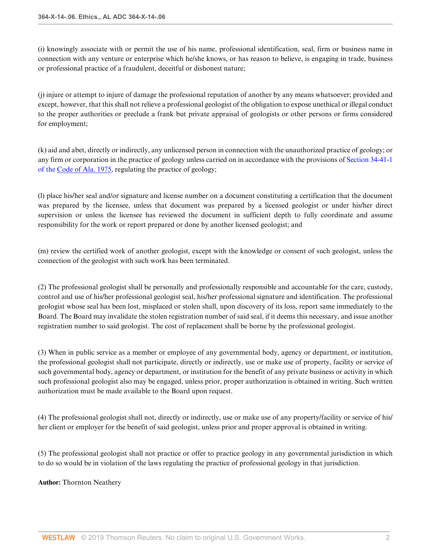(i) knowingly associate with or permit the use of his name, professional identification, seal, firm or business name in connection with any venture or enterprise which he/she knows, or has reason to believe, is engaging in trade, business or professional practice of a fraudulent, deceitful or dishonest nature;

(j) injure or attempt to injure of damage the professional reputation of another by any means whatsoever; provided and except, however, that this shall not relieve a professional geologist of the obligation to expose unethical or illegal conduct to the proper authorities or preclude a frank but private appraisal of geologists or other persons or firms considered for employment;

(k) aid and abet, directly or indirectly, any unlicensed person in connection with the unauthorized practice of geology; or any firm or corporation in the practice of geology unless carried on in accordance with the provisions of [Section 34-41-1](http://www.westlaw.com/Link/Document/FullText?findType=L&pubNum=1000002&cite=ALSTS34-41-1&originatingDoc=I2158DB0FCD484F4AA9ABFC423C1C0415&refType=LQ&originationContext=document&vr=3.0&rs=cblt1.0&transitionType=DocumentItem&contextData=(sc.Default)) [of the Code of Ala. 1975](http://www.westlaw.com/Link/Document/FullText?findType=L&pubNum=1000002&cite=ALSTS34-41-1&originatingDoc=I2158DB0FCD484F4AA9ABFC423C1C0415&refType=LQ&originationContext=document&vr=3.0&rs=cblt1.0&transitionType=DocumentItem&contextData=(sc.Default)), regulating the practice of geology;

(l) place his/her seal and/or signature and license number on a document constituting a certification that the document was prepared by the licensee, unless that document was prepared by a licensed geologist or under his/her direct supervision or unless the licensee has reviewed the document in sufficient depth to fully coordinate and assume responsibility for the work or report prepared or done by another licensed geologist; and

(m) review the certified work of another geologist, except with the knowledge or consent of such geologist, unless the connection of the geologist with such work has been terminated.

(2) The professional geologist shall be personally and professionally responsible and accountable for the care, custody, control and use of his/her professional geologist seal, his/her professional signature and identification. The professional geologist whose seal has been lost, misplaced or stolen shall, upon discovery of its loss, report same immediately to the Board. The Board may invalidate the stolen registration number of said seal, if it deems this necessary, and issue another registration number to said geologist. The cost of replacement shall be borne by the professional geologist.

(3) When in public service as a member or employee of any governmental body, agency or department, or institution, the professional geologist shall not participate, directly or indirectly, use or make use of property, facility or service of such governmental body, agency or department, or institution for the benefit of any private business or activity in which such professional geologist also may be engaged, unless prior, proper authorization is obtained in writing. Such written authorization must be made available to the Board upon request.

(4) The professional geologist shall not, directly or indirectly, use or make use of any property/facility or service of his/ her client or employer for the benefit of said geologist, unless prior and proper approval is obtained in writing.

(5) The professional geologist shall not practice or offer to practice geology in any governmental jurisdiction in which to do so would be in violation of the laws regulating the practice of professional geology in that jurisdiction.

**Author:** Thornton Neathery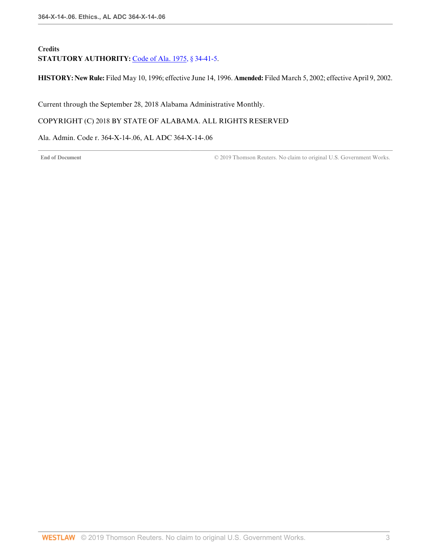# **Credits** STATUTORY AUTHORITY: [Code of Ala. 1975, § 34-41-5.](http://www.westlaw.com/Link/Document/FullText?findType=L&pubNum=1000002&cite=ALSTS34-41-5&originatingDoc=I2158DB0FCD484F4AA9ABFC423C1C0415&refType=LQ&originationContext=document&vr=3.0&rs=cblt1.0&transitionType=DocumentItem&contextData=(sc.Default))

**HISTORY: New Rule:** Filed May 10, 1996; effective June 14, 1996. **Amended:** Filed March 5, 2002; effective April 9, 2002.

<span id="page-81-0"></span>Current through the September 28, 2018 Alabama Administrative Monthly.

COPYRIGHT (C) 2018 BY STATE OF ALABAMA. ALL RIGHTS RESERVED

Ala. Admin. Code r. 364-X-14-.06, AL ADC 364-X-14-.06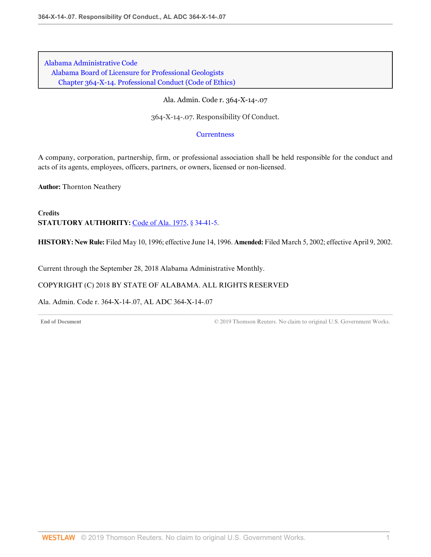[Alabama Administrative Code](http://www.westlaw.com/Browse/Home/Regulations/AlabamaRegulations?transitionType=DocumentItem&contextData=(sc.Default)&rs=clbt1.0&vr=3.0) [Alabama Board of Licensure for Professional Geologists](http://www.westlaw.com/Browse/Home/Regulations/AlabamaRegulations?guid=IB36CA5F191AA11E8899E005056B56C30&transitionType=DocumentItem&contextData=(sc.Default)&rs=clbt1.0&vr=3.0) [Chapter 364-X-14. Professional Conduct \(Code of Ethics\)](http://www.westlaw.com/Browse/Home/Regulations/AlabamaRegulations?guid=IB36CF41191AA11E8899E005056B56C30&transitionType=DocumentItem&contextData=(sc.Default)&rs=clbt1.0&vr=3.0)

Ala. Admin. Code r. 364-X-14-.07

364-X-14-.07. Responsibility Of Conduct.

#### **[Currentness](#page-82-0)**

A company, corporation, partnership, firm, or professional association shall be held responsible for the conduct and acts of its agents, employees, officers, partners, or owners, licensed or non-licensed.

**Author:** Thornton Neathery

**Credits STATUTORY AUTHORITY:** [Code of Ala. 1975, § 34-41-5.](http://www.westlaw.com/Link/Document/FullText?findType=L&pubNum=1000002&cite=ALSTS34-41-5&originatingDoc=IB22716B5D8E64BA392C5BC3625930D38&refType=LQ&originationContext=document&vr=3.0&rs=cblt1.0&transitionType=DocumentItem&contextData=(sc.Default))

**HISTORY: New Rule:** Filed May 10, 1996; effective June 14, 1996. **Amended:** Filed March 5, 2002; effective April 9, 2002.

<span id="page-82-0"></span>Current through the September 28, 2018 Alabama Administrative Monthly.

#### COPYRIGHT (C) 2018 BY STATE OF ALABAMA. ALL RIGHTS RESERVED

Ala. Admin. Code r. 364-X-14-.07, AL ADC 364-X-14-.07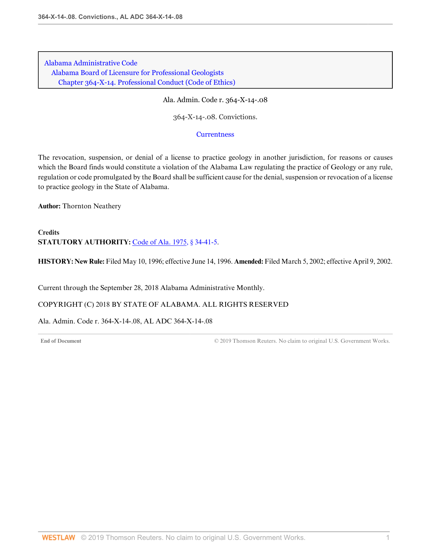[Alabama Administrative Code](http://www.westlaw.com/Browse/Home/Regulations/AlabamaRegulations?transitionType=DocumentItem&contextData=(sc.Default)&rs=clbt1.0&vr=3.0) [Alabama Board of Licensure for Professional Geologists](http://www.westlaw.com/Browse/Home/Regulations/AlabamaRegulations?guid=IB36CA5F191AA11E8899E005056B56C30&transitionType=DocumentItem&contextData=(sc.Default)&rs=clbt1.0&vr=3.0) [Chapter 364-X-14. Professional Conduct \(Code of Ethics\)](http://www.westlaw.com/Browse/Home/Regulations/AlabamaRegulations?guid=IB36CF41191AA11E8899E005056B56C30&transitionType=DocumentItem&contextData=(sc.Default)&rs=clbt1.0&vr=3.0)

Ala. Admin. Code r. 364-X-14-.08

364-X-14-.08. Convictions.

**[Currentness](#page-83-0)** 

The revocation, suspension, or denial of a license to practice geology in another jurisdiction, for reasons or causes which the Board finds would constitute a violation of the Alabama Law regulating the practice of Geology or any rule, regulation or code promulgated by the Board shall be sufficient cause for the denial, suspension or revocation of a license to practice geology in the State of Alabama.

**Author:** Thornton Neathery

**Credits STATUTORY AUTHORITY:** [Code of Ala. 1975, § 34-41-5.](http://www.westlaw.com/Link/Document/FullText?findType=L&pubNum=1000002&cite=ALSTS34-41-5&originatingDoc=I313D1CF6150C43C5AA5C7352EDCDFC1E&refType=LQ&originationContext=document&vr=3.0&rs=cblt1.0&transitionType=DocumentItem&contextData=(sc.Default))

**HISTORY: New Rule:** Filed May 10, 1996; effective June 14, 1996. **Amended:** Filed March 5, 2002; effective April 9, 2002.

<span id="page-83-0"></span>Current through the September 28, 2018 Alabama Administrative Monthly.

COPYRIGHT (C) 2018 BY STATE OF ALABAMA. ALL RIGHTS RESERVED

Ala. Admin. Code r. 364-X-14-.08, AL ADC 364-X-14-.08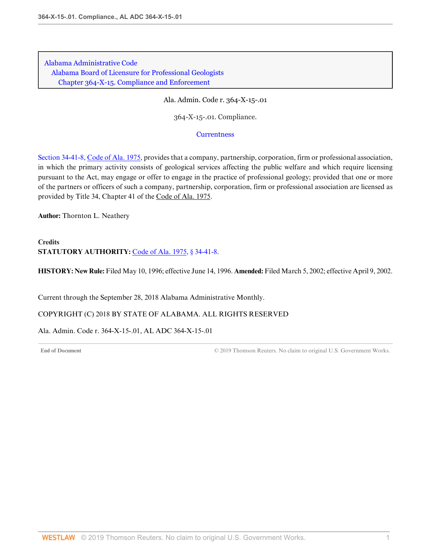[Alabama Administrative Code](http://www.westlaw.com/Browse/Home/Regulations/AlabamaRegulations?transitionType=DocumentItem&contextData=(sc.Default)&rs=clbt1.0&vr=3.0) [Alabama Board of Licensure for Professional Geologists](http://www.westlaw.com/Browse/Home/Regulations/AlabamaRegulations?guid=IB36CA5F191AA11E8899E005056B56C30&transitionType=DocumentItem&contextData=(sc.Default)&rs=clbt1.0&vr=3.0) [Chapter 364-X-15. Compliance and Enforcement](http://www.westlaw.com/Browse/Home/Regulations/AlabamaRegulations?guid=IB36CF41A91AA11E8899E005056B56C30&transitionType=DocumentItem&contextData=(sc.Default)&rs=clbt1.0&vr=3.0)

Ala. Admin. Code r. 364-X-15-.01

364-X-15-.01. Compliance.

#### **[Currentness](#page-84-0)**

[Section 34-41-8, Code of Ala. 1975,](http://www.westlaw.com/Link/Document/FullText?findType=L&pubNum=1000002&cite=ALSTS34-41-8&originatingDoc=I4FBFB733A3EA405EBDCEC2929BABB9B0&refType=LQ&originationContext=document&vr=3.0&rs=cblt1.0&transitionType=DocumentItem&contextData=(sc.Default)) provides that a company, partnership, corporation, firm or professional association, in which the primary activity consists of geological services affecting the public welfare and which require licensing pursuant to the Act, may engage or offer to engage in the practice of professional geology; provided that one or more of the partners or officers of such a company, partnership, corporation, firm or professional association are licensed as provided by Title 34, Chapter 41 of the Code of Ala. 1975.

**Author:** Thornton L. Neathery

# **Credits STATUTORY AUTHORITY:** [Code of Ala. 1975, § 34-41-8.](http://www.westlaw.com/Link/Document/FullText?findType=L&pubNum=1000002&cite=ALSTS34-41-8&originatingDoc=I4FBFB733A3EA405EBDCEC2929BABB9B0&refType=LQ&originationContext=document&vr=3.0&rs=cblt1.0&transitionType=DocumentItem&contextData=(sc.Default))

**HISTORY: New Rule:** Filed May 10, 1996; effective June 14, 1996. **Amended:** Filed March 5, 2002; effective April 9, 2002.

<span id="page-84-0"></span>Current through the September 28, 2018 Alabama Administrative Monthly.

COPYRIGHT (C) 2018 BY STATE OF ALABAMA. ALL RIGHTS RESERVED

Ala. Admin. Code r. 364-X-15-.01, AL ADC 364-X-15-.01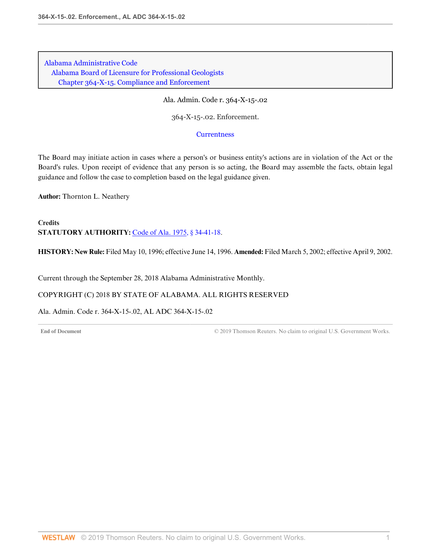[Alabama Administrative Code](http://www.westlaw.com/Browse/Home/Regulations/AlabamaRegulations?transitionType=DocumentItem&contextData=(sc.Default)&rs=clbt1.0&vr=3.0) [Alabama Board of Licensure for Professional Geologists](http://www.westlaw.com/Browse/Home/Regulations/AlabamaRegulations?guid=IB36CA5F191AA11E8899E005056B56C30&transitionType=DocumentItem&contextData=(sc.Default)&rs=clbt1.0&vr=3.0) [Chapter 364-X-15. Compliance and Enforcement](http://www.westlaw.com/Browse/Home/Regulations/AlabamaRegulations?guid=IB36CF41A91AA11E8899E005056B56C30&transitionType=DocumentItem&contextData=(sc.Default)&rs=clbt1.0&vr=3.0)

Ala. Admin. Code r. 364-X-15-.02

364-X-15-.02. Enforcement.

**[Currentness](#page-85-0)** 

The Board may initiate action in cases where a person's or business entity's actions are in violation of the Act or the Board's rules. Upon receipt of evidence that any person is so acting, the Board may assemble the facts, obtain legal guidance and follow the case to completion based on the legal guidance given.

**Author:** Thornton L. Neathery

**Credits STATUTORY AUTHORITY:** [Code of Ala. 1975, § 34-41-18.](http://www.westlaw.com/Link/Document/FullText?findType=L&pubNum=1000002&cite=ALSTS34-41-18&originatingDoc=ID3C97532E3FC424886BBFDD244668CA3&refType=LQ&originationContext=document&vr=3.0&rs=cblt1.0&transitionType=DocumentItem&contextData=(sc.Default))

**HISTORY: New Rule:** Filed May 10, 1996; effective June 14, 1996. **Amended:** Filed March 5, 2002; effective April 9, 2002.

<span id="page-85-0"></span>Current through the September 28, 2018 Alabama Administrative Monthly.

COPYRIGHT (C) 2018 BY STATE OF ALABAMA. ALL RIGHTS RESERVED

Ala. Admin. Code r. 364-X-15-.02, AL ADC 364-X-15-.02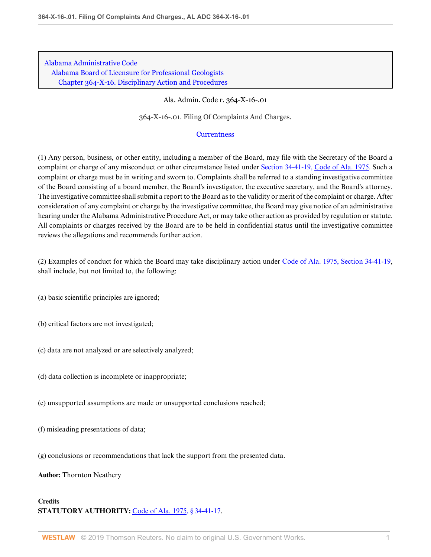Ala. Admin. Code r. 364-X-16-.01

364-X-16-.01. Filing Of Complaints And Charges.

## **[Currentness](#page-87-0)**

(1) Any person, business, or other entity, including a member of the Board, may file with the Secretary of the Board a complaint or charge of any misconduct or other circumstance listed under [Section 34-41-19, Code of Ala. 1975](http://www.westlaw.com/Link/Document/FullText?findType=L&pubNum=1000002&cite=ALSTS34-41-19&originatingDoc=IA251EFD8C62C45D2A39A889A764056F9&refType=LQ&originationContext=document&vr=3.0&rs=cblt1.0&transitionType=DocumentItem&contextData=(sc.Default)). Such a complaint or charge must be in writing and sworn to. Complaints shall be referred to a standing investigative committee of the Board consisting of a board member, the Board's investigator, the executive secretary, and the Board's attorney. The investigative committee shall submit a report to the Board as to the validity or merit of the complaint or charge. After consideration of any complaint or charge by the investigative committee, the Board may give notice of an administrative hearing under the Alabama Administrative Procedure Act, or may take other action as provided by regulation or statute. All complaints or charges received by the Board are to be held in confidential status until the investigative committee reviews the allegations and recommends further action.

(2) Examples of conduct for which the Board may take disciplinary action under [Code of Ala. 1975, Section 34-41-19](http://www.westlaw.com/Link/Document/FullText?findType=L&pubNum=1000002&cite=ALSTS34-41-19&originatingDoc=IA251EFD8C62C45D2A39A889A764056F9&refType=LQ&originationContext=document&vr=3.0&rs=cblt1.0&transitionType=DocumentItem&contextData=(sc.Default)), shall include, but not limited to, the following:

- (a) basic scientific principles are ignored;
- (b) critical factors are not investigated;
- (c) data are not analyzed or are selectively analyzed;
- (d) data collection is incomplete or inappropriate;
- (e) unsupported assumptions are made or unsupported conclusions reached;
- (f) misleading presentations of data;
- (g) conclusions or recommendations that lack the support from the presented data.
- **Author:** Thornton Neathery

## **Credits STATUTORY AUTHORITY:** [Code of Ala. 1975, § 34-41-17.](http://www.westlaw.com/Link/Document/FullText?findType=L&pubNum=1000002&cite=ALSTS34-41-17&originatingDoc=IA251EFD8C62C45D2A39A889A764056F9&refType=LQ&originationContext=document&vr=3.0&rs=cblt1.0&transitionType=DocumentItem&contextData=(sc.Default))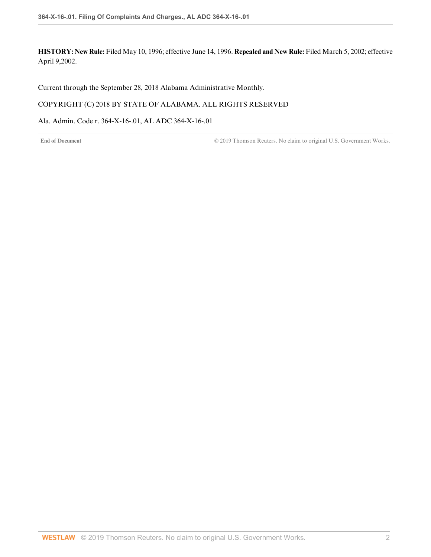**HISTORY: New Rule:** Filed May 10, 1996; effective June 14, 1996. **Repealed and New Rule:** Filed March 5, 2002; effective April 9,2002.

<span id="page-87-0"></span>Current through the September 28, 2018 Alabama Administrative Monthly.

## COPYRIGHT (C) 2018 BY STATE OF ALABAMA. ALL RIGHTS RESERVED

Ala. Admin. Code r. 364-X-16-.01, AL ADC 364-X-16-.01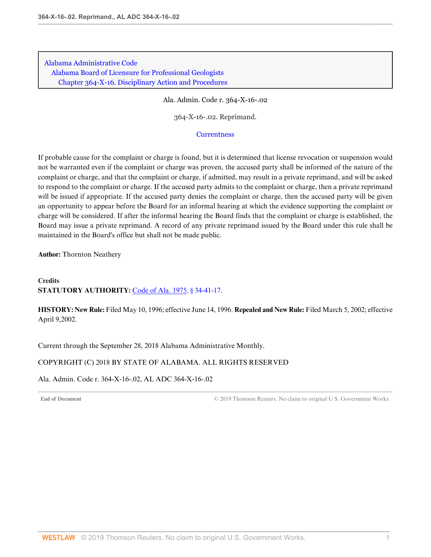Ala. Admin. Code r. 364-X-16-.02

364-X-16-.02. Reprimand.

#### **[Currentness](#page-88-0)**

If probable cause for the complaint or charge is found, but it is determined that license revocation or suspension would not be warranted even if the complaint or charge was proven, the accused party shall be informed of the nature of the complaint or charge, and that the complaint or charge, if admitted, may result in a private reprimand, and will be asked to respond to the complaint or charge. If the accused party admits to the complaint or charge, then a private reprimand will be issued if appropriate. If the accused party denies the complaint or charge, then the accused party will be given an opportunity to appear before the Board for an informal hearing at which the evidence supporting the complaint or charge will be considered. If after the informal hearing the Board finds that the complaint or charge is established, the Board may issue a private reprimand. A record of any private reprimand issued by the Board under this rule shall be maintained in the Board's office but shall not be made public.

**Author:** Thornton Neathery

## **Credits STATUTORY AUTHORITY:** [Code of Ala. 1975, § 34-41-17.](http://www.westlaw.com/Link/Document/FullText?findType=L&pubNum=1000002&cite=ALSTS34-41-17&originatingDoc=I2F32D891D33C44EAB23F04C9FAF17E8D&refType=LQ&originationContext=document&vr=3.0&rs=cblt1.0&transitionType=DocumentItem&contextData=(sc.Default))

**HISTORY: New Rule:** Filed May 10, 1996; effective June 14, 1996. **Repealed and New Rule:** Filed March 5, 2002; effective April 9,2002.

<span id="page-88-0"></span>Current through the September 28, 2018 Alabama Administrative Monthly.

## COPYRIGHT (C) 2018 BY STATE OF ALABAMA. ALL RIGHTS RESERVED

Ala. Admin. Code r. 364-X-16-.02, AL ADC 364-X-16-.02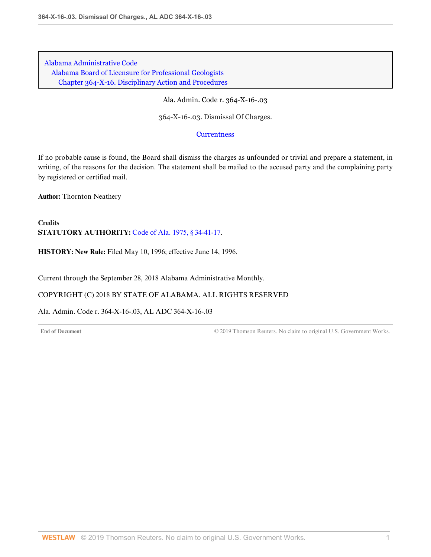Ala. Admin. Code r. 364-X-16-.03

364-X-16-.03. Dismissal Of Charges.

**[Currentness](#page-89-0)** 

If no probable cause is found, the Board shall dismiss the charges as unfounded or trivial and prepare a statement, in writing, of the reasons for the decision. The statement shall be mailed to the accused party and the complaining party by registered or certified mail.

**Author:** Thornton Neathery

**Credits STATUTORY AUTHORITY:** [Code of Ala. 1975, § 34-41-17.](http://www.westlaw.com/Link/Document/FullText?findType=L&pubNum=1000002&cite=ALSTS34-41-17&originatingDoc=I83CA2BBE5FF84F9FA5B4D767DB1EF142&refType=LQ&originationContext=document&vr=3.0&rs=cblt1.0&transitionType=DocumentItem&contextData=(sc.Default))

**HISTORY: New Rule:** Filed May 10, 1996; effective June 14, 1996.

<span id="page-89-0"></span>Current through the September 28, 2018 Alabama Administrative Monthly.

COPYRIGHT (C) 2018 BY STATE OF ALABAMA. ALL RIGHTS RESERVED

Ala. Admin. Code r. 364-X-16-.03, AL ADC 364-X-16-.03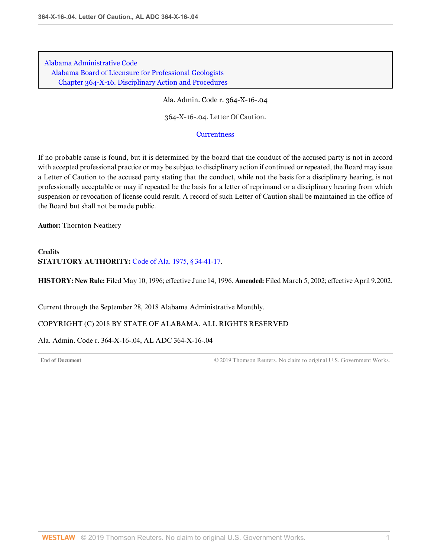Ala. Admin. Code r. 364-X-16-.04

364-X-16-.04. Letter Of Caution.

#### **[Currentness](#page-90-0)**

If no probable cause is found, but it is determined by the board that the conduct of the accused party is not in accord with accepted professional practice or may be subject to disciplinary action if continued or repeated, the Board may issue a Letter of Caution to the accused party stating that the conduct, while not the basis for a disciplinary hearing, is not professionally acceptable or may if repeated be the basis for a letter of reprimand or a disciplinary hearing from which suspension or revocation of license could result. A record of such Letter of Caution shall be maintained in the office of the Board but shall not be made public.

**Author:** Thornton Neathery

# **Credits STATUTORY AUTHORITY:** [Code of Ala. 1975, § 34-41-17.](http://www.westlaw.com/Link/Document/FullText?findType=L&pubNum=1000002&cite=ALSTS34-41-17&originatingDoc=IF0C1A010CD204153A4ECE95AC0102103&refType=LQ&originationContext=document&vr=3.0&rs=cblt1.0&transitionType=DocumentItem&contextData=(sc.Default))

**HISTORY: New Rule:** Filed May 10, 1996; effective June 14, 1996. **Amended:** Filed March 5, 2002; effective April 9,2002.

<span id="page-90-0"></span>Current through the September 28, 2018 Alabama Administrative Monthly.

## COPYRIGHT (C) 2018 BY STATE OF ALABAMA. ALL RIGHTS RESERVED

#### Ala. Admin. Code r. 364-X-16-.04, AL ADC 364-X-16-.04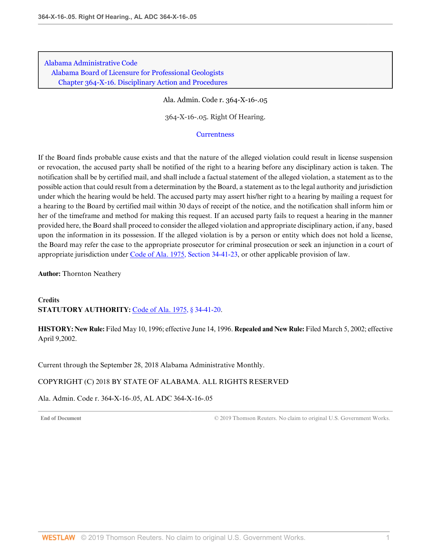Ala. Admin. Code r. 364-X-16-.05

364-X-16-.05. Right Of Hearing.

#### **[Currentness](#page-91-0)**

If the Board finds probable cause exists and that the nature of the alleged violation could result in license suspension or revocation, the accused party shall be notified of the right to a hearing before any disciplinary action is taken. The notification shall be by certified mail, and shall include a factual statement of the alleged violation, a statement as to the possible action that could result from a determination by the Board, a statement as to the legal authority and jurisdiction under which the hearing would be held. The accused party may assert his/her right to a hearing by mailing a request for a hearing to the Board by certified mail within 30 days of receipt of the notice, and the notification shall inform him or her of the timeframe and method for making this request. If an accused party fails to request a hearing in the manner provided here, the Board shall proceed to consider the alleged violation and appropriate disciplinary action, if any, based upon the information in its possession. If the alleged violation is by a person or entity which does not hold a license, the Board may refer the case to the appropriate prosecutor for criminal prosecution or seek an injunction in a court of appropriate jurisdiction under [Code of Ala. 1975, Section 34-41-23,](http://www.westlaw.com/Link/Document/FullText?findType=L&pubNum=1000002&cite=ALSTS34-41-23&originatingDoc=IA3CE8FC7799441AD99E068246712F209&refType=LQ&originationContext=document&vr=3.0&rs=cblt1.0&transitionType=DocumentItem&contextData=(sc.Default)) or other applicable provision of law.

**Author:** Thornton Neathery

**Credits STATUTORY AUTHORITY:** [Code of Ala. 1975, § 34-41-20.](http://www.westlaw.com/Link/Document/FullText?findType=L&pubNum=1000002&cite=ALSTS34-41-20&originatingDoc=IA3CE8FC7799441AD99E068246712F209&refType=LQ&originationContext=document&vr=3.0&rs=cblt1.0&transitionType=DocumentItem&contextData=(sc.Default))

**HISTORY: New Rule:** Filed May 10, 1996; effective June 14, 1996. **Repealed and New Rule:** Filed March 5, 2002; effective April 9,2002.

<span id="page-91-0"></span>Current through the September 28, 2018 Alabama Administrative Monthly.

## COPYRIGHT (C) 2018 BY STATE OF ALABAMA. ALL RIGHTS RESERVED

Ala. Admin. Code r. 364-X-16-.05, AL ADC 364-X-16-.05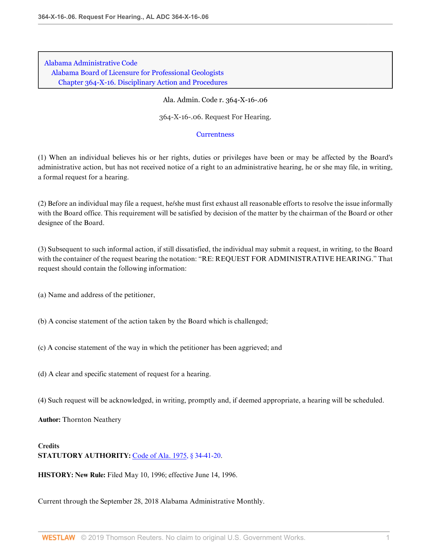#### Ala. Admin. Code r. 364-X-16-.06

364-X-16-.06. Request For Hearing.

## **[Currentness](#page-92-0)**

(1) When an individual believes his or her rights, duties or privileges have been or may be affected by the Board's administrative action, but has not received notice of a right to an administrative hearing, he or she may file, in writing, a formal request for a hearing.

(2) Before an individual may file a request, he/she must first exhaust all reasonable efforts to resolve the issue informally with the Board office. This requirement will be satisfied by decision of the matter by the chairman of the Board or other designee of the Board.

(3) Subsequent to such informal action, if still dissatisfied, the individual may submit a request, in writing, to the Board with the container of the request bearing the notation: "RE: REQUEST FOR ADMINISTRATIVE HEARING." That request should contain the following information:

(a) Name and address of the petitioner,

(b) A concise statement of the action taken by the Board which is challenged;

(c) A concise statement of the way in which the petitioner has been aggrieved; and

(d) A clear and specific statement of request for a hearing.

(4) Such request will be acknowledged, in writing, promptly and, if deemed appropriate, a hearing will be scheduled.

**Author:** Thornton Neathery

## **Credits STATUTORY AUTHORITY:** [Code of Ala. 1975, § 34-41-20.](http://www.westlaw.com/Link/Document/FullText?findType=L&pubNum=1000002&cite=ALSTS34-41-20&originatingDoc=I0F0C77E3E32F411B970AC3F484D19EC0&refType=LQ&originationContext=document&vr=3.0&rs=cblt1.0&transitionType=DocumentItem&contextData=(sc.Default))

**HISTORY: New Rule:** Filed May 10, 1996; effective June 14, 1996.

<span id="page-92-0"></span>Current through the September 28, 2018 Alabama Administrative Monthly.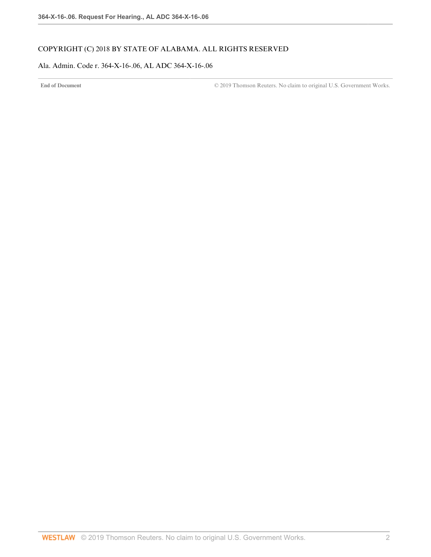# COPYRIGHT (C) 2018 BY STATE OF ALABAMA. ALL RIGHTS RESERVED

## Ala. Admin. Code r. 364-X-16-.06, AL ADC 364-X-16-.06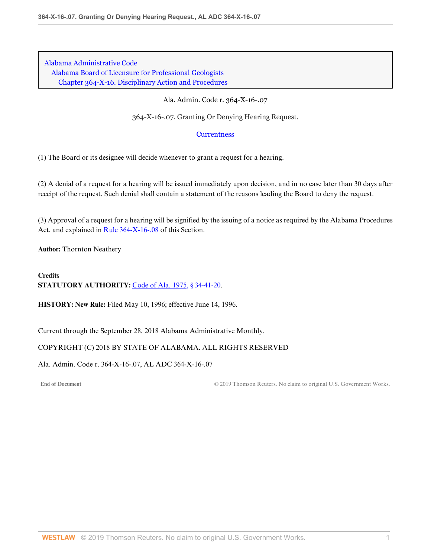## Ala. Admin. Code r. 364-X-16-.07

364-X-16-.07. Granting Or Denying Hearing Request.

## **[Currentness](#page-94-0)**

(1) The Board or its designee will decide whenever to grant a request for a hearing.

(2) A denial of a request for a hearing will be issued immediately upon decision, and in no case later than 30 days after receipt of the request. Such denial shall contain a statement of the reasons leading the Board to deny the request.

(3) Approval of a request for a hearing will be signified by the issuing of a notice as required by the Alabama Procedures Act, and explained in [Rule 364-X-16-.08](http://www.westlaw.com/Link/Document/FullText?findType=L&pubNum=1012843&cite=ALADC364-X-16-.08&originatingDoc=I00B1D431218F482D97CC1ECC51D7A3E3&refType=VP&originationContext=document&vr=3.0&rs=cblt1.0&transitionType=DocumentItem&contextData=(sc.Default)) of this Section.

**Author:** Thornton Neathery

**Credits STATUTORY AUTHORITY:** [Code of Ala. 1975, § 34-41-20.](http://www.westlaw.com/Link/Document/FullText?findType=L&pubNum=1000002&cite=ALSTS34-41-20&originatingDoc=I00B1D431218F482D97CC1ECC51D7A3E3&refType=LQ&originationContext=document&vr=3.0&rs=cblt1.0&transitionType=DocumentItem&contextData=(sc.Default))

**HISTORY: New Rule:** Filed May 10, 1996; effective June 14, 1996.

<span id="page-94-0"></span>Current through the September 28, 2018 Alabama Administrative Monthly.

## COPYRIGHT (C) 2018 BY STATE OF ALABAMA. ALL RIGHTS RESERVED

Ala. Admin. Code r. 364-X-16-.07, AL ADC 364-X-16-.07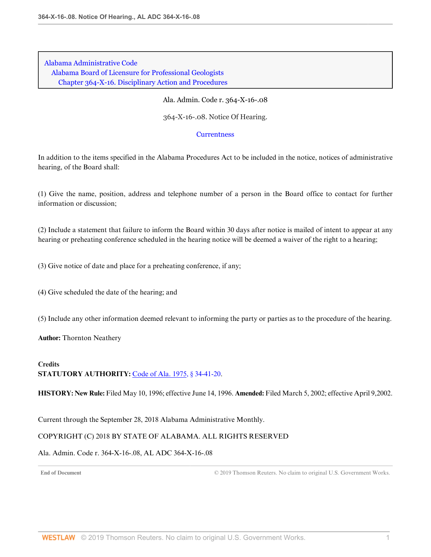#### Ala. Admin. Code r. 364-X-16-.08

364-X-16-.08. Notice Of Hearing.

#### **[Currentness](#page-95-0)**

In addition to the items specified in the Alabama Procedures Act to be included in the notice, notices of administrative hearing, of the Board shall:

(1) Give the name, position, address and telephone number of a person in the Board office to contact for further information or discussion;

(2) Include a statement that failure to inform the Board within 30 days after notice is mailed of intent to appear at any hearing or preheating conference scheduled in the hearing notice will be deemed a waiver of the right to a hearing;

(3) Give notice of date and place for a preheating conference, if any;

(4) Give scheduled the date of the hearing; and

(5) Include any other information deemed relevant to informing the party or parties as to the procedure of the hearing.

**Author:** Thornton Neathery

# **Credits STATUTORY AUTHORITY:** [Code of Ala. 1975, § 34-41-20.](http://www.westlaw.com/Link/Document/FullText?findType=L&pubNum=1000002&cite=ALSTS34-41-20&originatingDoc=I41CBC33A1E4D471A9A6AE998BA37AA03&refType=LQ&originationContext=document&vr=3.0&rs=cblt1.0&transitionType=DocumentItem&contextData=(sc.Default))

**HISTORY: New Rule:** Filed May 10, 1996; effective June 14, 1996. **Amended:** Filed March 5, 2002; effective April 9,2002.

<span id="page-95-0"></span>Current through the September 28, 2018 Alabama Administrative Monthly.

## COPYRIGHT (C) 2018 BY STATE OF ALABAMA. ALL RIGHTS RESERVED

## Ala. Admin. Code r. 364-X-16-.08, AL ADC 364-X-16-.08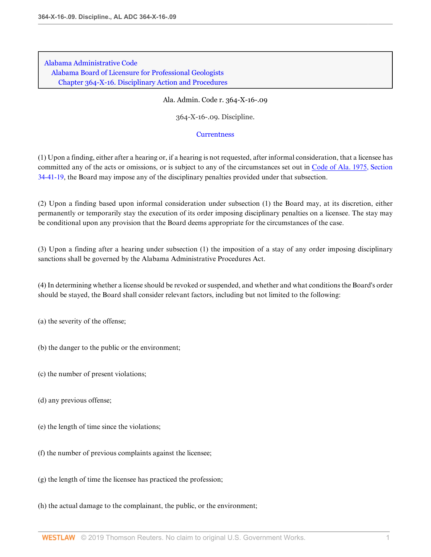Ala. Admin. Code r. 364-X-16-.09

364-X-16-.09. Discipline.

#### **[Currentness](#page-97-0)**

(1) Upon a finding, either after a hearing or, if a hearing is not requested, after informal consideration, that a licensee has committed any of the acts or omissions, or is subject to any of the circumstances set out in [Code of Ala. 1975, Section](http://www.westlaw.com/Link/Document/FullText?findType=L&pubNum=1000002&cite=ALSTS34-41-19&originatingDoc=ID17910830A2140E1B9877A6588C8E09C&refType=LQ&originationContext=document&vr=3.0&rs=cblt1.0&transitionType=DocumentItem&contextData=(sc.Default)) [34-41-19,](http://www.westlaw.com/Link/Document/FullText?findType=L&pubNum=1000002&cite=ALSTS34-41-19&originatingDoc=ID17910830A2140E1B9877A6588C8E09C&refType=LQ&originationContext=document&vr=3.0&rs=cblt1.0&transitionType=DocumentItem&contextData=(sc.Default)) the Board may impose any of the disciplinary penalties provided under that subsection.

(2) Upon a finding based upon informal consideration under subsection (1) the Board may, at its discretion, either permanently or temporarily stay the execution of its order imposing disciplinary penalties on a licensee. The stay may be conditional upon any provision that the Board deems appropriate for the circumstances of the case.

(3) Upon a finding after a hearing under subsection (1) the imposition of a stay of any order imposing disciplinary sanctions shall be governed by the Alabama Administrative Procedures Act.

(4) In determining whether a license should be revoked or suspended, and whether and what conditions the Board's order should be stayed, the Board shall consider relevant factors, including but not limited to the following:

- (a) the severity of the offense;
- (b) the danger to the public or the environment;
- (c) the number of present violations;
- (d) any previous offense;
- (e) the length of time since the violations;
- (f) the number of previous complaints against the licensee;
- (g) the length of time the licensee has practiced the profession;
- (h) the actual damage to the complainant, the public, or the environment;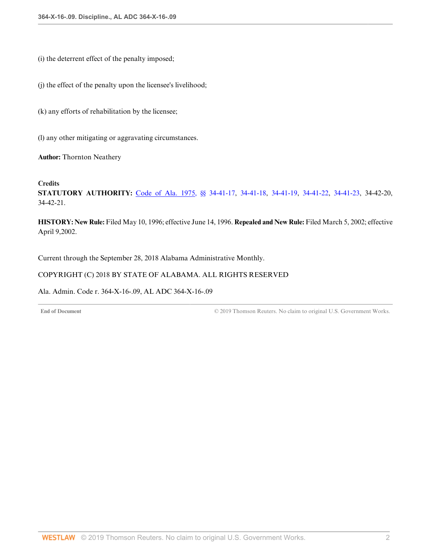(i) the deterrent effect of the penalty imposed;

(j) the effect of the penalty upon the licensee's livelihood;

(k) any efforts of rehabilitation by the licensee;

(l) any other mitigating or aggravating circumstances.

**Author:** Thornton Neathery

## **Credits**

**STATUTORY AUTHORITY:** [Code of Ala. 1975, §§ 34-41-17](http://www.westlaw.com/Link/Document/FullText?findType=L&pubNum=1000002&cite=ALSTS34-41-17&originatingDoc=ID17910830A2140E1B9877A6588C8E09C&refType=LQ&originationContext=document&vr=3.0&rs=cblt1.0&transitionType=DocumentItem&contextData=(sc.Default)), [34-41-18](http://www.westlaw.com/Link/Document/FullText?findType=L&pubNum=1000002&cite=ALSTS34-41-18&originatingDoc=ID17910830A2140E1B9877A6588C8E09C&refType=LQ&originationContext=document&vr=3.0&rs=cblt1.0&transitionType=DocumentItem&contextData=(sc.Default)), [34-41-19,](http://www.westlaw.com/Link/Document/FullText?findType=L&pubNum=1000002&cite=ALSTS34-41-19&originatingDoc=ID17910830A2140E1B9877A6588C8E09C&refType=LQ&originationContext=document&vr=3.0&rs=cblt1.0&transitionType=DocumentItem&contextData=(sc.Default)) [34-41-22,](http://www.westlaw.com/Link/Document/FullText?findType=L&pubNum=1000002&cite=ALSTS34-41-22&originatingDoc=ID17910830A2140E1B9877A6588C8E09C&refType=LQ&originationContext=document&vr=3.0&rs=cblt1.0&transitionType=DocumentItem&contextData=(sc.Default)) [34-41-23](http://www.westlaw.com/Link/Document/FullText?findType=L&pubNum=1000002&cite=ALSTS34-41-23&originatingDoc=ID17910830A2140E1B9877A6588C8E09C&refType=LQ&originationContext=document&vr=3.0&rs=cblt1.0&transitionType=DocumentItem&contextData=(sc.Default)), 34-42-20, 34-42-21.

**HISTORY: New Rule:** Filed May 10, 1996; effective June 14, 1996. **Repealed and New Rule:** Filed March 5, 2002; effective April 9,2002.

<span id="page-97-0"></span>Current through the September 28, 2018 Alabama Administrative Monthly.

## COPYRIGHT (C) 2018 BY STATE OF ALABAMA. ALL RIGHTS RESERVED

#### Ala. Admin. Code r. 364-X-16-.09, AL ADC 364-X-16-.09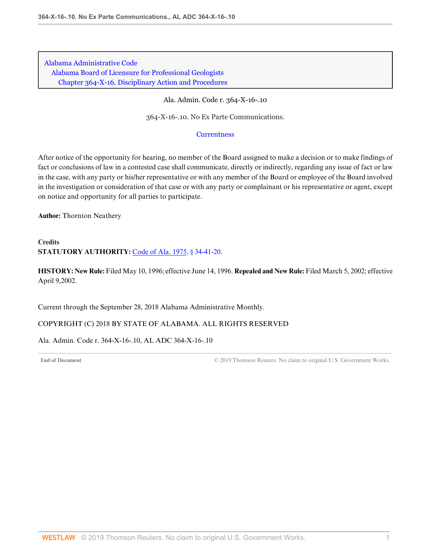Ala. Admin. Code r. 364-X-16-.10

364-X-16-.10. No Ex Parte Communications.

#### **[Currentness](#page-98-0)**

After notice of the opportunity for hearing, no member of the Board assigned to make a decision or to make findings of fact or conclusions of law in a contested case shall communicate, directly or indirectly, regarding any issue of fact or law in the case, with any party or his/her representative or with any member of the Board or employee of the Board involved in the investigation or consideration of that case or with any party or complainant or his representative or agent, except on notice and opportunity for all parties to participate.

**Author:** Thornton Neathery

# **Credits STATUTORY AUTHORITY:** [Code of Ala. 1975, § 34-41-20.](http://www.westlaw.com/Link/Document/FullText?findType=L&pubNum=1000002&cite=ALSTS34-41-20&originatingDoc=I8F621BA76D394C16B8B1E1BA57BA82C0&refType=LQ&originationContext=document&vr=3.0&rs=cblt1.0&transitionType=DocumentItem&contextData=(sc.Default))

**HISTORY: New Rule:** Filed May 10, 1996; effective June 14, 1996. **Repealed and New Rule:** Filed March 5, 2002; effective April 9,2002.

<span id="page-98-0"></span>Current through the September 28, 2018 Alabama Administrative Monthly.

COPYRIGHT (C) 2018 BY STATE OF ALABAMA. ALL RIGHTS RESERVED

Ala. Admin. Code r. 364-X-16-.10, AL ADC 364-X-16-.10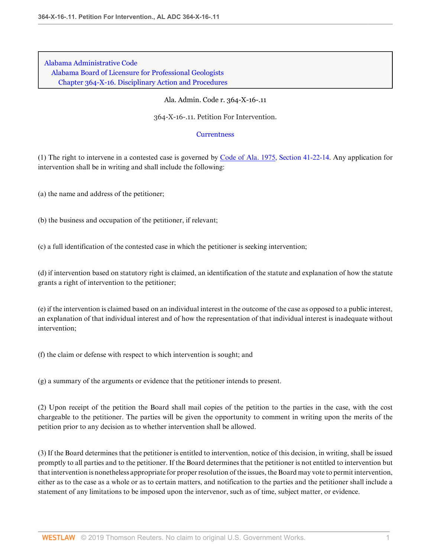#### Ala. Admin. Code r. 364-X-16-.11

364-X-16-.11. Petition For Intervention.

#### **[Currentness](#page-100-0)**

(1) The right to intervene in a contested case is governed by [Code of Ala. 1975, Section 41-22-14.](http://www.westlaw.com/Link/Document/FullText?findType=L&pubNum=1000002&cite=ALSTS41-22-14&originatingDoc=IB6D65D0BF9284E6E88C1E7D84668B761&refType=LQ&originationContext=document&vr=3.0&rs=cblt1.0&transitionType=DocumentItem&contextData=(sc.Default)) Any application for intervention shall be in writing and shall include the following:

(a) the name and address of the petitioner;

(b) the business and occupation of the petitioner, if relevant;

(c) a full identification of the contested case in which the petitioner is seeking intervention;

(d) if intervention based on statutory right is claimed, an identification of the statute and explanation of how the statute grants a right of intervention to the petitioner;

(e) if the intervention is claimed based on an individual interest in the outcome of the case as opposed to a public interest, an explanation of that individual interest and of how the representation of that individual interest is inadequate without intervention;

(f) the claim or defense with respect to which intervention is sought; and

(g) a summary of the arguments or evidence that the petitioner intends to present.

(2) Upon receipt of the petition the Board shall mail copies of the petition to the parties in the case, with the cost chargeable to the petitioner. The parties will be given the opportunity to comment in writing upon the merits of the petition prior to any decision as to whether intervention shall be allowed.

(3) If the Board determines that the petitioner is entitled to intervention, notice of this decision, in writing, shall be issued promptly to all parties and to the petitioner. If the Board determines that the petitioner is not entitled to intervention but that intervention is nonetheless appropriate for proper resolution of the issues, the Board may vote to permit intervention, either as to the case as a whole or as to certain matters, and notification to the parties and the petitioner shall include a statement of any limitations to be imposed upon the intervenor, such as of time, subject matter, or evidence.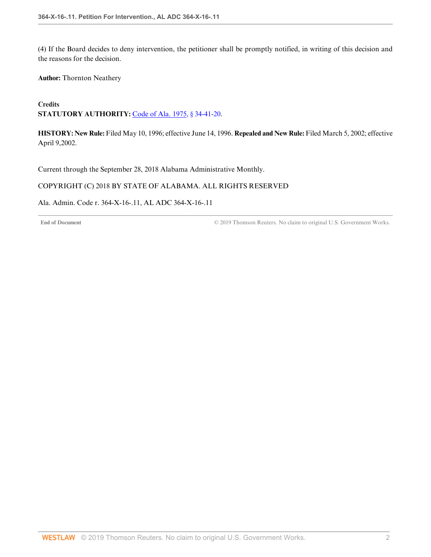(4) If the Board decides to deny intervention, the petitioner shall be promptly notified, in writing of this decision and the reasons for the decision.

**Author:** Thornton Neathery

**Credits** STATUTORY AUTHORITY: [Code of Ala. 1975, § 34-41-20.](http://www.westlaw.com/Link/Document/FullText?findType=L&pubNum=1000002&cite=ALSTS34-41-20&originatingDoc=IB6D65D0BF9284E6E88C1E7D84668B761&refType=LQ&originationContext=document&vr=3.0&rs=cblt1.0&transitionType=DocumentItem&contextData=(sc.Default))

**HISTORY: New Rule:** Filed May 10, 1996; effective June 14, 1996. **Repealed and New Rule:** Filed March 5, 2002; effective April 9,2002.

<span id="page-100-0"></span>Current through the September 28, 2018 Alabama Administrative Monthly.

## COPYRIGHT (C) 2018 BY STATE OF ALABAMA. ALL RIGHTS RESERVED

Ala. Admin. Code r. 364-X-16-.11, AL ADC 364-X-16-.11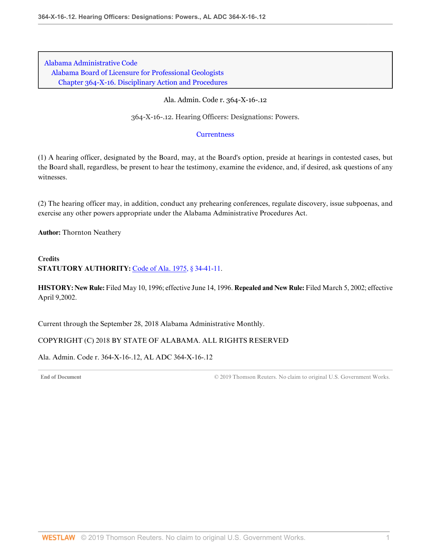#### Ala. Admin. Code r. 364-X-16-.12

364-X-16-.12. Hearing Officers: Designations: Powers.

#### **[Currentness](#page-101-0)**

(1) A hearing officer, designated by the Board, may, at the Board's option, preside at hearings in contested cases, but the Board shall, regardless, be present to hear the testimony, examine the evidence, and, if desired, ask questions of any witnesses.

(2) The hearing officer may, in addition, conduct any prehearing conferences, regulate discovery, issue subpoenas, and exercise any other powers appropriate under the Alabama Administrative Procedures Act.

**Author:** Thornton Neathery

## **Credits STATUTORY AUTHORITY:** [Code of Ala. 1975, § 34-41-11.](http://www.westlaw.com/Link/Document/FullText?findType=L&pubNum=1000002&cite=ALSTS34-41-11&originatingDoc=IF2407B772F2B41248387A931614C41F3&refType=LQ&originationContext=document&vr=3.0&rs=cblt1.0&transitionType=DocumentItem&contextData=(sc.Default))

**HISTORY: New Rule:** Filed May 10, 1996; effective June 14, 1996. **Repealed and New Rule:** Filed March 5, 2002; effective April 9,2002.

<span id="page-101-0"></span>Current through the September 28, 2018 Alabama Administrative Monthly.

#### COPYRIGHT (C) 2018 BY STATE OF ALABAMA. ALL RIGHTS RESERVED

Ala. Admin. Code r. 364-X-16-.12, AL ADC 364-X-16-.12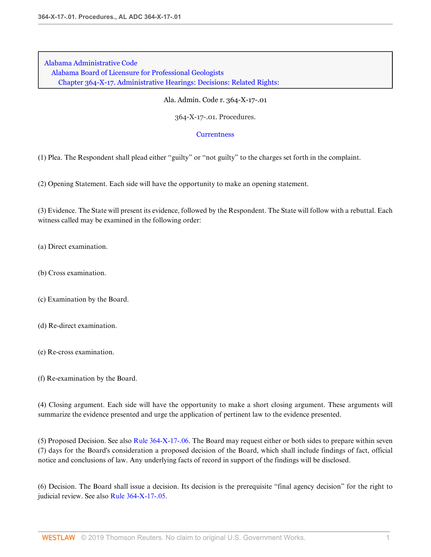Ala. Admin. Code r. 364-X-17-.01

364-X-17-.01. Procedures.

#### **[Currentness](#page-103-0)**

(1) Plea. The Respondent shall plead either "guilty" or "not guilty" to the charges set forth in the complaint.

(2) Opening Statement. Each side will have the opportunity to make an opening statement.

(3) Evidence. The State will present its evidence, followed by the Respondent. The State will follow with a rebuttal. Each witness called may be examined in the following order:

(a) Direct examination.

(b) Cross examination.

(c) Examination by the Board.

(d) Re-direct examination.

(e) Re-cross examination.

(f) Re-examination by the Board.

(4) Closing argument. Each side will have the opportunity to make a short closing argument. These arguments will summarize the evidence presented and urge the application of pertinent law to the evidence presented.

(5) Proposed Decision. See also [Rule 364-X-17-.06.](http://www.westlaw.com/Link/Document/FullText?findType=L&pubNum=1012843&cite=ALADC364-X-17-.06&originatingDoc=IE3800C1A4A444CEA8C32BBD2DD861EF3&refType=VP&originationContext=document&vr=3.0&rs=cblt1.0&transitionType=DocumentItem&contextData=(sc.Default)) The Board may request either or both sides to prepare within seven (7) days for the Board's consideration a proposed decision of the Board, which shall include findings of fact, official notice and conclusions of law. Any underlying facts of record in support of the findings will be disclosed.

(6) Decision. The Board shall issue a decision. Its decision is the prerequisite "final agency decision" for the right to judicial review. See also [Rule 364-X-17-.05](http://www.westlaw.com/Link/Document/FullText?findType=L&pubNum=1012843&cite=ALADC364-X-17-.05&originatingDoc=IE3800C1A4A444CEA8C32BBD2DD861EF3&refType=VP&originationContext=document&vr=3.0&rs=cblt1.0&transitionType=DocumentItem&contextData=(sc.Default)).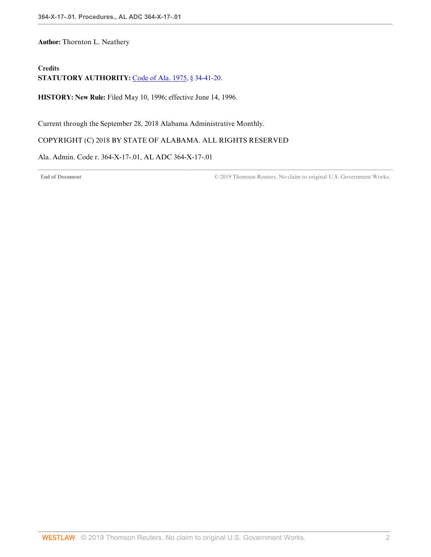**Author:** Thornton L. Neathery

# **Credits**

**STATUTORY AUTHORITY:** [Code of Ala. 1975, § 34-41-20.](http://www.westlaw.com/Link/Document/FullText?findType=L&pubNum=1000002&cite=ALSTS34-41-20&originatingDoc=IE3800C1A4A444CEA8C32BBD2DD861EF3&refType=LQ&originationContext=document&vr=3.0&rs=cblt1.0&transitionType=DocumentItem&contextData=(sc.Default))

**HISTORY: New Rule:** Filed May 10, 1996; effective June 14, 1996.

<span id="page-103-0"></span>Current through the September 28, 2018 Alabama Administrative Monthly.

## COPYRIGHT (C) 2018 BY STATE OF ALABAMA. ALL RIGHTS RESERVED

Ala. Admin. Code r. 364-X-17-.01, AL ADC 364-X-17-.01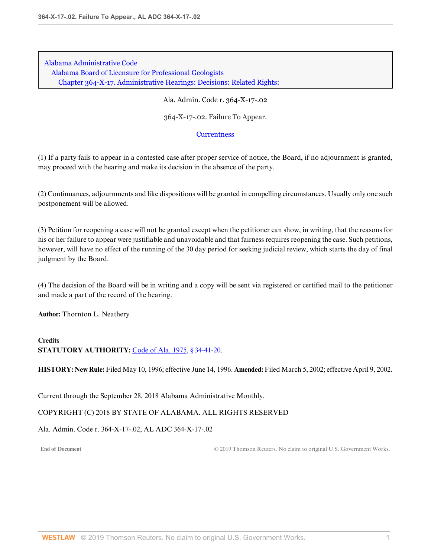Ala. Admin. Code r. 364-X-17-.02

364-X-17-.02. Failure To Appear.

#### **[Currentness](#page-104-0)**

(1) If a party fails to appear in a contested case after proper service of notice, the Board, if no adjournment is granted, may proceed with the hearing and make its decision in the absence of the party.

(2) Continuances, adjournments and like dispositions will be granted in compelling circumstances. Usually only one such postponement will be allowed.

(3) Petition for reopening a case will not be granted except when the petitioner can show, in writing, that the reasons for his or her failure to appear were justifiable and unavoidable and that fairness requires reopening the case. Such petitions, however, will have no effect of the running of the 30 day period for seeking judicial review, which starts the day of final judgment by the Board.

(4) The decision of the Board will be in writing and a copy will be sent via registered or certified mail to the petitioner and made a part of the record of the hearing.

**Author:** Thornton L. Neathery

## **Credits STATUTORY AUTHORITY:** [Code of Ala. 1975, § 34-41-20.](http://www.westlaw.com/Link/Document/FullText?findType=L&pubNum=1000002&cite=ALSTS34-41-20&originatingDoc=I691DC293708F4C9BA57F661472B45B61&refType=LQ&originationContext=document&vr=3.0&rs=cblt1.0&transitionType=DocumentItem&contextData=(sc.Default))

**HISTORY: New Rule:** Filed May 10, 1996; effective June 14, 1996. **Amended:** Filed March 5, 2002; effective April 9, 2002.

<span id="page-104-0"></span>Current through the September 28, 2018 Alabama Administrative Monthly.

#### COPYRIGHT (C) 2018 BY STATE OF ALABAMA. ALL RIGHTS RESERVED

Ala. Admin. Code r. 364-X-17-.02, AL ADC 364-X-17-.02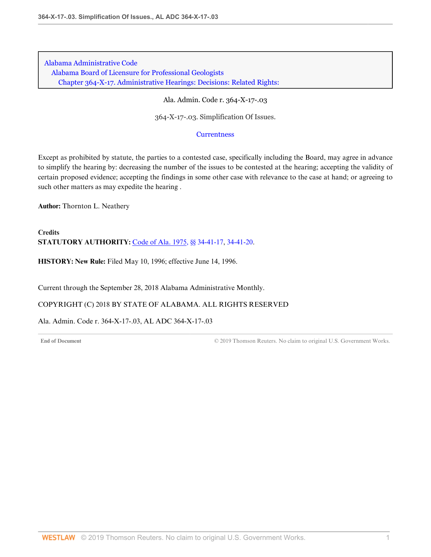#### Ala. Admin. Code r. 364-X-17-.03

364-X-17-.03. Simplification Of Issues.

#### **[Currentness](#page-105-0)**

Except as prohibited by statute, the parties to a contested case, specifically including the Board, may agree in advance to simplify the hearing by: decreasing the number of the issues to be contested at the hearing; accepting the validity of certain proposed evidence; accepting the findings in some other case with relevance to the case at hand; or agreeing to such other matters as may expedite the hearing .

**Author:** Thornton L. Neathery

**Credits STATUTORY AUTHORITY:** [Code of Ala. 1975, §§ 34-41-17](http://www.westlaw.com/Link/Document/FullText?findType=L&pubNum=1000002&cite=ALSTS34-41-17&originatingDoc=I9FFABBEE7B224C4AB4B7099EFE36B3FE&refType=LQ&originationContext=document&vr=3.0&rs=cblt1.0&transitionType=DocumentItem&contextData=(sc.Default)), [34-41-20](http://www.westlaw.com/Link/Document/FullText?findType=L&pubNum=1000002&cite=ALSTS34-41-20&originatingDoc=I9FFABBEE7B224C4AB4B7099EFE36B3FE&refType=LQ&originationContext=document&vr=3.0&rs=cblt1.0&transitionType=DocumentItem&contextData=(sc.Default)).

**HISTORY: New Rule:** Filed May 10, 1996; effective June 14, 1996.

<span id="page-105-0"></span>Current through the September 28, 2018 Alabama Administrative Monthly.

#### COPYRIGHT (C) 2018 BY STATE OF ALABAMA. ALL RIGHTS RESERVED

Ala. Admin. Code r. 364-X-17-.03, AL ADC 364-X-17-.03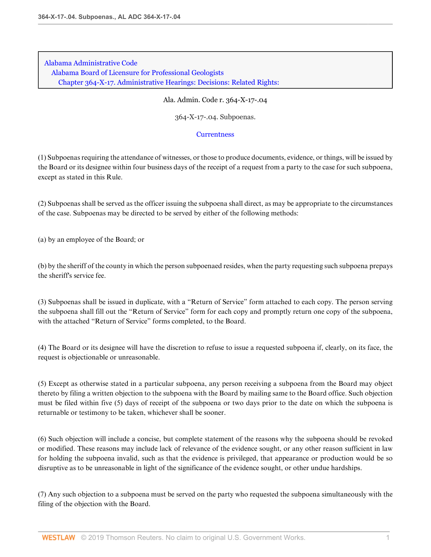Ala. Admin. Code r. 364-X-17-.04

364-X-17-.04. Subpoenas.

#### **[Currentness](#page-108-0)**

(1) Subpoenas requiring the attendance of witnesses, or those to produce documents, evidence, or things, will be issued by the Board or its designee within four business days of the receipt of a request from a party to the case for such subpoena, except as stated in this Rule.

(2) Subpoenas shall be served as the officer issuing the subpoena shall direct, as may be appropriate to the circumstances of the case. Subpoenas may be directed to be served by either of the following methods:

(a) by an employee of the Board; or

(b) by the sheriff of the county in which the person subpoenaed resides, when the party requesting such subpoena prepays the sheriff's service fee.

(3) Subpoenas shall be issued in duplicate, with a "Return of Service" form attached to each copy. The person serving the subpoena shall fill out the "Return of Service" form for each copy and promptly return one copy of the subpoena, with the attached "Return of Service" forms completed, to the Board.

(4) The Board or its designee will have the discretion to refuse to issue a requested subpoena if, clearly, on its face, the request is objectionable or unreasonable.

(5) Except as otherwise stated in a particular subpoena, any person receiving a subpoena from the Board may object thereto by filing a written objection to the subpoena with the Board by mailing same to the Board office. Such objection must be filed within five (5) days of receipt of the subpoena or two days prior to the date on which the subpoena is returnable or testimony to be taken, whichever shall be sooner.

(6) Such objection will include a concise, but complete statement of the reasons why the subpoena should be revoked or modified. These reasons may include lack of relevance of the evidence sought, or any other reason sufficient in law for holding the subpoena invalid, such as that the evidence is privileged, that appearance or production would be so disruptive as to be unreasonable in light of the significance of the evidence sought, or other undue hardships.

(7) Any such objection to a subpoena must be served on the party who requested the subpoena simultaneously with the filing of the objection with the Board.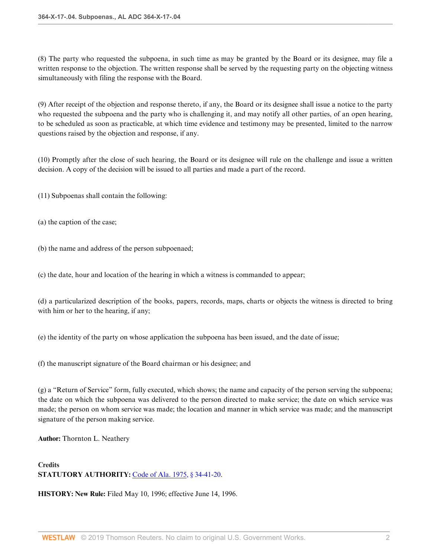(8) The party who requested the subpoena, in such time as may be granted by the Board or its designee, may file a written response to the objection. The written response shall be served by the requesting party on the objecting witness simultaneously with filing the response with the Board.

(9) After receipt of the objection and response thereto, if any, the Board or its designee shall issue a notice to the party who requested the subpoena and the party who is challenging it, and may notify all other parties, of an open hearing, to be scheduled as soon as practicable, at which time evidence and testimony may be presented, limited to the narrow questions raised by the objection and response, if any.

(10) Promptly after the close of such hearing, the Board or its designee will rule on the challenge and issue a written decision. A copy of the decision will be issued to all parties and made a part of the record.

(11) Subpoenas shall contain the following:

(a) the caption of the case;

(b) the name and address of the person subpoenaed;

(c) the date, hour and location of the hearing in which a witness is commanded to appear;

(d) a particularized description of the books, papers, records, maps, charts or objects the witness is directed to bring with him or her to the hearing, if any;

(e) the identity of the party on whose application the subpoena has been issued, and the date of issue;

(f) the manuscript signature of the Board chairman or his designee; and

(g) a "Return of Service" form, fully executed, which shows; the name and capacity of the person serving the subpoena; the date on which the subpoena was delivered to the person directed to make service; the date on which service was made; the person on whom service was made; the location and manner in which service was made; and the manuscript signature of the person making service.

**Author:** Thornton L. Neathery

**Credits STATUTORY AUTHORITY:** [Code of Ala. 1975, § 34-41-20.](http://www.westlaw.com/Link/Document/FullText?findType=L&pubNum=1000002&cite=ALSTS34-41-20&originatingDoc=IC6BD2C3AC45D480A99FD11006DA18698&refType=LQ&originationContext=document&vr=3.0&rs=cblt1.0&transitionType=DocumentItem&contextData=(sc.Default))

**HISTORY: New Rule:** Filed May 10, 1996; effective June 14, 1996.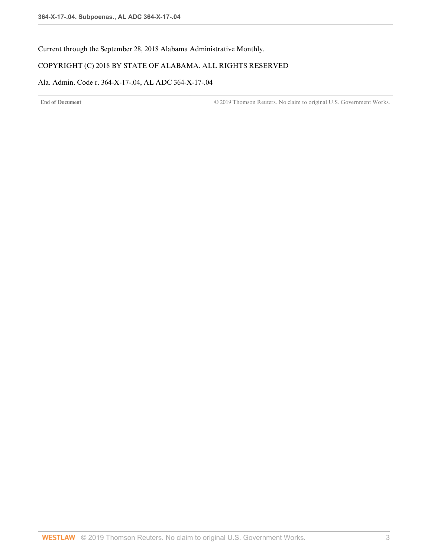Current through the September 28, 2018 Alabama Administrative Monthly.

# COPYRIGHT (C) 2018 BY STATE OF ALABAMA. ALL RIGHTS RESERVED

# Ala. Admin. Code r. 364-X-17-.04, AL ADC 364-X-17-.04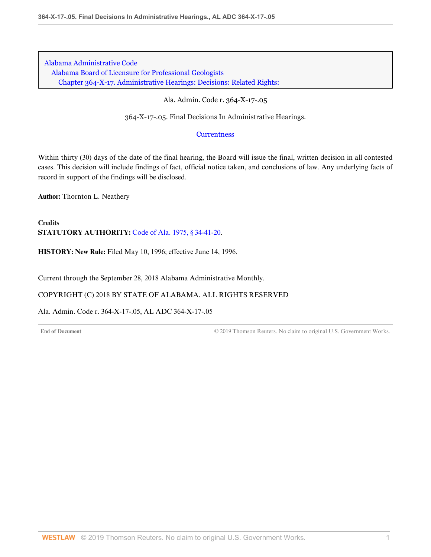[Alabama Administrative Code](http://www.westlaw.com/Browse/Home/Regulations/AlabamaRegulations?transitionType=DocumentItem&contextData=(sc.Default)&rs=clbt1.0&vr=3.0) [Alabama Board of Licensure for Professional Geologists](http://www.westlaw.com/Browse/Home/Regulations/AlabamaRegulations?guid=IB36CA5F191AA11E8899E005056B56C30&transitionType=DocumentItem&contextData=(sc.Default)&rs=clbt1.0&vr=3.0) [Chapter 364-X-17. Administrative Hearings: Decisions: Related Rights:](http://www.westlaw.com/Browse/Home/Regulations/AlabamaRegulations?guid=IB36CF42A91AA11E8899E005056B56C30&transitionType=DocumentItem&contextData=(sc.Default)&rs=clbt1.0&vr=3.0)

#### Ala. Admin. Code r. 364-X-17-.05

364-X-17-.05. Final Decisions In Administrative Hearings.

#### **[Currentness](#page-109-0)**

Within thirty (30) days of the date of the final hearing, the Board will issue the final, written decision in all contested cases. This decision will include findings of fact, official notice taken, and conclusions of law. Any underlying facts of record in support of the findings will be disclosed.

**Author:** Thornton L. Neathery

**Credits STATUTORY AUTHORITY:** [Code of Ala. 1975, § 34-41-20.](http://www.westlaw.com/Link/Document/FullText?findType=L&pubNum=1000002&cite=ALSTS34-41-20&originatingDoc=IFD49B2AB1C164DB786078550A64830A8&refType=LQ&originationContext=document&vr=3.0&rs=cblt1.0&transitionType=DocumentItem&contextData=(sc.Default))

**HISTORY: New Rule:** Filed May 10, 1996; effective June 14, 1996.

<span id="page-109-0"></span>Current through the September 28, 2018 Alabama Administrative Monthly.

COPYRIGHT (C) 2018 BY STATE OF ALABAMA. ALL RIGHTS RESERVED

Ala. Admin. Code r. 364-X-17-.05, AL ADC 364-X-17-.05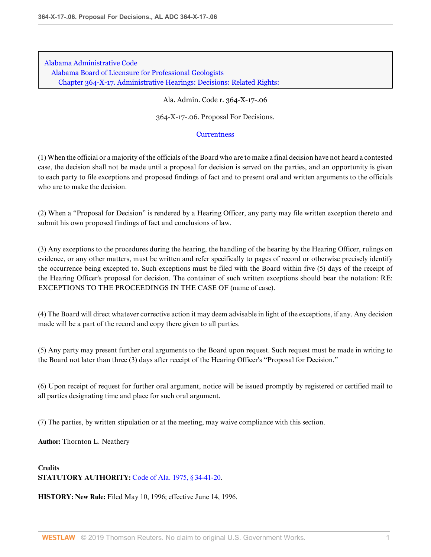[Alabama Administrative Code](http://www.westlaw.com/Browse/Home/Regulations/AlabamaRegulations?transitionType=DocumentItem&contextData=(sc.Default)&rs=clbt1.0&vr=3.0) [Alabama Board of Licensure for Professional Geologists](http://www.westlaw.com/Browse/Home/Regulations/AlabamaRegulations?guid=IB36CA5F191AA11E8899E005056B56C30&transitionType=DocumentItem&contextData=(sc.Default)&rs=clbt1.0&vr=3.0) [Chapter 364-X-17. Administrative Hearings: Decisions: Related Rights:](http://www.westlaw.com/Browse/Home/Regulations/AlabamaRegulations?guid=IB36CF42A91AA11E8899E005056B56C30&transitionType=DocumentItem&contextData=(sc.Default)&rs=clbt1.0&vr=3.0)

#### Ala. Admin. Code r. 364-X-17-.06

364-X-17-.06. Proposal For Decisions.

#### **[Currentness](#page-111-0)**

(1) When the official or a majority of the officials of the Board who are to make a final decision have not heard a contested case, the decision shall not be made until a proposal for decision is served on the parties, and an opportunity is given to each party to file exceptions and proposed findings of fact and to present oral and written arguments to the officials who are to make the decision.

(2) When a "Proposal for Decision" is rendered by a Hearing Officer, any party may file written exception thereto and submit his own proposed findings of fact and conclusions of law.

(3) Any exceptions to the procedures during the hearing, the handling of the hearing by the Hearing Officer, rulings on evidence, or any other matters, must be written and refer specifically to pages of record or otherwise precisely identify the occurrence being excepted to. Such exceptions must be filed with the Board within five (5) days of the receipt of the Hearing Officer's proposal for decision. The container of such written exceptions should bear the notation: RE: EXCEPTIONS TO THE PROCEEDINGS IN THE CASE OF (name of case).

(4) The Board will direct whatever corrective action it may deem advisable in light of the exceptions, if any. Any decision made will be a part of the record and copy there given to all parties.

(5) Any party may present further oral arguments to the Board upon request. Such request must be made in writing to the Board not later than three (3) days after receipt of the Hearing Officer's "Proposal for Decision."

(6) Upon receipt of request for further oral argument, notice will be issued promptly by registered or certified mail to all parties designating time and place for such oral argument.

(7) The parties, by written stipulation or at the meeting, may waive compliance with this section.

**Author:** Thornton L. Neathery

# **Credits STATUTORY AUTHORITY:** [Code of Ala. 1975, § 34-41-20.](http://www.westlaw.com/Link/Document/FullText?findType=L&pubNum=1000002&cite=ALSTS34-41-20&originatingDoc=I7E93722EE36343DAA38BE42402FB9F2F&refType=LQ&originationContext=document&vr=3.0&rs=cblt1.0&transitionType=DocumentItem&contextData=(sc.Default))

**HISTORY: New Rule:** Filed May 10, 1996; effective June 14, 1996.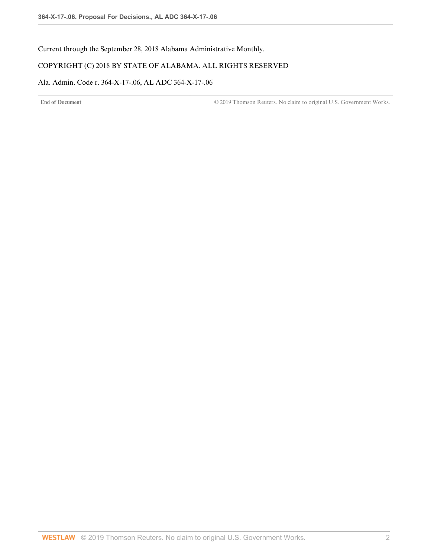<span id="page-111-0"></span>Current through the September 28, 2018 Alabama Administrative Monthly.

# COPYRIGHT (C) 2018 BY STATE OF ALABAMA. ALL RIGHTS RESERVED

# Ala. Admin. Code r. 364-X-17-.06, AL ADC 364-X-17-.06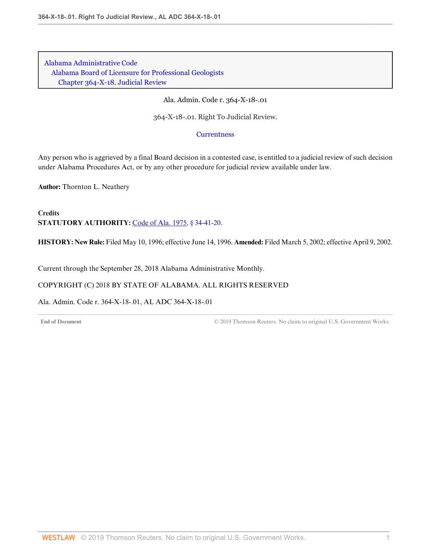[Alabama Administrative Code](http://www.westlaw.com/Browse/Home/Regulations/AlabamaRegulations?transitionType=DocumentItem&contextData=(sc.Default)&rs=clbt1.0&vr=3.0) [Alabama Board of Licensure for Professional Geologists](http://www.westlaw.com/Browse/Home/Regulations/AlabamaRegulations?guid=IB36CA5F191AA11E8899E005056B56C30&transitionType=DocumentItem&contextData=(sc.Default)&rs=clbt1.0&vr=3.0) [Chapter 364-X-18. Judicial Review](http://www.westlaw.com/Browse/Home/Regulations/AlabamaRegulations?guid=IB36CF43191AA11E8899E005056B56C30&transitionType=DocumentItem&contextData=(sc.Default)&rs=clbt1.0&vr=3.0)

Ala. Admin. Code r. 364-X-18-.01

364-X-18-.01. Right To Judicial Review.

**[Currentness](#page-112-0)** 

Any person who is aggrieved by a final Board decision in a contested case, is entitled to a judicial review of such decision under Alabama Procedures Act, or by any other procedure for judicial review available under law.

**Author:** Thornton L. Neathery

**Credits STATUTORY AUTHORITY:** [Code of Ala. 1975, § 34-41-20.](http://www.westlaw.com/Link/Document/FullText?findType=L&pubNum=1000002&cite=ALSTS34-41-20&originatingDoc=IFD0940CC765A4D9FA7D8EE56801221F1&refType=LQ&originationContext=document&vr=3.0&rs=cblt1.0&transitionType=DocumentItem&contextData=(sc.Default))

**HISTORY: New Rule:** Filed May 10, 1996; effective June 14, 1996. **Amended:** Filed March 5, 2002; effective April 9, 2002.

<span id="page-112-0"></span>Current through the September 28, 2018 Alabama Administrative Monthly.

# COPYRIGHT (C) 2018 BY STATE OF ALABAMA. ALL RIGHTS RESERVED

Ala. Admin. Code r. 364-X-18-.01, AL ADC 364-X-18-.01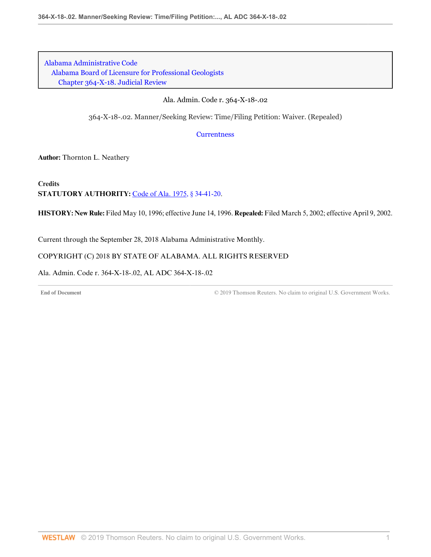[Alabama Administrative Code](http://www.westlaw.com/Browse/Home/Regulations/AlabamaRegulations?transitionType=DocumentItem&contextData=(sc.Default)&rs=clbt1.0&vr=3.0) [Alabama Board of Licensure for Professional Geologists](http://www.westlaw.com/Browse/Home/Regulations/AlabamaRegulations?guid=IB36CA5F191AA11E8899E005056B56C30&transitionType=DocumentItem&contextData=(sc.Default)&rs=clbt1.0&vr=3.0) [Chapter 364-X-18. Judicial Review](http://www.westlaw.com/Browse/Home/Regulations/AlabamaRegulations?guid=IB36CF43191AA11E8899E005056B56C30&transitionType=DocumentItem&contextData=(sc.Default)&rs=clbt1.0&vr=3.0)

#### Ala. Admin. Code r. 364-X-18-.02

364-X-18-.02. Manner/Seeking Review: Time/Filing Petition: Waiver. (Repealed)

**[Currentness](#page-113-0)** 

**Author:** Thornton L. Neathery

**Credits STATUTORY AUTHORITY:** [Code of Ala. 1975, § 34-41-20.](http://www.westlaw.com/Link/Document/FullText?findType=L&pubNum=1000002&cite=ALSTS34-41-20&originatingDoc=I2179898B4916404C88A5BA76C5A2E78F&refType=LQ&originationContext=document&vr=3.0&rs=cblt1.0&transitionType=DocumentItem&contextData=(sc.Default))

**HISTORY: New Rule:** Filed May 10, 1996; effective June 14, 1996. **Repealed:** Filed March 5, 2002; effective April 9, 2002.

<span id="page-113-0"></span>Current through the September 28, 2018 Alabama Administrative Monthly.

#### COPYRIGHT (C) 2018 BY STATE OF ALABAMA. ALL RIGHTS RESERVED

Ala. Admin. Code r. 364-X-18-.02, AL ADC 364-X-18-.02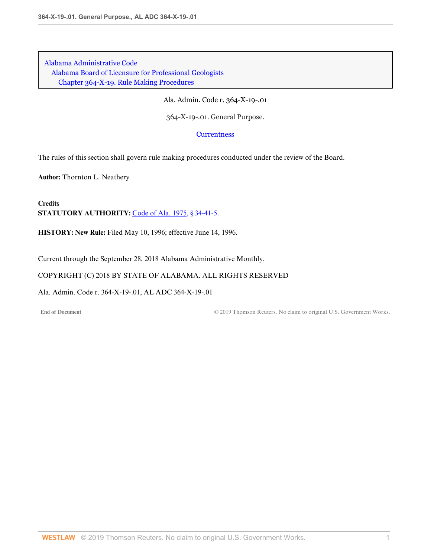Ala. Admin. Code r. 364-X-19-.01

364-X-19-.01. General Purpose.

**[Currentness](#page-114-0)** 

The rules of this section shall govern rule making procedures conducted under the review of the Board.

**Author:** Thornton L. Neathery

**Credits STATUTORY AUTHORITY:** [Code of Ala. 1975, § 34-41-5.](http://www.westlaw.com/Link/Document/FullText?findType=L&pubNum=1000002&cite=ALSTS34-41-5&originatingDoc=I8AC375AAC7DD4EB6ADE0BB54B4B6B0D5&refType=LQ&originationContext=document&vr=3.0&rs=cblt1.0&transitionType=DocumentItem&contextData=(sc.Default))

**HISTORY: New Rule:** Filed May 10, 1996; effective June 14, 1996.

<span id="page-114-0"></span>Current through the September 28, 2018 Alabama Administrative Monthly.

COPYRIGHT (C) 2018 BY STATE OF ALABAMA. ALL RIGHTS RESERVED

Ala. Admin. Code r. 364-X-19-.01, AL ADC 364-X-19-.01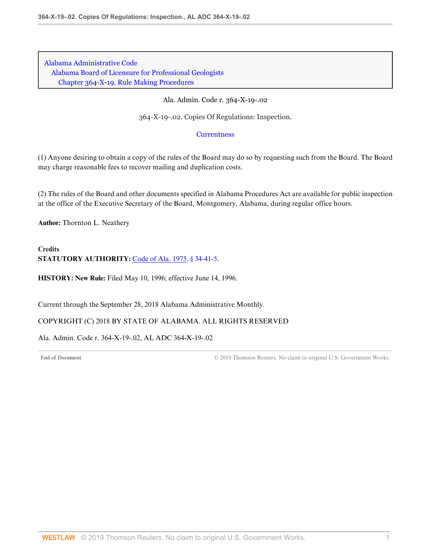### Ala. Admin. Code r. 364-X-19-.02

364-X-19-.02. Copies Of Regulations: Inspection.

#### **[Currentness](#page-115-0)**

(1) Anyone desiring to obtain a copy of the rules of the Board may do so by requesting such from the Board. The Board may charge reasonable fees to recover mailing and duplication costs.

(2) The rules of the Board and other documents specified in Alabama Procedures Act are available for public inspection at the office of the Executive Secretary of the Board, Montgomery, Alabama, during regular office hours.

**Author:** Thornton L. Neathery

# **Credits** STATUTORY AUTHORITY: [Code of Ala. 1975, § 34-41-5.](http://www.westlaw.com/Link/Document/FullText?findType=L&pubNum=1000002&cite=ALSTS34-41-5&originatingDoc=I2A31BB3CAFAB4A44A499D37D24AD674B&refType=LQ&originationContext=document&vr=3.0&rs=cblt1.0&transitionType=DocumentItem&contextData=(sc.Default))

**HISTORY: New Rule:** Filed May 10, 1996; effective June 14, 1996.

<span id="page-115-0"></span>Current through the September 28, 2018 Alabama Administrative Monthly.

# COPYRIGHT (C) 2018 BY STATE OF ALABAMA. ALL RIGHTS RESERVED

Ala. Admin. Code r. 364-X-19-.02, AL ADC 364-X-19-.02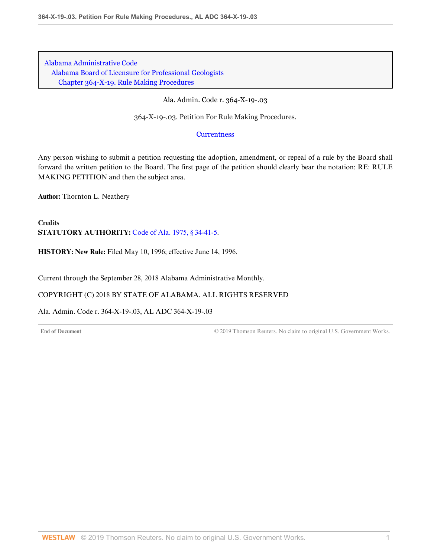Ala. Admin. Code r. 364-X-19-.03

364-X-19-.03. Petition For Rule Making Procedures.

**[Currentness](#page-116-0)** 

Any person wishing to submit a petition requesting the adoption, amendment, or repeal of a rule by the Board shall forward the written petition to the Board. The first page of the petition should clearly bear the notation: RE: RULE MAKING PETITION and then the subject area.

**Author:** Thornton L. Neathery

**Credits STATUTORY AUTHORITY:** [Code of Ala. 1975, § 34-41-5.](http://www.westlaw.com/Link/Document/FullText?findType=L&pubNum=1000002&cite=ALSTS34-41-5&originatingDoc=I92F0AD97BCC546758E006BC6B8F66288&refType=LQ&originationContext=document&vr=3.0&rs=cblt1.0&transitionType=DocumentItem&contextData=(sc.Default))

**HISTORY: New Rule:** Filed May 10, 1996; effective June 14, 1996.

<span id="page-116-0"></span>Current through the September 28, 2018 Alabama Administrative Monthly.

COPYRIGHT (C) 2018 BY STATE OF ALABAMA. ALL RIGHTS RESERVED

Ala. Admin. Code r. 364-X-19-.03, AL ADC 364-X-19-.03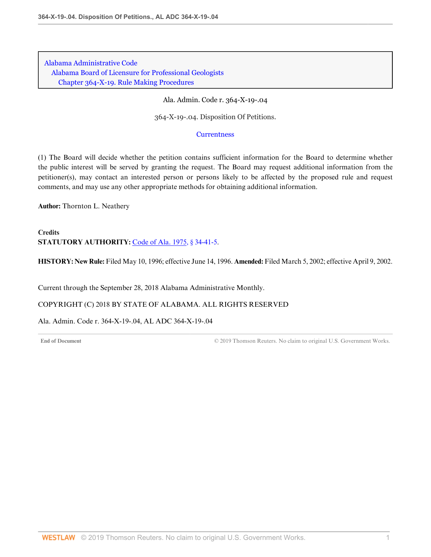Ala. Admin. Code r. 364-X-19-.04

364-X-19-.04. Disposition Of Petitions.

#### **[Currentness](#page-117-0)**

(1) The Board will decide whether the petition contains sufficient information for the Board to determine whether the public interest will be served by granting the request. The Board may request additional information from the petitioner(s), may contact an interested person or persons likely to be affected by the proposed rule and request comments, and may use any other appropriate methods for obtaining additional information.

**Author:** Thornton L. Neathery

**Credits STATUTORY AUTHORITY:** [Code of Ala. 1975, § 34-41-5.](http://www.westlaw.com/Link/Document/FullText?findType=L&pubNum=1000002&cite=ALSTS34-41-5&originatingDoc=I64C7BCC86B3E4DFEA1BF73980E264C8F&refType=LQ&originationContext=document&vr=3.0&rs=cblt1.0&transitionType=DocumentItem&contextData=(sc.Default))

**HISTORY: New Rule:** Filed May 10, 1996; effective June 14, 1996. **Amended:** Filed March 5, 2002; effective April 9, 2002.

<span id="page-117-0"></span>Current through the September 28, 2018 Alabama Administrative Monthly.

COPYRIGHT (C) 2018 BY STATE OF ALABAMA. ALL RIGHTS RESERVED

Ala. Admin. Code r. 364-X-19-.04, AL ADC 364-X-19-.04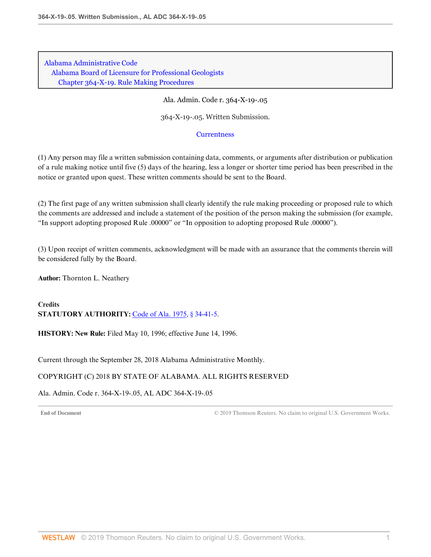Ala. Admin. Code r. 364-X-19-.05

364-X-19-.05. Written Submission.

### **[Currentness](#page-118-0)**

(1) Any person may file a written submission containing data, comments, or arguments after distribution or publication of a rule making notice until five (5) days of the hearing, less a longer or shorter time period has been prescribed in the notice or granted upon quest. These written comments should be sent to the Board.

(2) The first page of any written submission shall clearly identify the rule making proceeding or proposed rule to which the comments are addressed and include a statement of the position of the person making the submission (for example, "In support adopting proposed Rule .00000" or "In opposition to adopting proposed Rule .00000").

(3) Upon receipt of written comments, acknowledgment will be made with an assurance that the comments therein will be considered fully by the Board.

**Author:** Thornton L. Neathery

#### **Credits STATUTORY AUTHORITY:** [Code of Ala. 1975, § 34-41-5.](http://www.westlaw.com/Link/Document/FullText?findType=L&pubNum=1000002&cite=ALSTS34-41-5&originatingDoc=IBC2E45AED27540B9A01805E0374BF961&refType=LQ&originationContext=document&vr=3.0&rs=cblt1.0&transitionType=DocumentItem&contextData=(sc.Default))

**HISTORY: New Rule:** Filed May 10, 1996; effective June 14, 1996.

<span id="page-118-0"></span>Current through the September 28, 2018 Alabama Administrative Monthly.

# COPYRIGHT (C) 2018 BY STATE OF ALABAMA. ALL RIGHTS RESERVED

Ala. Admin. Code r. 364-X-19-.05, AL ADC 364-X-19-.05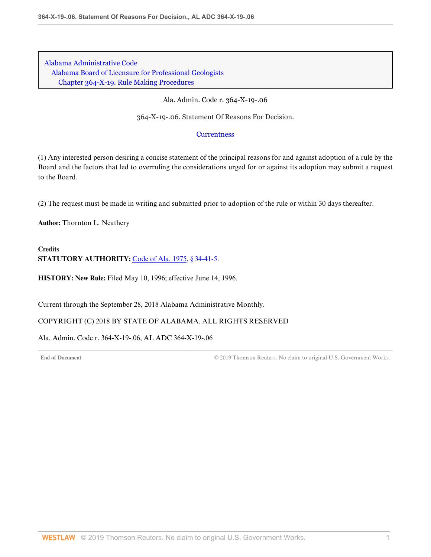#### Ala. Admin. Code r. 364-X-19-.06

364-X-19-.06. Statement Of Reasons For Decision.

### **[Currentness](#page-119-0)**

(1) Any interested person desiring a concise statement of the principal reasons for and against adoption of a rule by the Board and the factors that led to overruling the considerations urged for or against its adoption may submit a request to the Board.

(2) The request must be made in writing and submitted prior to adoption of the rule or within 30 days thereafter.

**Author:** Thornton L. Neathery

# **Credits** STATUTORY AUTHORITY: [Code of Ala. 1975, § 34-41-5.](http://www.westlaw.com/Link/Document/FullText?findType=L&pubNum=1000002&cite=ALSTS34-41-5&originatingDoc=I5659133F724F4199B548C8B2DA90CE80&refType=LQ&originationContext=document&vr=3.0&rs=cblt1.0&transitionType=DocumentItem&contextData=(sc.Default))

**HISTORY: New Rule:** Filed May 10, 1996; effective June 14, 1996.

<span id="page-119-0"></span>Current through the September 28, 2018 Alabama Administrative Monthly.

# COPYRIGHT (C) 2018 BY STATE OF ALABAMA. ALL RIGHTS RESERVED

Ala. Admin. Code r. 364-X-19-.06, AL ADC 364-X-19-.06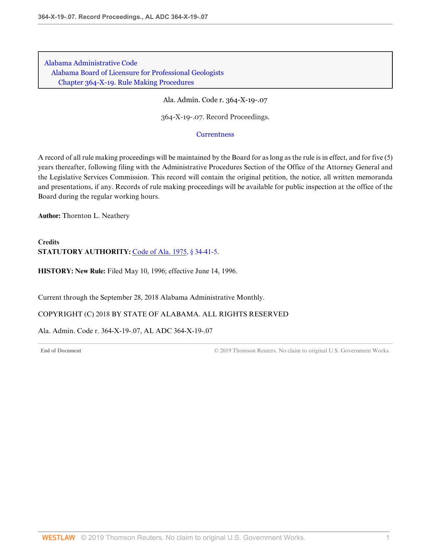Ala. Admin. Code r. 364-X-19-.07

364-X-19-.07. Record Proceedings.

#### **[Currentness](#page-120-0)**

A record of all rule making proceedings will be maintained by the Board for as long as the rule is in effect, and for five (5) years thereafter, following filing with the Administrative Procedures Section of the Office of the Attorney General and the Legislative Services Commission. This record will contain the original petition, the notice, all written memoranda and presentations, if any. Records of rule making proceedings will be available for public inspection at the office of the Board during the regular working hours.

**Author:** Thornton L. Neathery

**Credits STATUTORY AUTHORITY:** [Code of Ala. 1975, § 34-41-5.](http://www.westlaw.com/Link/Document/FullText?findType=L&pubNum=1000002&cite=ALSTS34-41-5&originatingDoc=I96783A41BB2F45B79F50BD7266936441&refType=LQ&originationContext=document&vr=3.0&rs=cblt1.0&transitionType=DocumentItem&contextData=(sc.Default))

**HISTORY: New Rule:** Filed May 10, 1996; effective June 14, 1996.

<span id="page-120-0"></span>Current through the September 28, 2018 Alabama Administrative Monthly.

COPYRIGHT (C) 2018 BY STATE OF ALABAMA. ALL RIGHTS RESERVED

Ala. Admin. Code r. 364-X-19-.07, AL ADC 364-X-19-.07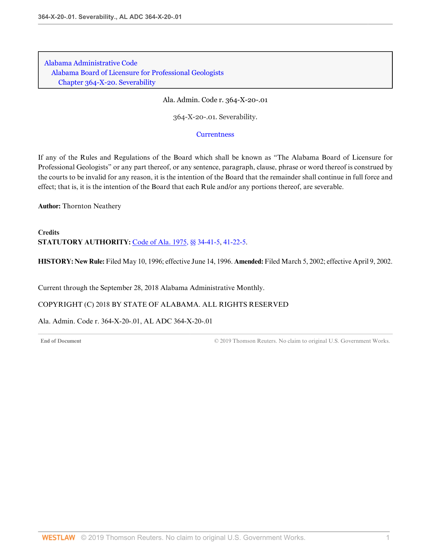[Alabama Administrative Code](http://www.westlaw.com/Browse/Home/Regulations/AlabamaRegulations?transitionType=DocumentItem&contextData=(sc.Default)&rs=clbt1.0&vr=3.0) [Alabama Board of Licensure for Professional Geologists](http://www.westlaw.com/Browse/Home/Regulations/AlabamaRegulations?guid=IB36CA5F191AA11E8899E005056B56C30&transitionType=DocumentItem&contextData=(sc.Default)&rs=clbt1.0&vr=3.0) [Chapter 364-X-20. Severability](http://www.westlaw.com/Browse/Home/Regulations/AlabamaRegulations?guid=IB36CF43C91AA11E8899E005056B56C30&transitionType=DocumentItem&contextData=(sc.Default)&rs=clbt1.0&vr=3.0)

Ala. Admin. Code r. 364-X-20-.01

364-X-20-.01. Severability.

**[Currentness](#page-121-0)** 

If any of the Rules and Regulations of the Board which shall be known as "The Alabama Board of Licensure for Professional Geologists" or any part thereof, or any sentence, paragraph, clause, phrase or word thereof is construed by the courts to be invalid for any reason, it is the intention of the Board that the remainder shall continue in full force and effect; that is, it is the intention of the Board that each Rule and/or any portions thereof, are severable.

**Author:** Thornton Neathery

**Credits STATUTORY AUTHORITY:** [Code of Ala. 1975, §§ 34-41-5](http://www.westlaw.com/Link/Document/FullText?findType=L&pubNum=1000002&cite=ALSTS34-41-5&originatingDoc=I765C0F0F96A64318AB20DDFF087099C6&refType=LQ&originationContext=document&vr=3.0&rs=cblt1.0&transitionType=DocumentItem&contextData=(sc.Default)), [41-22-5](http://www.westlaw.com/Link/Document/FullText?findType=L&pubNum=1000002&cite=ALSTS41-22-5&originatingDoc=I765C0F0F96A64318AB20DDFF087099C6&refType=LQ&originationContext=document&vr=3.0&rs=cblt1.0&transitionType=DocumentItem&contextData=(sc.Default)).

**HISTORY: New Rule:** Filed May 10, 1996; effective June 14, 1996. **Amended:** Filed March 5, 2002; effective April 9, 2002.

<span id="page-121-0"></span>Current through the September 28, 2018 Alabama Administrative Monthly.

COPYRIGHT (C) 2018 BY STATE OF ALABAMA. ALL RIGHTS RESERVED

Ala. Admin. Code r. 364-X-20-.01, AL ADC 364-X-20-.01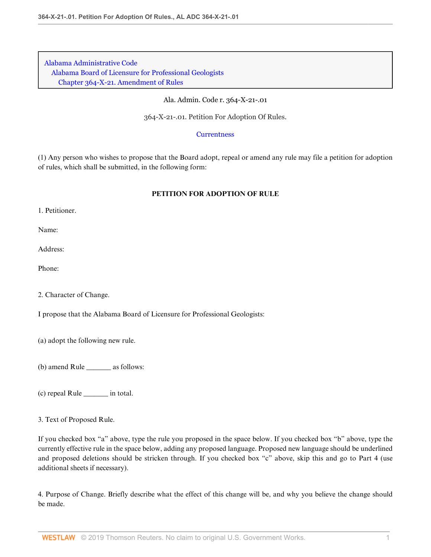Ala. Admin. Code r. 364-X-21-.01

364-X-21-.01. Petition For Adoption Of Rules.

#### **[Currentness](#page-123-0)**

(1) Any person who wishes to propose that the Board adopt, repeal or amend any rule may file a petition for adoption of rules, which shall be submitted, in the following form:

# **PETITION FOR ADOPTION OF RULE**

1. Petitioner.

Name:

Address:

Phone:

2. Character of Change.

I propose that the Alabama Board of Licensure for Professional Geologists:

(a) adopt the following new rule.

(b) amend Rule \_\_\_\_\_\_\_ as follows:

(c) repeal Rule \_\_\_\_\_\_\_ in total.

3. Text of Proposed Rule.

If you checked box "a" above, type the rule you proposed in the space below. If you checked box "b" above, type the currently effective rule in the space below, adding any proposed language. Proposed new language should be underlined and proposed deletions should be stricken through. If you checked box "c" above, skip this and go to Part 4 (use additional sheets if necessary).

4. Purpose of Change. Briefly describe what the effect of this change will be, and why you believe the change should be made.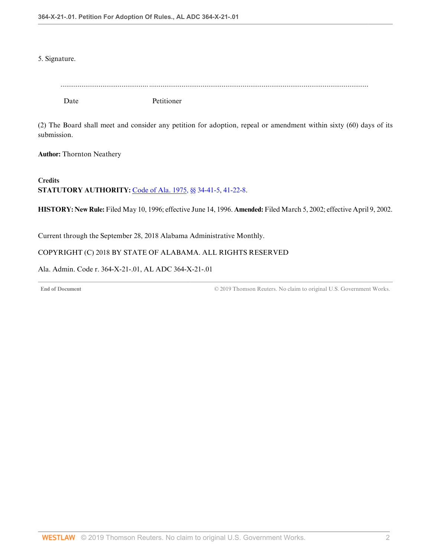5. Signature.

| Date | Petitioner |
|------|------------|

(2) The Board shall meet and consider any petition for adoption, repeal or amendment within sixty (60) days of its submission.

**Author:** Thornton Neathery

**Credits STATUTORY AUTHORITY:** [Code of Ala. 1975, §§ 34-41-5](http://www.westlaw.com/Link/Document/FullText?findType=L&pubNum=1000002&cite=ALSTS34-41-5&originatingDoc=I8EE32F08A7F8415194C920FA06EF4590&refType=LQ&originationContext=document&vr=3.0&rs=cblt1.0&transitionType=DocumentItem&contextData=(sc.Default)), [41-22-8](http://www.westlaw.com/Link/Document/FullText?findType=L&pubNum=1000002&cite=ALSTS41-22-8&originatingDoc=I8EE32F08A7F8415194C920FA06EF4590&refType=LQ&originationContext=document&vr=3.0&rs=cblt1.0&transitionType=DocumentItem&contextData=(sc.Default)).

**HISTORY: New Rule:** Filed May 10, 1996; effective June 14, 1996. **Amended:** Filed March 5, 2002; effective April 9, 2002.

<span id="page-123-0"></span>Current through the September 28, 2018 Alabama Administrative Monthly.

# COPYRIGHT (C) 2018 BY STATE OF ALABAMA. ALL RIGHTS RESERVED

Ala. Admin. Code r. 364-X-21-.01, AL ADC 364-X-21-.01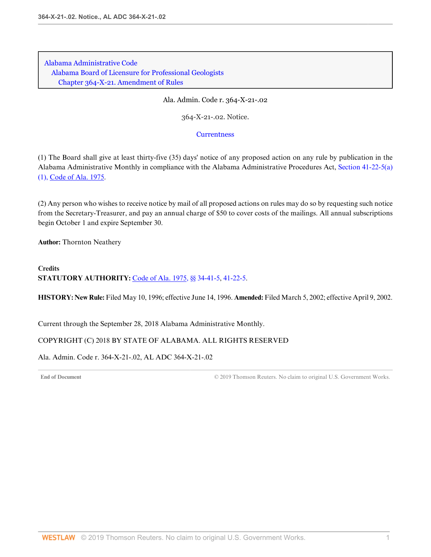Ala. Admin. Code r. 364-X-21-.02

364-X-21-.02. Notice.

## **[Currentness](#page-124-0)**

(1) The Board shall give at least thirty-five (35) days' notice of any proposed action on any rule by publication in the Alabama Administrative Monthly in compliance with the Alabama Administrative Procedures Act, [Section 41-22-5\(a\)](http://www.westlaw.com/Link/Document/FullText?findType=L&pubNum=1000002&cite=ALSTS41-22-5&originatingDoc=IBAD5743CD847443E8956000457491A0B&refType=SP&originationContext=document&vr=3.0&rs=cblt1.0&transitionType=DocumentItem&contextData=(sc.Default)#co_pp_7b9b000044381) [\(1\), Code of Ala. 1975.](http://www.westlaw.com/Link/Document/FullText?findType=L&pubNum=1000002&cite=ALSTS41-22-5&originatingDoc=IBAD5743CD847443E8956000457491A0B&refType=SP&originationContext=document&vr=3.0&rs=cblt1.0&transitionType=DocumentItem&contextData=(sc.Default)#co_pp_7b9b000044381)

(2) Any person who wishes to receive notice by mail of all proposed actions on rules may do so by requesting such notice from the Secretary-Treasurer, and pay an annual charge of \$50 to cover costs of the mailings. All annual subscriptions begin October 1 and expire September 30.

**Author:** Thornton Neathery

**Credits STATUTORY AUTHORITY:** [Code of Ala. 1975, §§ 34-41-5](http://www.westlaw.com/Link/Document/FullText?findType=L&pubNum=1000002&cite=ALSTS34-41-5&originatingDoc=IBAD5743CD847443E8956000457491A0B&refType=LQ&originationContext=document&vr=3.0&rs=cblt1.0&transitionType=DocumentItem&contextData=(sc.Default)), [41-22-5](http://www.westlaw.com/Link/Document/FullText?findType=L&pubNum=1000002&cite=ALSTS41-22-5&originatingDoc=IBAD5743CD847443E8956000457491A0B&refType=LQ&originationContext=document&vr=3.0&rs=cblt1.0&transitionType=DocumentItem&contextData=(sc.Default)).

**HISTORY: New Rule:** Filed May 10, 1996; effective June 14, 1996. **Amended:** Filed March 5, 2002; effective April 9, 2002.

<span id="page-124-0"></span>Current through the September 28, 2018 Alabama Administrative Monthly.

# COPYRIGHT (C) 2018 BY STATE OF ALABAMA. ALL RIGHTS RESERVED

Ala. Admin. Code r. 364-X-21-.02, AL ADC 364-X-21-.02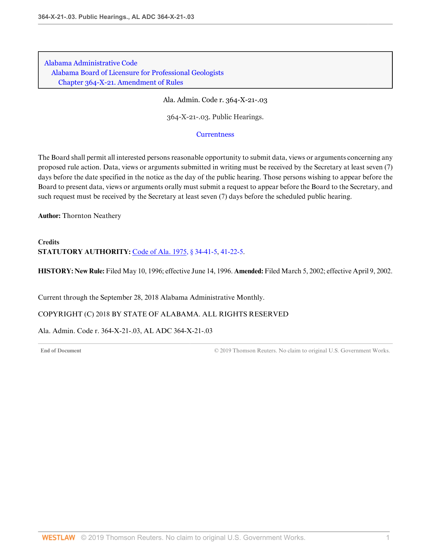Ala. Admin. Code r. 364-X-21-.03

364-X-21-.03. Public Hearings.

#### **[Currentness](#page-125-0)**

The Board shall permit all interested persons reasonable opportunity to submit data, views or arguments concerning any proposed rule action. Data, views or arguments submitted in writing must be received by the Secretary at least seven (7) days before the date specified in the notice as the day of the public hearing. Those persons wishing to appear before the Board to present data, views or arguments orally must submit a request to appear before the Board to the Secretary, and such request must be received by the Secretary at least seven (7) days before the scheduled public hearing.

**Author:** Thornton Neathery

# **Credits STATUTORY AUTHORITY:** [Code of Ala. 1975, § 34-41-5,](http://www.westlaw.com/Link/Document/FullText?findType=L&pubNum=1000002&cite=ALSTS34-41-5&originatingDoc=I829645937B394B819519BAB0B3E13CF2&refType=LQ&originationContext=document&vr=3.0&rs=cblt1.0&transitionType=DocumentItem&contextData=(sc.Default)) [41-22-5](http://www.westlaw.com/Link/Document/FullText?findType=L&pubNum=1000002&cite=ALSTS41-22-5&originatingDoc=I829645937B394B819519BAB0B3E13CF2&refType=LQ&originationContext=document&vr=3.0&rs=cblt1.0&transitionType=DocumentItem&contextData=(sc.Default)).

**HISTORY: New Rule:** Filed May 10, 1996; effective June 14, 1996. **Amended:** Filed March 5, 2002; effective April 9, 2002.

<span id="page-125-0"></span>Current through the September 28, 2018 Alabama Administrative Monthly.

COPYRIGHT (C) 2018 BY STATE OF ALABAMA. ALL RIGHTS RESERVED

Ala. Admin. Code r. 364-X-21-.03, AL ADC 364-X-21-.03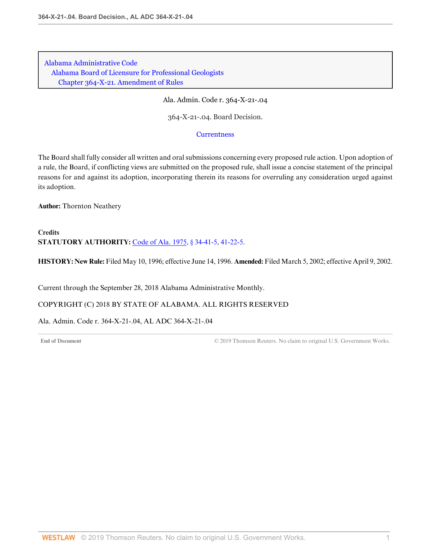Ala. Admin. Code r. 364-X-21-.04

364-X-21-.04. Board Decision.

**[Currentness](#page-126-0)** 

The Board shall fully consider all written and oral submissions concerning every proposed rule action. Upon adoption of a rule, the Board, if conflicting views are submitted on the proposed rule, shall issue a concise statement of the principal reasons for and against its adoption, incorporating therein its reasons for overruling any consideration urged against its adoption.

**Author:** Thornton Neathery

**Credits STATUTORY AUTHORITY:** [Code of Ala. 1975, § 34-41-5,](http://www.westlaw.com/Link/Document/FullText?findType=L&pubNum=1000002&cite=ALSTS34-41-5&originatingDoc=I77D66D360E7C4A65840B1C4D089EA5A1&refType=LQ&originationContext=document&vr=3.0&rs=cblt1.0&transitionType=DocumentItem&contextData=(sc.Default)) [41-22-5](http://www.westlaw.com/Link/Document/FullText?findType=L&pubNum=1000002&cite=ALSTS41-22-5&originatingDoc=I77D66D360E7C4A65840B1C4D089EA5A1&refType=LQ&originationContext=document&vr=3.0&rs=cblt1.0&transitionType=DocumentItem&contextData=(sc.Default)).

**HISTORY: New Rule:** Filed May 10, 1996; effective June 14, 1996. **Amended:** Filed March 5, 2002; effective April 9, 2002.

<span id="page-126-0"></span>Current through the September 28, 2018 Alabama Administrative Monthly.

COPYRIGHT (C) 2018 BY STATE OF ALABAMA. ALL RIGHTS RESERVED

Ala. Admin. Code r. 364-X-21-.04, AL ADC 364-X-21-.04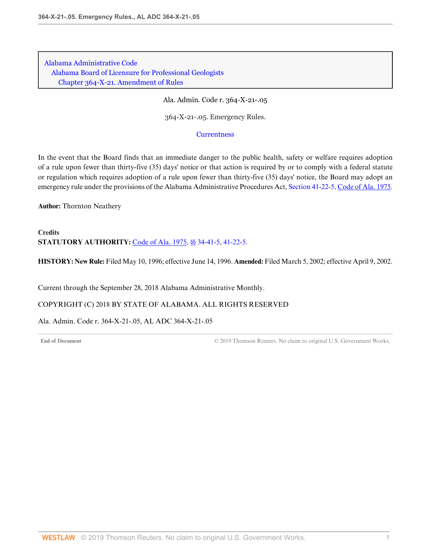Ala. Admin. Code r. 364-X-21-.05

364-X-21-.05. Emergency Rules.

#### **[Currentness](#page-127-0)**

In the event that the Board finds that an immediate danger to the public health, safety or welfare requires adoption of a rule upon fewer than thirty-five (35) days' notice or that action is required by or to comply with a federal statute or regulation which requires adoption of a rule upon fewer than thirty-five (35) days' notice, the Board may adopt an emergency rule under the provisions of the Alabama Administrative Procedures Act, [Section 41-22-5, Code of Ala. 1975](http://www.westlaw.com/Link/Document/FullText?findType=L&pubNum=1000002&cite=ALSTS41-22-5&originatingDoc=ID4DA22694B634631BC22EFA78A7FDE61&refType=LQ&originationContext=document&vr=3.0&rs=cblt1.0&transitionType=DocumentItem&contextData=(sc.Default)).

**Author:** Thornton Neathery

**Credits STATUTORY AUTHORITY:** [Code of Ala. 1975, §§ 34-41-5](http://www.westlaw.com/Link/Document/FullText?findType=L&pubNum=1000002&cite=ALSTS34-41-5&originatingDoc=ID4DA22694B634631BC22EFA78A7FDE61&refType=LQ&originationContext=document&vr=3.0&rs=cblt1.0&transitionType=DocumentItem&contextData=(sc.Default)), [41-22-5](http://www.westlaw.com/Link/Document/FullText?findType=L&pubNum=1000002&cite=ALSTS41-22-5&originatingDoc=ID4DA22694B634631BC22EFA78A7FDE61&refType=LQ&originationContext=document&vr=3.0&rs=cblt1.0&transitionType=DocumentItem&contextData=(sc.Default)).

**HISTORY: New Rule:** Filed May 10, 1996; effective June 14, 1996. **Amended:** Filed March 5, 2002; effective April 9, 2002.

<span id="page-127-0"></span>Current through the September 28, 2018 Alabama Administrative Monthly.

COPYRIGHT (C) 2018 BY STATE OF ALABAMA. ALL RIGHTS RESERVED

Ala. Admin. Code r. 364-X-21-.05, AL ADC 364-X-21-.05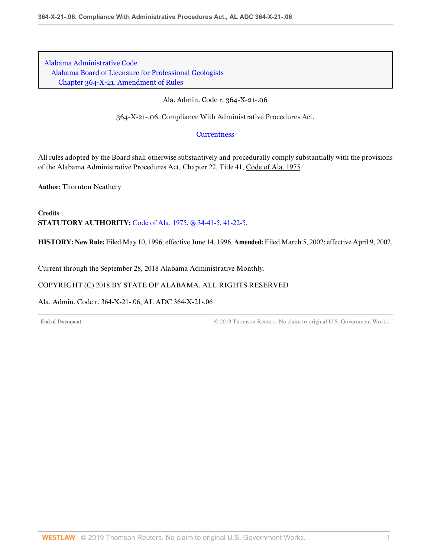Ala. Admin. Code r. 364-X-21-.06

364-X-21-.06. Compliance With Administrative Procedures Act.

**[Currentness](#page-128-0)** 

All rules adopted by the Board shall otherwise substantively and procedurally comply substantially with the provisions of the Alabama Administrative Procedures Act, Chapter 22, Title 41, Code of Ala. 1975.

**Author:** Thornton Neathery

**Credits STATUTORY AUTHORITY:** [Code of Ala. 1975, §§ 34-41-5](http://www.westlaw.com/Link/Document/FullText?findType=L&pubNum=1000002&cite=ALSTS34-41-5&originatingDoc=IBE41EF55B6A54A05ACFDC9A4CB58C8A4&refType=LQ&originationContext=document&vr=3.0&rs=cblt1.0&transitionType=DocumentItem&contextData=(sc.Default)), [41-22-5](http://www.westlaw.com/Link/Document/FullText?findType=L&pubNum=1000002&cite=ALSTS41-22-5&originatingDoc=IBE41EF55B6A54A05ACFDC9A4CB58C8A4&refType=LQ&originationContext=document&vr=3.0&rs=cblt1.0&transitionType=DocumentItem&contextData=(sc.Default)).

**HISTORY: New Rule:** Filed May 10, 1996; effective June 14, 1996. **Amended:** Filed March 5, 2002; effective April 9, 2002.

<span id="page-128-0"></span>Current through the September 28, 2018 Alabama Administrative Monthly.

# COPYRIGHT (C) 2018 BY STATE OF ALABAMA. ALL RIGHTS RESERVED

Ala. Admin. Code r. 364-X-21-.06, AL ADC 364-X-21-.06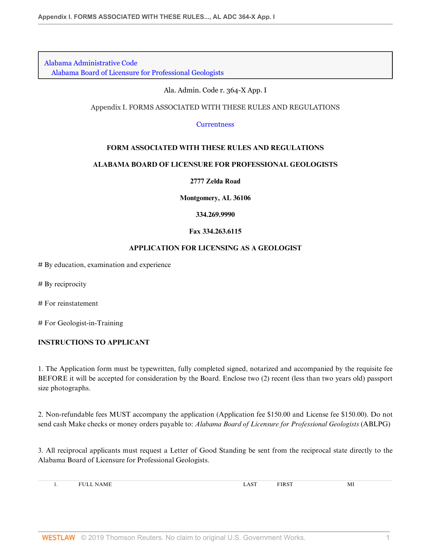[Alabama Administrative Code](http://www.westlaw.com/Browse/Home/Regulations/AlabamaRegulations?transitionType=DocumentItem&contextData=(sc.Default)&rs=clbt1.0&vr=3.0) [Alabama Board of Licensure for Professional Geologists](http://www.westlaw.com/Browse/Home/Regulations/AlabamaRegulations?guid=IB36CA5F191AA11E8899E005056B56C30&transitionType=DocumentItem&contextData=(sc.Default)&rs=clbt1.0&vr=3.0)

#### Ala. Admin. Code r. 364-X App. I

### Appendix I. FORMS ASSOCIATED WITH THESE RULES AND REGULATIONS

**[Currentness](#page-148-0)** 

# **FORM ASSOCIATED WITH THESE RULES AND REGULATIONS**

### **ALABAMA BOARD OF LICENSURE FOR PROFESSIONAL GEOLOGISTS**

**2777 Zelda Road**

**Montgomery, AL 36106**

**334.269.9990**

### **Fax 334.263.6115**

### **APPLICATION FOR LICENSING AS A GEOLOGIST**

 $#$  By education, examination and experience

 $#$  By reciprocity

 $#$  For reinstatement

 $#$  For Geologist-in-Training

# **INSTRUCTIONS TO APPLICANT**

1. The Application form must be typewritten, fully completed signed, notarized and accompanied by the requisite fee BEFORE it will be accepted for consideration by the Board. Enclose two (2) recent (less than two years old) passport size photographs.

2. Non-refundable fees MUST accompany the application (Application fee \$150.00 and License fee \$150.00). Do not send cash Make checks or money orders payable to: *Alabama Board of Licensure for Professional Geologists* (ABLPG)

3. All reciprocal applicants must request a Letter of Good Standing be sent from the reciprocal state directly to the Alabama Board of Licensure for Professional Geologists.

| A M F | $\sim$ | <b>DID OD</b><br>ΠК. | <b>A</b><br>-M. |
|-------|--------|----------------------|-----------------|
|       |        |                      |                 |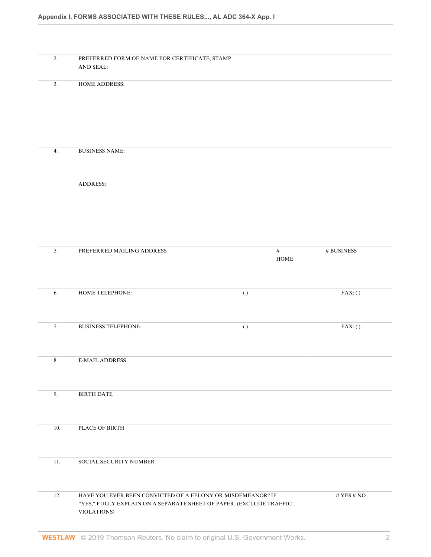| 2.      | PREFERRED FORM OF NAME FOR CERTIFICATE, STAMP<br>AND SEAL:                                                                                        |                  |               |
|---------|---------------------------------------------------------------------------------------------------------------------------------------------------|------------------|---------------|
| 3.      | HOME ADDRESS:                                                                                                                                     |                  |               |
| 4.      | <b>BUSINESS NAME:</b>                                                                                                                             |                  |               |
|         | <b>ADDRESS:</b>                                                                                                                                   |                  |               |
| 5.      | PREFERRED MAILING ADDRESS                                                                                                                         | $\#$             | $\#$ BUSINESS |
|         |                                                                                                                                                   | $HOME$           |               |
| 6.      | HOME TELEPHONE:                                                                                                                                   | $\left( \right)$ | FAX:()        |
| 7.      | <b>BUSINESS TELEPHONE:</b>                                                                                                                        | $\left( \right)$ | FAX:()        |
| $8. \,$ | <b>E-MAIL ADDRESS</b>                                                                                                                             |                  |               |
| 9.      | <b>BIRTH DATE</b>                                                                                                                                 |                  |               |
| 10.     | PLACE OF BIRTH                                                                                                                                    |                  |               |
| 11.     | SOCIAL SECURITY NUMBER                                                                                                                            |                  |               |
| 12.     | HAVE YOU EVER BEEN CONVICTED OF A FELONY OR MISDEMEANOR? IF<br>"YES," FULLY EXPLAIN ON A SEPARATE SHEET OF PAPER. (EXCLUDE TRAFFIC<br>VIOLATIONS) |                  | # YES # $NO$  |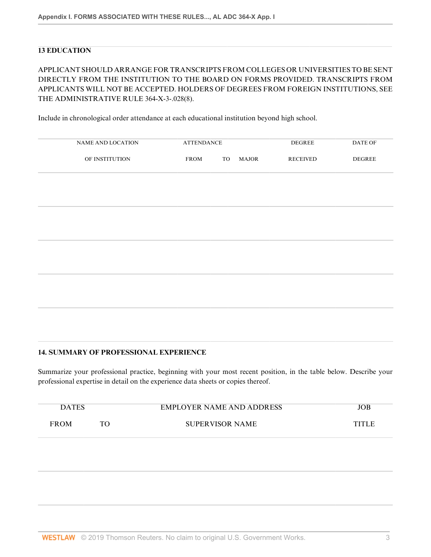# **13 EDUCATION**

# APPLICANT SHOULD ARRANGE FOR TRANSCRIPTS FROM COLLEGES OR UNIVERSITIES TO BE SENT DIRECTLY FROM THE INSTITUTION TO THE BOARD ON FORMS PROVIDED. TRANSCRIPTS FROM APPLICANTS WILL NOT BE ACCEPTED. HOLDERS OF DEGREES FROM FOREIGN INSTITUTIONS, SEE THE ADMINISTRATIVE RULE 364-X-3-.028(8).

Include in chronological order attendance at each educational institution beyond high school.

| NAME AND LOCATION | <b>ATTENDANCE</b> |     |              | <b>DEGREE</b>   | DATE OF       |
|-------------------|-------------------|-----|--------------|-----------------|---------------|
| OF INSTITUTION    | <b>FROM</b>       | TO. | <b>MAJOR</b> | <b>RECEIVED</b> | <b>DEGREE</b> |

### **14. SUMMARY OF PROFESSIONAL EXPERIENCE**

Summarize your professional practice, beginning with your most recent position, in the table below. Describe your professional expertise in detail on the experience data sheets or copies thereof.

| <b>DATES</b> |    | <b>EMPLOYER NAME AND ADDRESS</b> | JOB    |
|--------------|----|----------------------------------|--------|
| <b>FROM</b>  | TO | <b>SUPERVISOR NAME</b>           | TITI F |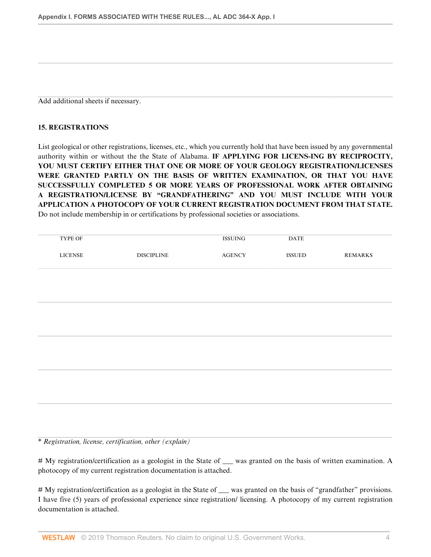Add additional sheets if necessary.

# **15. REGISTRATIONS**

List geological or other registrations, licenses, etc., which you currently hold that have been issued by any governmental authority within or without the the State of Alabama. **IF APPLYING FOR LICENS-ING BY RECIPROCITY, YOU MUST CERTIFY EITHER THAT ONE OR MORE OF YOUR GEOLOGY REGISTRATION/LICENSES WERE GRANTED PARTLY ON THE BASIS OF WRITTEN EXAMINATION, OR THAT YOU HAVE SUCCESSFULLY COMPLETED 5 OR MORE YEARS OF PROFESSIONAL WORK AFTER OBTAINING A REGISTRATION/LICENSE BY "GRANDFATHERING" AND YOU MUST INCLUDE WITH YOUR APPLICATION A PHOTOCOPY OF YOUR CURRENT REGISTRATION DOCUMENT FROM THAT STATE.** Do not include membership in or certifications by professional societies or associations.

| TYPE OF        |                   | <b>ISSUING</b> | $\mathbf{DATE}$ |                |
|----------------|-------------------|----------------|-----------------|----------------|
| <b>LICENSE</b> | <b>DISCIPLINE</b> | <b>AGENCY</b>  | ISSUED          | <b>REMARKS</b> |
|                |                   |                |                 |                |
|                |                   |                |                 |                |
|                |                   |                |                 |                |
|                |                   |                |                 |                |
|                |                   |                |                 |                |
|                |                   |                |                 |                |
|                |                   |                |                 |                |
|                |                   |                |                 |                |
|                |                   |                |                 |                |
|                |                   |                |                 |                |

\* *Registration, license, certification, other (explain)*

# My registration/certification as a geologist in the State of \_\_\_ was granted on the basis of written examination. A photocopy of my current registration documentation is attached.

# My registration/certification as a geologist in the State of \_\_\_ was granted on the basis of "grandfather" provisions. I have five (5) years of professional experience since registration/ licensing. A photocopy of my current registration documentation is attached.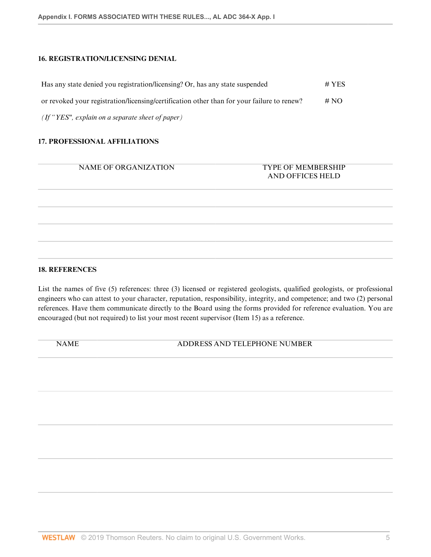# **16. REGISTRATION/LICENSING DENIAL**

| Has any state denied you registration/licensing? Or, has any state suspended               | $# \text{YES}$ |
|--------------------------------------------------------------------------------------------|----------------|
| or revoked your registration/licensing/certification other than for your failure to renew? | # NO           |
| $(If "YES", explain on a separate sheet of paper)$                                         |                |

#### **17. PROFESSIONAL AFFILIATIONS**

NAME OF ORGANIZATION TYPE OF MEMBERSHIP

# AND OFFICES HELD

### **18. REFERENCES**

List the names of five (5) references: three (3) licensed or registered geologists, qualified geologists, or professional engineers who can attest to your character, reputation, responsibility, integrity, and competence; and two (2) personal references. Have them communicate directly to the Board using the forms provided for reference evaluation. You are encouraged (but not required) to list your most recent supervisor (Item 15) as a reference.

NAME ADDRESS AND TELEPHONE NUMBER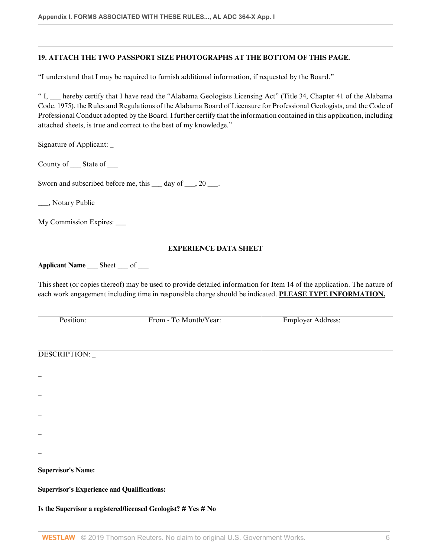# **19. ATTACH THE TWO PASSPORT SIZE PHOTOGRAPHS AT THE BOTTOM OF THIS PAGE.**

"I understand that I may be required to furnish additional information, if requested by the Board."

" I, \_\_\_ hereby certify that I have read the "Alabama Geologists Licensing Act" (Title 34, Chapter 41 of the Alabama Code. 1975). the Rules and Regulations of the Alabama Board of Licensure for Professional Geologists, and the Code of Professional Conduct adopted by the Board. I further certify that the information contained in this application, including attached sheets, is true and correct to the best of my knowledge."

Signature of Applicant: \_

County of \_\_\_\_\_\_ State of \_\_\_\_\_\_

Sworn and subscribed before me, this  $\_\_$  day of  $\_\_$ , 20  $\_\_$ .

\_\_\_, Notary Public

My Commission Expires: \_\_\_\_\_

#### **EXPERIENCE DATA SHEET**

**Applicant Name** \_\_\_ Sheet \_\_\_ of \_\_\_

This sheet (or copies thereof) may be used to provide detailed information for Item 14 of the application. The nature of each work engagement including time in responsible charge should be indicated. **PLEASE TYPE INFORMATION.**

Position: From - To Month/Year: Employer Address:

DESCRIPTION: \_

\_

\_

\_

\_

\_

**Supervisor's Name:**

**Supervisor's Experience and Qualifications:**

**Is the Supervisor a registered/licensed Geologist? # Yes # No**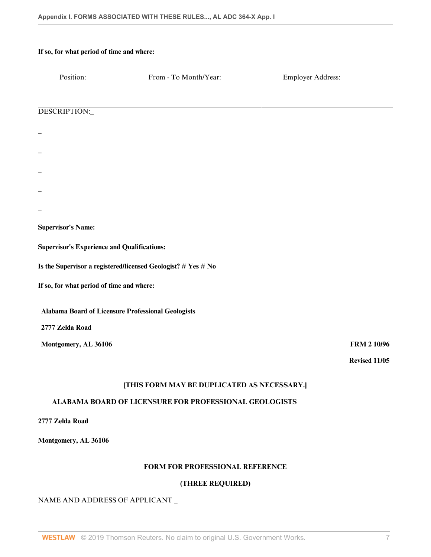| If so, for what period of time and where:          |                                                               |                          |
|----------------------------------------------------|---------------------------------------------------------------|--------------------------|
| Position:                                          | From - To Month/Year:                                         | <b>Employer Address:</b> |
|                                                    |                                                               |                          |
| DESCRIPTION:                                       |                                                               |                          |
|                                                    |                                                               |                          |
|                                                    |                                                               |                          |
|                                                    |                                                               |                          |
|                                                    |                                                               |                          |
|                                                    |                                                               |                          |
| <b>Supervisor's Name:</b>                          |                                                               |                          |
| <b>Supervisor's Experience and Qualifications:</b> |                                                               |                          |
|                                                    | Is the Supervisor a registered/licensed Geologist? # Yes # No |                          |
| If so, for what period of time and where:          |                                                               |                          |
| Alabama Board of Licensure Professional Geologists |                                                               |                          |
| 2777 Zelda Road                                    |                                                               |                          |
| Montgomery, AL 36106                               |                                                               | <b>FRM 2 10/96</b>       |
|                                                    |                                                               | Revised 11/05            |
|                                                    | [THIS FORM MAY BE DUPLICATED AS NECESSARY.]                   |                          |
|                                                    | ALABAMA BOARD OF LICENSURE FOR PROFESSIONAL GEOLOGISTS        |                          |
| 2777 Zelda Road                                    |                                                               |                          |
| Montgomery, AL 36106                               |                                                               |                          |

# **FORM FOR PROFESSIONAL REFERENCE**

# **(THREE REQUIRED)**

# NAME AND ADDRESS OF APPLICANT \_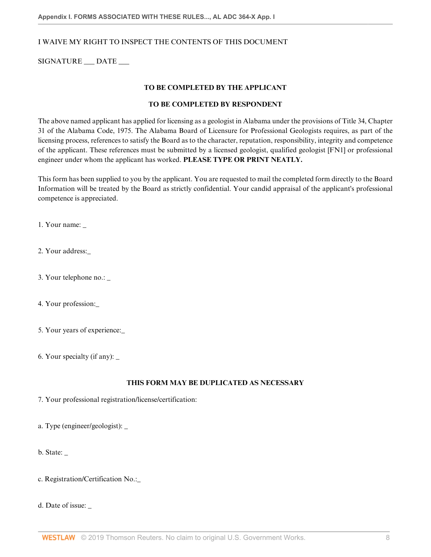## I WAIVE MY RIGHT TO INSPECT THE CONTENTS OF THIS DOCUMENT

SIGNATURE \_\_\_ DATE \_\_\_

#### **TO BE COMPLETED BY THE APPLICANT**

#### **TO BE COMPLETED BY RESPONDENT**

The above named applicant has applied for licensing as a geologist in Alabama under the provisions of Title 34, Chapter 31 of the Alabama Code, 1975. The Alabama Board of Licensure for Professional Geologists requires, as part of the licensing process, references to satisfy the Board as to the character, reputation, responsibility, integrity and competence of the applicant. These references must be submitted by a licensed geologist, qualified geologist [FN1] or professional engineer under whom the applicant has worked. **PLEASE TYPE OR PRINT NEATLY.**

This form has been supplied to you by the applicant. You are requested to mail the completed form directly to the Board Information will be treated by the Board as strictly confidential. Your candid appraisal of the applicant's professional competence is appreciated.

1. Your name: \_

2. Your address:\_

- 3. Your telephone no.: \_
- 4. Your profession:\_
- 5. Your years of experience:\_
- 6. Your specialty (if any): \_

#### **THIS FORM MAY BE DUPLICATED AS NECESSARY**

7. Your professional registration/license/certification:

a. Type (engineer/geologist): \_

b. State: \_

c. Registration/Certification No.:\_

d. Date of issue: \_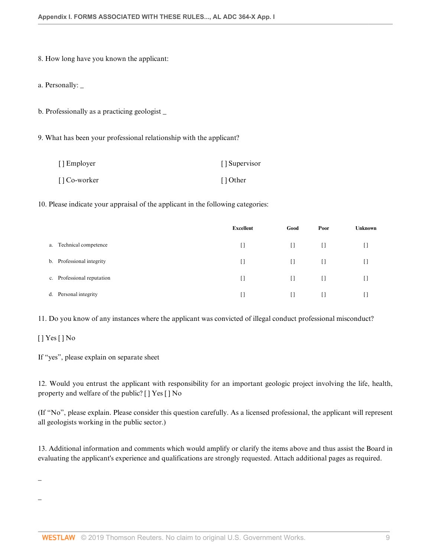8. How long have you known the applicant:

a. Personally: \_

b. Professionally as a practicing geologist \_

9. What has been your professional relationship with the applicant?

| [] Employer  | [] Supervisor |
|--------------|---------------|
| [] Co-worker | [] Other      |

10. Please indicate your appraisal of the applicant in the following categories:

|                                        | <b>Excellent</b> | Good    | Poor    | <b>Unknown</b> |
|----------------------------------------|------------------|---------|---------|----------------|
| Technical competence<br>а.             | $\Box$           | $[ \ ]$ | $\Box$  | IJ             |
| Professional integrity<br>b.           | $\Box$           | $\Box$  | $\Box$  |                |
| Professional reputation<br>$c_{\cdot}$ | $\Box$           | $\Box$  | $\Box$  |                |
| Personal integrity<br>d.               | []               | []      | $[ \ ]$ |                |

11. Do you know of any instances where the applicant was convicted of illegal conduct professional misconduct?

# [ ] Yes [ ] No

\_

\_

If "yes", please explain on separate sheet

12. Would you entrust the applicant with responsibility for an important geologic project involving the life, health, property and welfare of the public? [ ] Yes [ ] No

(If "No", please explain. Please consider this question carefully. As a licensed professional, the applicant will represent all geologists working in the public sector.)

13. Additional information and comments which would amplify or clarify the items above and thus assist the Board in evaluating the applicant's experience and qualifications are strongly requested. Attach additional pages as required.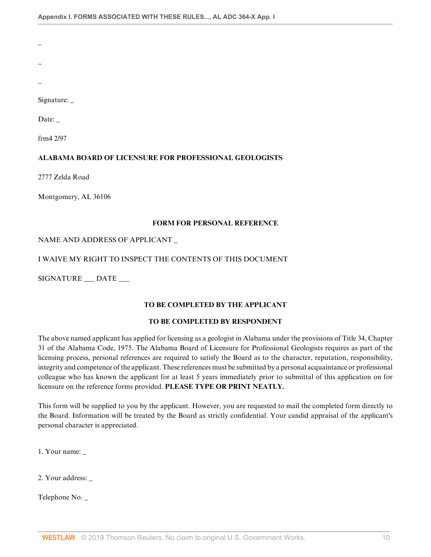\_

\_

\_

Signature: \_

Date: \_

frm4 2/97

# **ALABAMA BOARD OF LICENSURE FOR PROFESSIONAL GEOLOGISTS**

2777 Zelda Road

Montgomery, AL 36106

# **FORM FOR PERSONAL REFERENCE**

# NAME AND ADDRESS OF APPLICANT \_

# I WAIVE MY RIGHT TO INSPECT THE CONTENTS OF THIS DOCUMENT

SIGNATURE \_\_\_ DATE \_\_\_

# **TO BE COMPLETED BY THE APPLICANT**

# **TO BE COMPLETED BY RESPONDENT**

The above named applicant has applied for licensing as a geologist in Alabama under the provisions of Title 34, Chapter 31 of the Alabama Code, 1975. The Alabama Board of Licensure for Professional Geologists requires as part of the licensing process, personal references are required to satisfy the Board as to the character, reputation, responsibility, integrity and competence of the applicant. These references must be submitted by a personal acquaintance or professional colleague who has known the applicant for at least 5 years immediately prior to submittal of this application on for licensure on the reference forms provided. **PLEASE TYPE OR PRINT NEATLY.**

This form will be supplied to you by the applicant. However, you are requested to mail the completed form directly to the Board. Information will be treated by the Board as strictly confidential. Your candid appraisal of the applicant's personal character is appreciated.

1. Your name: \_

2. Your address: \_

Telephone No. \_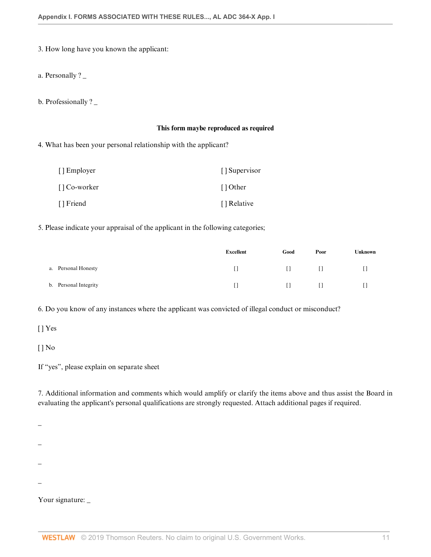3. How long have you known the applicant:

a. Personally ? \_

b. Professionally ? \_

#### **This form maybe reproduced as required**

4. What has been your personal relationship with the applicant?

| [] Employer  | [] Supervisor |
|--------------|---------------|
| [] Co-worker | [] Other      |
| [] Friend    | [] Relative   |

5. Please indicate your appraisal of the applicant in the following categories;

|                       | <b>Excellent</b> | Good   | Poor   | Unknown |
|-----------------------|------------------|--------|--------|---------|
| a. Personal Honesty   | H.               | $\Box$ | $\Box$ |         |
| b. Personal Integrity | LT.              | $\Box$ | $\Box$ |         |

6. Do you know of any instances where the applicant was convicted of illegal conduct or misconduct?

[] Yes

[ ] No

If "yes", please explain on separate sheet

7. Additional information and comments which would amplify or clarify the items above and thus assist the Board in evaluating the applicant's personal qualifications are strongly requested. Attach additional pages if required.

\_

- \_
- 
- \_
- \_
- 

Your signature: \_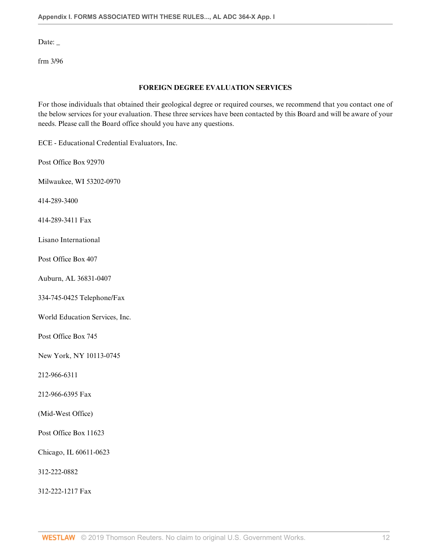Date: \_

frm 3/96

### **FOREIGN DEGREE EVALUATION SERVICES**

For those individuals that obtained their geological degree or required courses, we recommend that you contact one of the below services for your evaluation. These three services have been contacted by this Board and will be aware of your needs. Please call the Board office should you have any questions.

ECE - Educational Credential Evaluators, Inc.

Post Office Box 92970

Milwaukee, WI 53202-0970

414-289-3400

414-289-3411 Fax

Lisano International

Post Office Box 407

Auburn, AL 36831-0407

334-745-0425 Telephone/Fax

World Education Services, Inc.

Post Office Box 745

New York, NY 10113-0745

212-966-6311

212-966-6395 Fax

(Mid-West Office)

Post Office Box 11623

Chicago, IL 60611-0623

312-222-0882

312-222-1217 Fax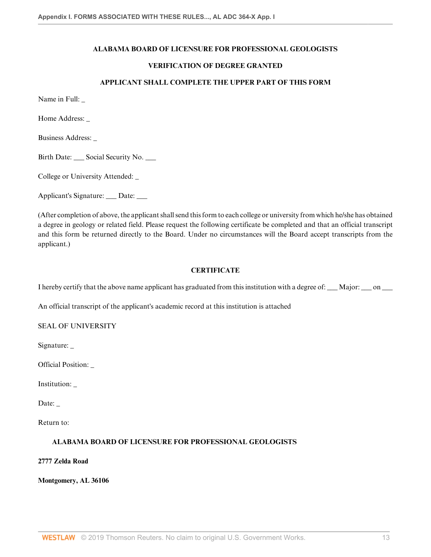# **ALABAMA BOARD OF LICENSURE FOR PROFESSIONAL GEOLOGISTS**

# **VERIFICATION OF DEGREE GRANTED**

#### **APPLICANT SHALL COMPLETE THE UPPER PART OF THIS FORM**

Name in Full: \_

Home Address:

Business Address: \_

Birth Date: Social Security No.

College or University Attended: \_

Applicant's Signature: \_\_\_ Date: \_\_\_

(After completion of above, the applicant shall send this form to each college or university from which he/she has obtained a degree in geology or related field. Please request the following certificate be completed and that an official transcript and this form be returned directly to the Board. Under no circumstances will the Board accept transcripts from the applicant.)

### **CERTIFICATE**

I hereby certify that the above name applicant has graduated from this institution with a degree of:  $\_\_\_$ Major:  $\_\_$  on  $\_\_$ 

An official transcript of the applicant's academic record at this institution is attached

SEAL OF UNIVERSITY

Signature: \_

Official Position: \_

Institution: \_

Date:

Return to:

#### **ALABAMA BOARD OF LICENSURE FOR PROFESSIONAL GEOLOGISTS**

**2777 Zelda Road**

**Montgomery, AL 36106**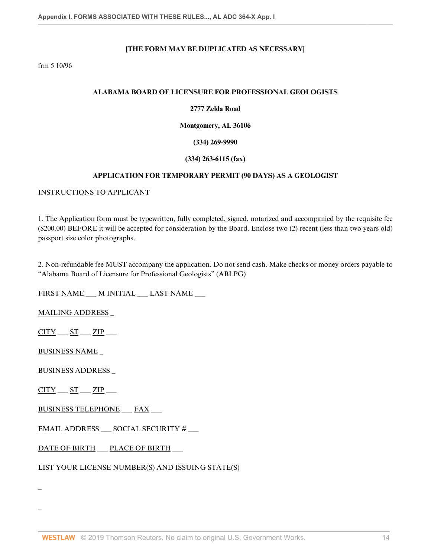# **[THE FORM MAY BE DUPLICATED AS NECESSARY]**

frm 5 10/96

#### **ALABAMA BOARD OF LICENSURE FOR PROFESSIONAL GEOLOGISTS**

## **2777 Zelda Road**

#### **Montgomery, AL 36106**

**(334) 269-9990**

### **(334) 263-6115 (fax)**

### **APPLICATION FOR TEMPORARY PERMIT (90 DAYS) AS A GEOLOGIST**

### INSTRUCTIONS TO APPLICANT

1. The Application form must be typewritten, fully completed, signed, notarized and accompanied by the requisite fee (\$200.00) BEFORE it will be accepted for consideration by the Board. Enclose two (2) recent (less than two years old) passport size color photographs.

2. Non-refundable fee MUST accompany the application. Do not send cash. Make checks or money orders payable to "Alabama Board of Licensure for Professional Geologists" (ABLPG)

FIRST NAME \_\_\_ M INITIAL \_\_\_ LAST NAME \_\_\_

MAILING ADDRESS \_

 $CITY = ST = ZIP$ 

BUSINESS NAME \_

BUSINESS ADDRESS \_

 $CITY$   $ST$   $ZIP$   $ZIP$ 

\_

\_

BUSINESS TELEPHONE \_\_\_ FAX \_\_\_

EMAIL ADDRESS \_\_\_ SOCIAL SECURITY □ \_\_\_

DATE OF BIRTH \_\_ PLACE OF BIRTH \_\_

LIST YOUR LICENSE NUMBER(S) AND ISSUING STATE(S)

WESTLAW © 2019 Thomson Reuters. No claim to original U.S. Government Works. 14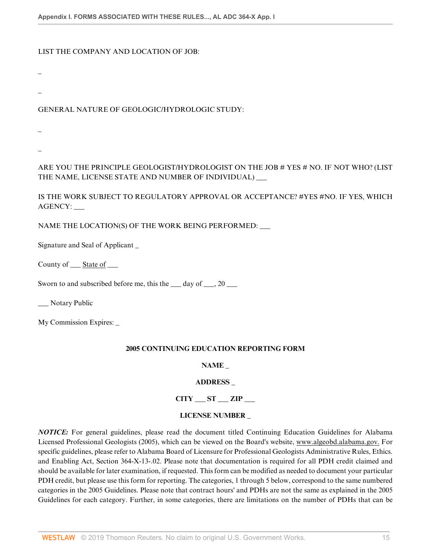## LIST THE COMPANY AND LOCATION OF JOB:

\_

\_

# GENERAL NATURE OF GEOLOGIC/HYDROLOGIC STUDY:

\_

\_

ARE YOU THE PRINCIPLE GEOLOGIST/HYDROLOGIST ON THE JOB  $#$  YES  $#$  NO. IF NOT WHO? (LIST THE NAME, LICENSE STATE AND NUMBER OF INDIVIDUAL) \_\_\_

IS THE WORK SUBJECT TO REGULATORY APPROVAL OR ACCEPTANCE? #YES #NO. IF YES, WHICH AGENCY: \_\_\_

NAME THE LOCATION(S) OF THE WORK BEING PERFORMED: \_\_\_

Signature and Seal of Applicant \_

County of \_\_\_ State of \_\_\_

Sworn to and subscribed before me, this the  $\qquad$  day of  $\qquad$ , 20

\_\_ Notary Public

My Commission Expires: \_

# **2005 CONTINUING EDUCATION REPORTING FORM**

# **NAME \_**

# **ADDRESS \_**

**CITY \_\_\_ ST \_\_\_ ZIP \_\_\_**

# **LICENSE NUMBER \_**

*NOTICE:* For general guidelines, please read the document titled Continuing Education Guidelines for Alabama Licensed Professional Geologists (2005), which can be viewed on the Board's website, www.algeobd.alabama.gov. For specific guidelines, please refer to Alabama Board of Licensure for Professional Geologists Administrative Rules, Ethics. and Enabling Act, Section 364-X-13-.02. Please note that documentation is required for all PDH credit claimed and should be available for later examination, if requested. This form can be modified as needed to document your particular PDH credit, but please use this form for reporting. The categories, 1 through 5 below, correspond to the same numbered categories in the 2005 Guidelines. Please note that contract hours' and PDHs are not the same as explained in the 2005 Guidelines for each category. Further, in some categories, there are limitations on the number of PDHs that can be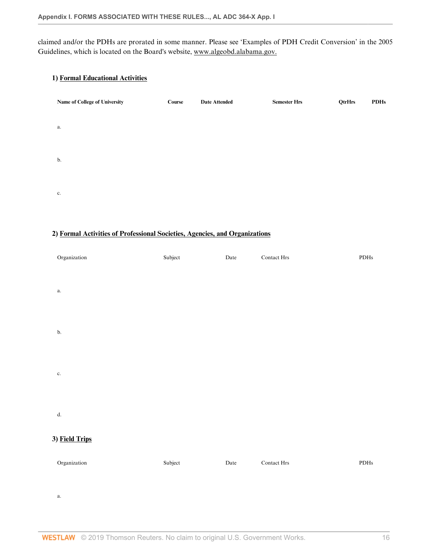claimed and/or the PDHs are prorated in some manner. Please see 'Examples of PDH Credit Conversion' in the 2005 Guidelines, which is located on the Board's website, www.algeobd.alabama.gov.

## **1) Formal Educational Activities**

| Name of College of University | Course | <b>Date Attended</b> | <b>Semester Hrs</b> | QtrHrs | <b>PDHs</b> |
|-------------------------------|--------|----------------------|---------------------|--------|-------------|
| a.                            |        |                      |                     |        |             |
| b.                            |        |                      |                     |        |             |
| c.                            |        |                      |                     |        |             |

## **2) Formal Activities of Professional Societies, Agencies, and Organizations**

| Organization   | Subject | Date        | Contact $\rm Hrs$ | $\rm{PDHs}$ |
|----------------|---------|-------------|-------------------|-------------|
|                |         |             |                   |             |
| $\mathbf{a}.$  |         |             |                   |             |
|                |         |             |                   |             |
| b.             |         |             |                   |             |
|                |         |             |                   |             |
| $\mathbf{c}.$  |         |             |                   |             |
|                |         |             |                   |             |
| $\mathbf{d}.$  |         |             |                   |             |
| 3) Field Trips |         |             |                   |             |
| Organization   | Subject | $\rm{Date}$ | Contact $\rm Hrs$ | $\rm{PDHs}$ |
|                |         |             |                   |             |

a.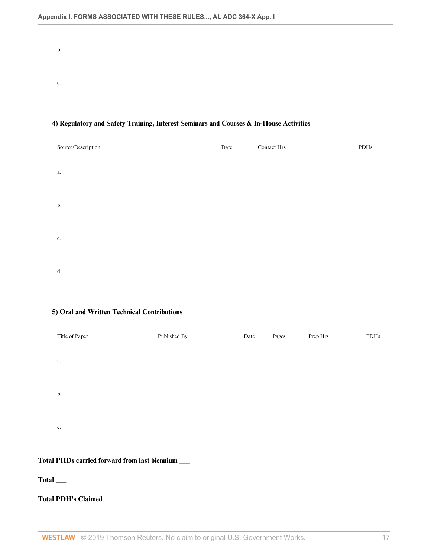b. c.

# Source/Description Date Contact Hrs PDHs a. b. c. d.

## **4) Regulatory and Safety Training, Interest Seminars and Courses & In-House Activities**

#### **5) Oral and Written Technical Contributions**

| Title of Paper | Published By | Date | Pages | Prep Hrs | PDHs |
|----------------|--------------|------|-------|----------|------|
|                |              |      |       |          |      |
| a.             |              |      |       |          |      |
|                |              |      |       |          |      |
| b.             |              |      |       |          |      |
|                |              |      |       |          |      |
|                |              |      |       |          |      |
| c.             |              |      |       |          |      |
|                |              |      |       |          |      |

# **Total PHDs carried forward from last biennium** \_\_\_

## **Total** \_\_\_

## **Total PDH's Claimed** \_\_\_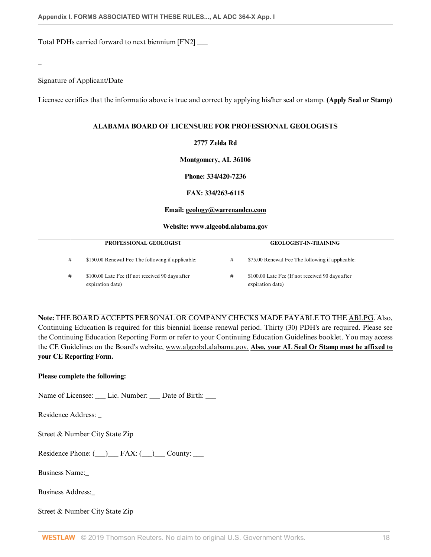Total PDHs carried forward to next biennium [FN2] \_\_\_

Signature of Applicant/Date

\_

Licensee certifies that the informatio above is true and correct by applying his/her seal or stamp. **(Apply Seal or Stamp)**

#### **ALABAMA BOARD OF LICENSURE FOR PROFESSIONAL GEOLOGISTS**

## **2777 Zelda Rd**

**Montgomery, AL 36106**

**Phone: 334/420-7236**

**FAX: 334/263-6115**

#### **Email: geology@warrenandco.com**

#### **Website: www.algeobd.alabama.gov**

|   | <b>PROFESSIONAL GEOLOGIST</b>                                        |   | <b>GEOLOGIST-IN-TRAINING</b>                                         |  |
|---|----------------------------------------------------------------------|---|----------------------------------------------------------------------|--|
| # | \$150.00 Renewal Fee The following if applicable:                    | # | \$75.00 Renewal Fee The following if applicable:                     |  |
| # | \$100.00 Late Fee (If not received 90 days after<br>expiration date) | # | \$100.00 Late Fee (If not received 90 days after<br>expiration date) |  |

**Note:** THE BOARD ACCEPTS PERSONAL OR COMPANY CHECKS MADE PAYABLE TO THE ABLPG. Also, Continuing Education **is** required for this biennial license renewal period. Thirty (30) PDH's are required. Please see the Continuing Education Reporting Form or refer to your Continuing Education Guidelines booklet. You may access the CE Guidelines on the Board's website, www.algeobd.alabama.gov. **Also, your AL Seal Or Stamp must be affixed to your CE Reporting Form.**

## **Please complete the following:**

Name of Licensee: Lic. Number: Date of Birth:

Residence Address: \_

Street & Number City State Zip

Residence Phone:  $(\_\_\_\_\_$  FAX:  $(\_\_\_\_\_\_$  County:  $\_\_\_$ 

Business Name:\_

Business Address:\_

Street & Number City State Zip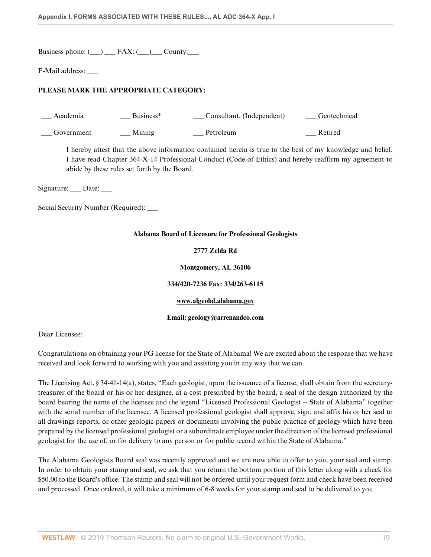Business phone:  $(\_)$  FAX:  $(\_)$  County:

E-Mail address: \_\_\_

# **PLEASE MARK THE APPROPRIATE CATEGORY:**

| Academia   | Business <sup>*</sup> | Consultant, (Independent) | Geotechnical |
|------------|-----------------------|---------------------------|--------------|
| Government | Mining                | Petroleum                 | Retired      |

I hereby attest that the above information contained herein is true to the best of my knowledge and belief. I have read Chapter 364-X-14 Professional Conduct (Code of Ethics) and hereby reaffirm my agreement to abide by these rules set forth by the Board.

Signature: \_\_\_ Date: \_\_\_

Social Security Number (Required): \_\_\_\_

#### **Alabama Board of Licensure for Professional Geologists**

#### **2777 Zelda Rd**

**Montgomery, AL 36106**

## **334/420-7236 Fax: 334/263-6115**

#### **www.algeobd.alabama.gov**

#### **Email: geology@arrenandco.com**

Dear Licensee:

Congratulations on obtaining your PG license for the State of Alabama! We are excited about the response that we have received and look forward to working with you and assisting you in any way that we can.

The Licensing Act, § 34-41-14(a), states, "Each geologist, upon the issuance of a license, shall obtain from the secretarytreasurer of the board or his or her designee, at a cost prescribed by the board, a seal of the design authorized by the board bearing the name of the licensee and the legend "Licensed Professional Geologist -- State of Alabama" together with the serial number of the licensee. A licensed professional geologist shall approve, sign, and affix his or her seal to all drawings reports, or other geologic papers or documents involving the public practice of geology which have been prepared by the licensed professional geologist or a subordinate employee under the direction of the licensed professional geologist for the use of, or for delivery to any person or for public record within the State of Alabama."

The Alabama Geologists Board seal was recently approved and we are now able to offer to you, your seal and stamp. In order to obtain your stamp and seal, we ask that you return the bottom portion of this letter along with a check for \$50.00 to the Board's office. The stamp and seal will not be ordered until your request form and check have been received and processed. Once ordered, it will take a minimum of 6-8 weeks for your stamp and seal to be delivered to you